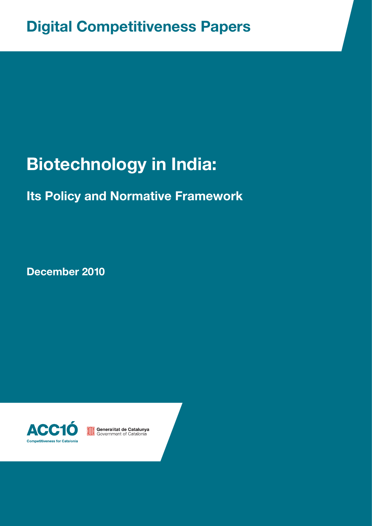# **Biotechnology in India:**

## **Its Policy and Normative Framework**

**December 2010**



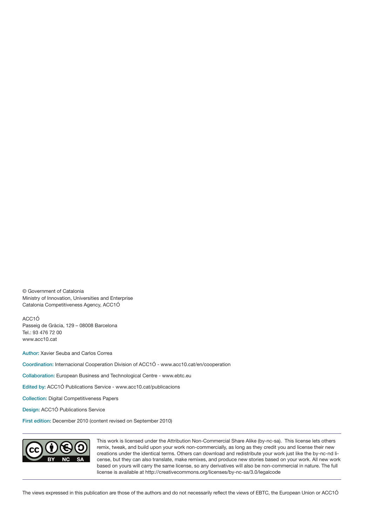© Government of Catalonia Ministry of Innovation, Universities and Enterprise Catalonia Competitiveness Agency, ACC1Ó

ACC1Ó Passeig de Gràcia, 129 – 08008 Barcelona Tel.: 93 476 72 00 [www.acc10.cat](http://www.acc10.cat)

Author: Xavier Seuba and Carlos Correa

Coordination: Internacional Cooperation Division of ACC1Ó - [www.acc10.cat/en/cooperation](http://www.acc10.cat/en/cooperation)

Collaboration: European Business and Technological Centre [- www.ebtc.eu](http://www.ebtc.eu)

Edited by: ACC1Ó Publications Service - www.acc10.cat/publicacions

Collection: Digital Competitiveness Papers

Design: ACC1Ó Publications Service

First edition: December 2010 (content revised on September 2010)



This work is licensed under the Attribution Non-Commercial Share Alike (by-nc-sa). This license lets others remix, tweak, and build upon your work non-commercially, as long as they credit you and license their new creations under the identical terms. Others can download and redistribute your work just like the by-nc-nd license, but they can also translate, make remixes, and produce new stories based on your work. All new work based on yours will carry the same license, so any derivatives will also be non-commercial in nature. The full license is available at <http://creativecommons.org/licenses/by-nc-sa/3.0/legalcode>

The views expressed in this publication are those of the authors and do not necessarily reflect the views of EBTC, the European Union or ACC1Ó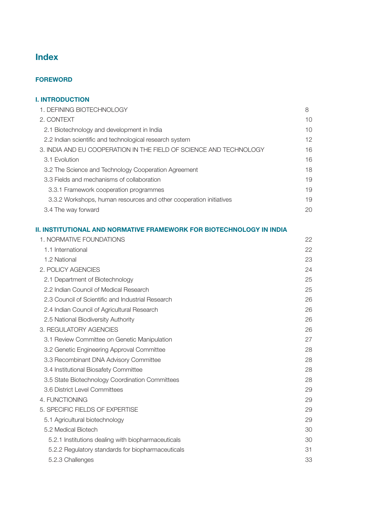## Index

#### [FOREWORD](#page-4-0)

| <b>I. INTRODUCTION</b>                                             |    |
|--------------------------------------------------------------------|----|
| 1. DEFINING BIOTECHNOLOGY                                          | 8  |
| 2. CONTEXT                                                         | 10 |
| 2.1 Biotechnology and development in India                         | 10 |
| 2.2 Indian scientific and technological research system            | 12 |
| 3. INDIA AND EU COOPERATION IN THE FIELD OF SCIENCE AND TECHNOLOGY | 16 |
| 3.1 Evolution                                                      | 16 |
| 3.2 The Science and Technology Cooperation Agreement               | 18 |
| 3.3 Fields and mechanisms of collaboration                         | 19 |
| 3.3.1 Framework cooperation programmes                             | 19 |
| 3.3.2 Workshops, human resources and other cooperation initiatives | 19 |
| 3.4 The way forward                                                | 20 |

#### [II. INSTITUTIONAL AND NORMATIVE FRAMEWORK FOR BIOTECHNOLOGY IN INDIA](#page-21-0)

| 1. NORMATIVE FOUNDATIONS                           | 22 |
|----------------------------------------------------|----|
| 1.1 International                                  | 22 |
| 1.2 National                                       | 23 |
| 2. POLICY AGENCIES                                 | 24 |
| 2.1 Department of Biotechnology                    | 25 |
| 2.2 Indian Council of Medical Research             | 25 |
| 2.3 Council of Scientific and Industrial Research  | 26 |
| 2.4 Indian Council of Agricultural Research        | 26 |
| 2.5 National Biodiversity Authority                | 26 |
| 3. REGULATORY AGENCIES                             | 26 |
| 3.1 Review Committee on Genetic Manipulation       | 27 |
| 3.2 Genetic Engineering Approval Committee         | 28 |
| 3.3 Recombinant DNA Advisory Committee             | 28 |
| 3.4 Institutional Biosafety Committee              | 28 |
| 3.5 State Biotechnology Coordination Committees    | 28 |
| 3.6 District Level Committees                      | 29 |
| 4. FUNCTIONING                                     | 29 |
| 5. SPECIFIC FIELDS OF EXPERTISE                    | 29 |
| 5.1 Agricultural biotechnology                     | 29 |
| 5.2 Medical Biotech                                | 30 |
| 5.2.1 Institutions dealing with biopharmaceuticals | 30 |
| 5.2.2 Regulatory standards for biopharmaceuticals  | 31 |
| 5.2.3 Challenges                                   | 33 |
|                                                    |    |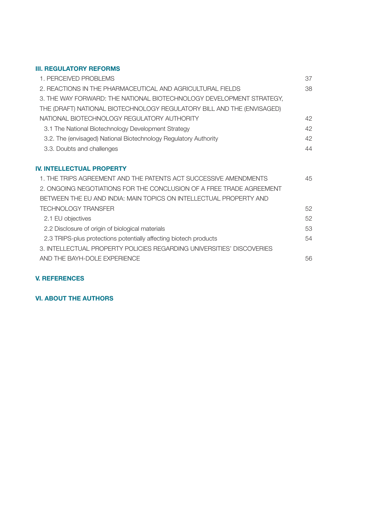#### [III. REGULATORY REFORMS](#page-36-0)

| 1. PERCEIVED PROBLEMS                                                  | 37 |
|------------------------------------------------------------------------|----|
| 2. REACTIONS IN THE PHARMACEUTICAL AND AGRICULTURAL FIELDS             | 38 |
| 3. THE WAY FORWARD: THE NATIONAL BIOTECHNOLOGY DEVELOPMENT STRATEGY,   |    |
| THE (DRAFT) NATIONAL BIOTECHNOLOGY REGULATORY BILL AND THE (ENVISAGED) |    |
| NATIONAL BIOTECHNOLOGY REGULATORY AUTHORITY                            | 42 |
| 3.1 The National Biotechnology Development Strategy                    | 42 |
| 3.2. The (envisaged) National Biotechnology Regulatory Authority       | 42 |
| 3.3. Doubts and challenges                                             | 44 |
|                                                                        |    |
| <b>IV. INTELLECTUAL PROPERTY</b>                                       |    |
| 1. THE TRIPS AGREEMENT AND THE PATENTS ACT SUCCESSIVE AMENDMENTS       | 45 |
| 2. ONGOING NEGOTIATIONS FOR THE CONCLUSION OF A FREE TRADE AGREEMENT   |    |
| BETWEEN THE EU AND INDIA: MAIN TOPICS ON INTELLECTUAL PROPERTY AND     |    |
| <b>TECHNOLOGY TRANSFER</b>                                             | 52 |
| 2.1 EU objectives                                                      | 52 |
| 2.2 Disclosure of origin of biological materials                       | 53 |
| 2.3 TRIPS-plus protections potentially affecting biotech products      | 54 |
| 3. INTELLECTUAL PROPERTY POLICIES REGARDING UNIVERSITIES' DISCOVERIES  |    |
| AND THE BAYH-DOLE EXPERIENCE                                           | 56 |
|                                                                        |    |

#### **[V. REFERENCES](#page-58-0)**

#### **[VI. ABOUT THE AUTHORS](#page-63-0)**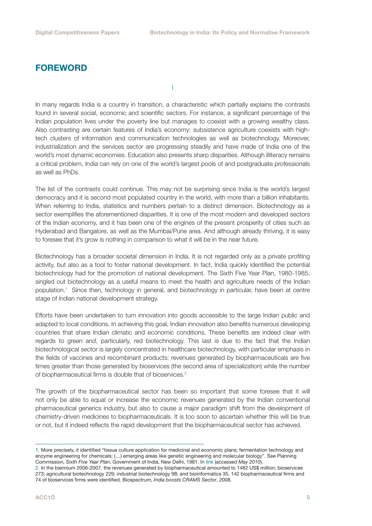### <span id="page-4-0"></span>FOREWORD

I

In many regards India is a country in transition, a characteristic which partially explains the contrasts found in several social, economic and scientific sectors. For instance, a significant percentage of the Indian population lives under the poverty line but manages to coexist with a growing wealthy class. Also contrasting are certain features of India's economy: subsistence agriculture coexists with hightech clusters of information and communication technologies as well as biotechnology. Moreover, industrialization and the services sector are progressing steadily and have made of India one of the world's most dynamic economies. Education also presents sharp disparities. Although illiteracy remains a critical problem, India can rely on one of the world's largest pools of and postgraduate professionals as well as PhDs.

The list of the contrasts could continue. This may not be surprising since India is the world's largest democracy and it is second most populated country in the world, with more than a billion inhabitants. When referring to India, statistics and numbers pertain to a distinct dimension. Biotechnology as a sector exemplifies the aforementioned disparities. It is one of the most modern and developed sectors of the Indian economy, and it has been one of the engines of the present prosperity of cities such as Hyderabad and Bangalore, as well as the Mumbai/Pune area. And although already thriving, it is easy to foresee that it's grow is nothing in comparison to what it will be in the near future.

Biotechnology has a broader societal dimension in India. It is not regarded only as a private profiting activity, but also as a tool to foster national development. In fact, India quickly identified the potential biotechnology had for the promotion of national development. The Sixth Five Year Plan, 1980-1985, singled out biotechnology as a useful means to meet the health and agriculture needs of the Indian population.1 Since then, technology in general, and biotechnology in particular, have been at centre stage of Indian national development strategy.

Efforts have been undertaken to turn innovation into goods accessible to the large Indian public and adapted to local conditions. In achieving this goal, Indian innovation also benefits numerous developing countries that share Indian climatic and economic conditions. These benefits are indeed clear with regards to green and, particularly, red biotechnology. This last is due to the fact that the Indian biotechnological sector is largely concentrated in healthcare biotechnology, with particular emphasis in the fields of vaccines and recombinant products: revenues generated by biopharmaceuticals are five times greater than those generated by bioservices (the second area of specialization) while the number of biopharmaceutical firms is double that of bioservices.<sup>2</sup>

The growth of the biopharmaceutical sector has been so important that some foresee that it will not only be able to equal or increase the economic revenues generated by the Indian conventional pharmaceutical generics industry, but also to cause a major paradigm shift from the development of chemistry-driven medicines to biopharmaceuticals. It is too soon to ascertain whether this will be true or not, but it indeed reflects the rapid development that the biopharmaceutical sector has achieved.

<sup>1.</sup> More precisely, it identified "tissue culture application for medicinal and economic plans; fermentation technology and enzyme engineering for chemicals; (…) emerging areas like genetic engineering and molecular biology". See Planning Commission, *Sixth Five Year Plan*, Government of India, New Delhi, 1981. In [link](http://www.planningcommission.nic.in/plans/planrel/fiveyr/index9.html) (*accessed May 2010*).

<sup>2.</sup> In the biennium 2006-2007, the revenues generated by biopharmaceutical amounted to 1482 US\$ million; bioservices 273; agricultural biotechnology 229; industrial biotechnology 98; and bioinformatics 35. 142 biopharmaceutical firms and 74 of bioservices firms were identified. Biospectrum, *India boosts CRAMS Sector*, 2008.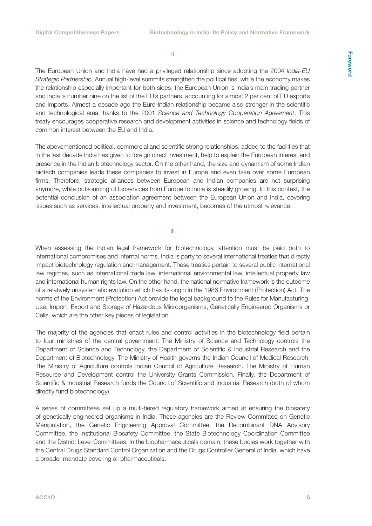II

The European Union and India have had a privileged relationship since adopting the 2004 *India-EU Strategic Partnership*. Annual high-level summits strengthen the political ties, while the economy makes the relationship especially important for both sides: the European Union is India's main trading partner and India is number nine on the list of the EU's partners, accounting for almost 2 per cent of EU exports and imports. Almost a decade ago the Euro-Indian relationship became also stronger in the scientific and technological area thanks to the 2001 *Science and Technology Cooperation Agreement*. This treaty encourages cooperative research and development activities in science and technology fields of common interest between the EU and India.

The abovementioned political, commercial and scientific strong relationships, added to the facilities that in the last decade India has given to foreign direct investment, help to explain the European interest and presence in the Indian biotechnology sector. On the other hand, the size and dynamism of some Indian biotech companies leads these companies to invest in Europe and even take over some European firms. Therefore, strategic alliances between European and Indian companies are not surprising anymore, while outsourcing of bioservices from Europe to India is steadily growing. In this context, the potential conclusion of an association agreement between the European Union and India, covering issues such as services, intellectual property and investment, becomes of the utmost relevance.

III

When assessing the Indian legal framework for biotechnology, attention must be paid both to international compromises and internal norms. India is party to several international treaties that directly impact biotechnology regulation and management. These treaties pertain to several public international law regimes, such as international trade law, international environmental law, intellectual property law and international human rights law. On the other hand, the national normative framework is the outcome of a relatively unsystematic evolution which has its origin in the 1986 Environment (Protection) Act. The norms of the Environment (Protection) Act provide the legal background to the Rules for Manufacturing, Use, Import, Export and Storage of Hazardous Microorganisms, Genetically Engineered Organisms or Cells, which are the other key pieces of legislation.

The majority of the agencies that enact rules and control activities in the biotechnology field pertain to four ministries of the central government. The Ministry of Science and Technology controls the Department of Science and Technology, the Department of Scientific & Industrial Research and the Department of Biotechnology. The Ministry of Health governs the Indian Council of Medical Research. The Ministry of Agriculture controls Indian Council of Agriculture Research. The Ministry of Human Resource and Development control the University Grants Commission. Finally, the Department of Scientific & Industrial Research funds the Council of Scientific and Industrial Research (both of whom directly fund biotechnology).

A series of committees set up a multi-tiered regulatory framework aimed at ensuring the biosafety of genetically engineered organisms in India. These agencies are the Review Committee on Genetic Manipulation, the Genetic Engineering Approval Committee, the Recombinant DNA Advisory Committee, the Institutional Biosafety Committee, the State Biotechnology Coordination Committee and the District Level Committees. In the biopharmaceuticals domain, these bodies work together with the Central Drugs Standard Control Organization and the Drugs Controller General of India, which have a broader mandate covering all pharmaceuticals.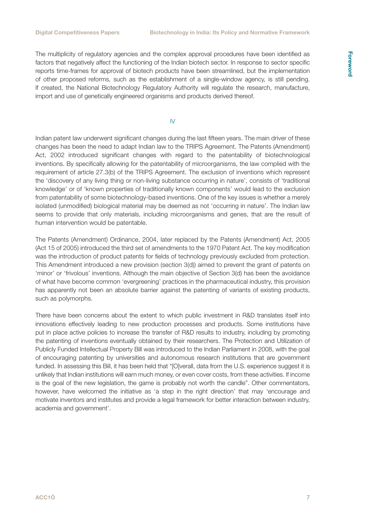The multiplicity of regulatory agencies and the complex approval procedures have been identified as factors that negatively affect the functioning of the Indian biotech sector. In response to sector specific reports time-frames for approval of biotech products have been streamlined, but the implementation of other proposed reforms, such as the establishment of a single-window agency, is still pending. If created, the National Biotechnology Regulatory Authority will regulate the research, manufacture, import and use of genetically engineered organisms and products derived thereof.

IV

Indian patent law underwent significant changes during the last fifteen years. The main driver of these changes has been the need to adapt Indian law to the TRIPS Agreement. The Patents (Amendment) Act, 2002 introduced significant changes with regard to the patentability of biotechnological inventions. By specifically allowing for the patentability of microorganisms, the law complied with the requirement of article 27.3(b) of the TRIPS Agreement. The exclusion of inventions which represent the 'discovery of any living thing or non-living substance occurring in nature', consists of 'traditional knowledge' or of 'known properties of traditionally known components' would lead to the exclusion from patentability of some biotechnology-based inventions. One of the key issues is whether a merely isolated (unmodified) biological material may be deemed as not 'occurring in nature'. The Indian law seems to provide that only materials, including microorganisms and genes, that are the result of human intervention would be patentable.

The Patents (Amendment) Ordinance, 2004, later replaced by the Patents (Amendment) Act, 2005 (Act 15 of 2005) introduced the third set of amendments to the 1970 Patent Act. The key modification was the introduction of product patents for fields of technology previously excluded from protection. This Amendment introduced a new provision (section 3(d)) aimed to prevent the grant of patents on 'minor' or 'frivolous' inventions. Although the main objective of Section 3(d) has been the avoidance of what have become common 'evergreening' practices in the pharmaceutical industry, this provision has apparently not been an absolute barrier against the patenting of variants of existing products, such as polymorphs.

There have been concerns about the extent to which public investment in R&D translates itself into innovations effectively leading to new production processes and products. Some institutions have put in place active policies to increase the transfer of R&D results to industry, including by promoting the patenting of inventions eventually obtained by their researchers. The Protection and Utilization of Publicly Funded Intellectual Property Bill was introduced to the Indian Parliament in 2008, with the goal of encouraging patenting by universities and autonomous research institutions that are government funded. In assessing this Bill, it has been held that "[O]verall, data from the U.S. experience suggest it is unlikely that Indian institutions will earn much money, or even cover costs, from these activities. If income is the goal of the new legislation, the game is probably not worth the candle". Other commentators, however, have welcomed the initiative as 'a step in the right direction' that may 'encourage and motivate inventors and institutes and provide a legal framework for better interaction between industry, academia and government'.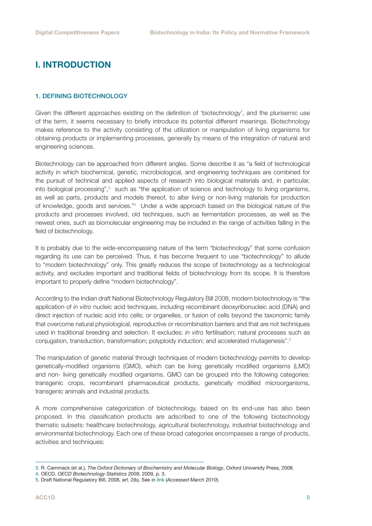## <span id="page-7-0"></span>I. INTRODUCTION

#### 1. DEFINING BIOTECHNOLOGY

Given the different approaches existing on the definition of 'biotechnology', and the plurisemic use of the term, it seems necessary to briefly introduce its potential different meanings. Biotechnology makes reference to the activity consisting of the utilization or manipulation of living organisms for obtaining products or implementing processes, generally by means of the integration of natural and engineering sciences.

Biotechnology can be approached from different angles. Some describe it as "a field of technological activity in which biochemical, genetic, microbiological, and engineering techniques are combined for the pursuit of technical and applied aspects of research into biological materials and, in particular, into biological processing",<sup>3</sup> such as "the application of science and technology to living organisms, as well as parts, products and models thereof, to alter living or non-living materials for production of knowledge, goods and services."<sup>4</sup> Under a wide approach based on the biological nature of the products and processes involved, old techniques, such as fermentation processes, as well as the newest ones, such as biomolecular engineering may be included in the range of activities falling in the field of biotechnology.

It is probably due to the wide-encompassing nature of the term "biotechnology" that some confusion regarding its use can be perceived. Thus, it has become frequent to use "biotechnology" to allude to "modern biotechnology" only. This greatly reduces the scope of biotechnology as a technological activity, and excludes important and traditional fields of biotechnology from its scope. It is therefore important to properly define "modern biotechnology".

According to the Indian draft National Biotechnology Regulatory Bill 2008, modern biotechnology is "the application of *in vitro* nucleic acid techniques, including recombinant deoxyribonucleic acid (DNA) and direct injection of nucleic acid into cells; or organelles, or fusion of cells beyond the taxonomic family that overcome natural physiological, reproductive or recombination barriers and that are not techniques used in traditional breeding and selection. It excludes: *in vitro* fertilisation; natural processes such as conjugation, transduction, transformation; polyploidy induction; and accelerated mutagenesis".<sup>5</sup>

The manipulation of genetic material through techniques of modern biotechnology permits to develop genetically-modified organisms (GMO), which can be living genetically modified organisms (LMO) and non- living genetically modified organisms. GMO can be grouped into the following categories: transgenic crops, recombinant pharmaceutical products, genetically modified microorganisms, transgenic animals and industrial products.

A more comprehensive categorization of biotechnology, based on its end-use has also been proposed. In this classification products are adscribed to one of the following biotechnology thematic subsets: healthcare biotechnology, agricultural biotechnology, industrial biotechnology and environmental biotechnology. Each one of these broad categories encompasses a range of products, activities and techniques:

<sup>3.</sup> R. Cammack (et al.), *The Oxford Dictionary of Biochemistry and Molecular Biology*, Oxford University Press, 2008.

<sup>4.</sup> OECD, *OECD Biotechnology Statistics 2009*, 2009, p. 3.

<sup>5.</sup> Draft National Regulatory Bill, 2008, art. 2(k), See in [link](http://www.dbtindia.nic.in/Draft%20NBR%20Act_%2028may2008.pdf) (*Accessed March 2010*).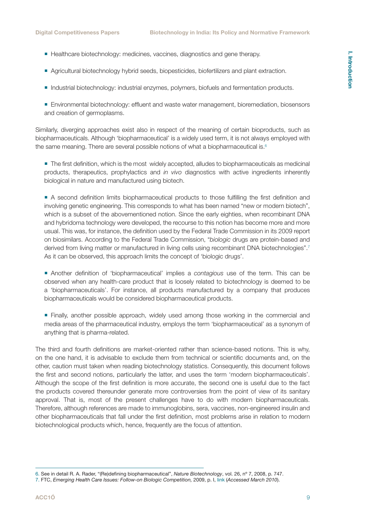- Healthcare biotechnology: medicines, vaccines, diagnostics and gene therapy.
- Agricultural biotechnology hybrid seeds, biopesticides, biofertilizers and plant extraction.
- Industrial biotechnology: industrial enzymes, polymers, biofuels and fermentation products.
- **Environmental biotechnology: effluent and waste water management, bioremediation, biosensors** and creation of germoplasms.

Similarly, diverging approaches exist also in respect of the meaning of certain bioproducts, such as biopharmaceuticals. Although 'biopharmaceutical' is a widely used term, it is not always employed with the same meaning. There are several possible notions of what a biopharmaceutical is. $6$ 

**The first definition, which is the most widely accepted, alludes to biopharmaceuticals as medicinal** products, therapeutics, prophylactics and *in vivo* diagnostics with active ingredients inherently biological in nature and manufactured using biotech.

 A second definition limits biopharmaceutical products to those fulfilling the first definition and involving genetic engineering. This corresponds to what has been named "new or modern biotech", which is a subset of the abovementioned notion. Since the early eighties, when recombinant DNA and hybridoma technology were developed, the recourse to this notion has become more and more usual. This was, for instance, the definition used by the Federal Trade Commission in its 2009 report on biosimilars. According to the Federal Trade Commission, "*biologic* drugs are protein-based and derived from living matter or manufactured in living cells using recombinant DNA biotechnologies".<sup>7</sup> As it can be observed, this approach limits the concept of 'biologic drugs'.

- Another definition of 'biopharmaceutical' implies a *contagious* use of the term. This can be observed when any health-care product that is loosely related to biotechnology is deemed to be a 'biopharmaceuticals'. For instance, all products manufactured by a company that produces biopharmaceuticals would be considered biopharmaceutical products.
- Finally, another possible approach, widely used among those working in the commercial and media areas of the pharmaceutical industry, employs the term 'biopharmaceutical' as a synonym of anything that is pharma-related.

The third and fourth definitions are market-oriented rather than science-based notions. This is why, on the one hand, it is advisable to exclude them from technical or scientific documents and, on the other, caution must taken when reading biotechnology statistics. Consequently, this document follows the first and second notions, particularly the latter, and uses the term 'modern biopharmaceuticals'. Although the scope of the first definition is more accurate, the second one is useful due to the fact the products covered thereunder generate more controversies from the point of view of its sanitary approval. That is, most of the present challenges have to do with modern biopharmaceuticals. Therefore, although references are made to immunoglobins, sera, vaccines, non-engineered insulin and other biopharmaceuticals that fall under the first definition, most problems arise in relation to modern biotechnological products which, hence, frequently are the focus of attention.

<sup>6.</sup> See in detail R. A. Rader, "(Re)defining biopharmaceutical", *Nature Biotechnology*, vol. 26, nº 7, 2008, p. 747.

<sup>7.</sup> FTC, *Emerging Health Care Issues: Follow-on Biologic Competition,* 2009, p. I, [link](http://www.ftc.gov/os/2009/06/P083901biologicsreport.pdf) (*Accessed March 2010*).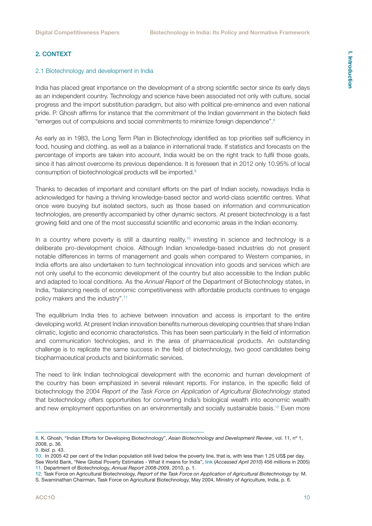#### <span id="page-9-0"></span>2. CONTEXT

#### 2.1 Biotechnology and development in India

India has placed great importance on the development of a strong scientific sector since its early days as an independent country. Technology and science have been associated not only with culture, social progress and the import substitution paradigm, but also with political pre-eminence and even national pride. P. Ghosh affirms for instance that the commitment of the Indian government in the biotech field "emerges out of compulsions and social commitments to minimize foreign dependence".<sup>8</sup>

As early as in 1983, the Long Term Plan in Biotechnology identified as top priorities self sufficiency in food, housing and clothing, as well as a balance in international trade. If statistics and forecasts on the percentage of imports are taken into account, India would be on the right track to fulfil those goals, since it has almost overcome its previous dependence. It is foreseen that in 2012 only 10.95% of local consumption of biotechnological products will be imported.<sup>9</sup>

Thanks to decades of important and constant efforts on the part of Indian society, nowadays India is acknowledged for having a thriving knowledge-based sector and world-class scientific centres. What once were buoying but isolated sectors, such as those based on information and communication technologies, are presently accompanied by other dynamic sectors. At present biotechnology is a fast growing field and one of the most successful scientific and economic areas in the Indian economy.

In a country where poverty is still a daunting reality,<sup>10</sup> investing in science and technology is a deliberate pro-development choice. Although Indian knowledge-based industries do not present notable differences in terms of management and goals when compared to Western companies, in India efforts are also undertaken to turn technological innovation into goods and services which are not only useful to the economic development of the country but also accessible to the Indian public and adapted to local conditions. As the *Annual Report* of the Department of Biotechnology states, in India, "balancing needs of economic competitiveness with affordable products continues to engage policy makers and the industry".11

The equilibrium India tries to achieve between innovation and access is important to the entire developing world. At present Indian innovation benefits numerous developing countries that share Indian climatic, logistic and economic characteristics. This has been seen particularly in the field of information and communication technologies, and in the area of pharmaceutical products. An outstanding challenge is to replicate the same success in the field of biotechnology, two good candidates being biopharmaceutical products and bioinformatic services.

The need to link Indian technological development with the economic and human development of the country has been emphasized in several relevant reports. For instance, in the specific field of biotechnology the 2004 *Report of the Task Force on Application of Agricultural Biotechnology* stated that biotechnology offers opportunities for converting India's biological wealth into economic wealth and new employment opportunities on an environmentally and socially sustainable basis.<sup>12</sup> Even more

<sup>8.</sup> K. Ghosh, "Indian Efforts for Developing Biotechnology", *Asian Biotechnology and Development Review*, vol. 11, nº 1, 2008, p. 36.

<sup>9.</sup> *Ibid*. p. 43.

<sup>10.</sup> In 2005 42 per cent of the Indian population still lived below the poverty line, that is, with less than 1.25 US\$ per day.

See World Bank, "New Global Poverty Estimates - What it means for India", [link](http://www.worldbank.org.in/WBSITE/EXTERNAL/COUNTRIES/SOUTHASIAEXT/ INDIAEXTN/0,,contentMDK:21880725~pagePK:141137~piPK:141127~theSitePK:295584,00.html) (*Accessed April 2010*) 456 millions in 2005) 11. Department of Biotechnology, *Annual Report 2008-2009*, 2010, p. 1*.*

<sup>12.</sup> Task Force on Agricultural Biotechnology, *Report of the Task Force on Application of Agricultural Biotechnology* by: M.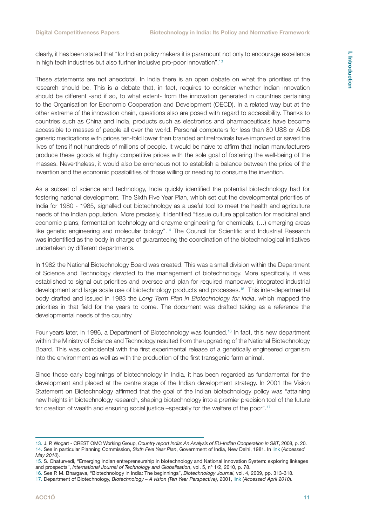clearly, it has been stated that "for Indian policy makers it is paramount not only to encourage excellence in high tech industries but also further inclusive pro-poor innovation".<sup>13</sup>

These statements are not anecdotal. In India there is an open debate on what the priorities of the research should be. This is a debate that, in fact, requires to consider whether Indian innovation should be different -and if so, to what extent- from the innovation generated in countries pertaining to the Organisation for Economic Cooperation and Development (OECD). In a related way but at the other extreme of the innovation chain, questions also are posed with regard to accessibility. Thanks to countries such as China and India, products such as electronics and pharmaceuticals have become accessible to masses of people all over the world. Personal computers for less than 80 US\$ or AIDS generic medications with prices ten-fold lower than branded antirretrovirals have improved or saved the lives of tens if not hundreds of millions of people. It would be naïve to affirm that Indian manufacturers produce these goods at highly competitive prices with the sole goal of fostering the well-being of the masses. Nevertheless, it would also be erroneous not to establish a balance between the price of the invention and the economic possibilities of those willing or needing to consume the invention.

As a subset of science and technology, India quickly identified the potential biotechnology had for fostering national development. The Sixth Five Year Plan, which set out the developmental priorities of India for 1980 - 1985, signalled out biotechnology as a useful tool to meet the health and agriculture needs of the Indian population. More precisely, it identified "tissue culture application for medicinal and economic plans; fermentation technology and enzyme engineering for chemicals; (…) emerging areas like genetic engineering and molecular biology".14 The Council for Scientific and Industrial Research was indentified as the body in charge of guaranteeing the coordination of the biotechnological initiatives undertaken by different departments.

In 1982 the National Biotechnology Board was created. This was a small division within the Department of Science and Technology devoted to the management of biotechnology. More specifically, it was established to signal out priorities and oversee and plan for required manpower, integrated industrial development and large scale use of biotechnology products and processes.15 This inter-departmental body drafted and issued in 1983 the *Long Term Plan in Biotechnology for India*, which mapped the priorities in that field for the years to come. The document was drafted taking as a reference the developmental needs of the country.

Four years later, in 1986, a Department of Biotechnology was founded.16 In fact, this new department within the Ministry of Science and Technology resulted from the upgrading of the National Biotechnology Board. This was coincidental with the first experimental release of a genetically engineered organism into the environment as well as with the production of the first transgenic farm animal.

Since those early beginnings of biotechnology in India, it has been regarded as fundamental for the development and placed at the centre stage of the Indian development strategy. In 2001 the Vision Statement on Biotechnology affirmed that the goal of the Indian biotechnology policy was "attaining new heights in biotechnology research, shaping biotechnology into a premier precision tool of the future for creation of wealth and ensuring social justice –specially for the welfare of the poor".17

<sup>13.</sup> J. P. Wogart - CREST OMC Working Group, *Country report India: An Analysis of EU-Indian Cooperation in S&T*, 2008, p. 20. 14. See in particular Planning Commission, *Sixth Five Year Plan*, Government of India, New Delhi, 1981. In [link](http://www. Planningcommission.nic.in/plans/planrel/fiveyr/index9.html) (*Accessed May 2010*).

<sup>15.</sup> S. Chaturvedi, "Emerging Indian entrepreneurship in biotechnology and National Innovation System: exploring linkages and prospects", *International Journal of Technology and Globalisation*, vol. 5, nº 1/2, 2010, p. 78.

<sup>16.</sup> See P. M. Bhargava, "Biotechnology in India: The beginnings", *Biotechnology Journal*, vol. 4, 2009, pp. 313-318.

<sup>17.</sup> Department of Biotechnology, *Biotechnology – A vision (Ten Year Perspective)*, 2001, [link](http://dbtindia.nic.in/uniquepage.asp?id_pk=102) (*Accessed April 2010*).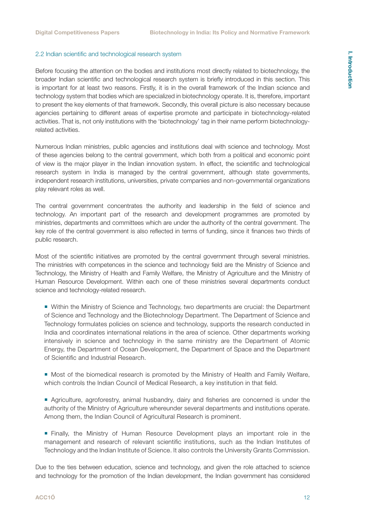#### <span id="page-11-0"></span>2.2 Indian scientific and technological research system

Before focusing the attention on the bodies and institutions most directly related to biotechnology, the broader Indian scientific and technological research system is briefly introduced in this section. This is important for at least two reasons. Firstly, it is in the overall framework of the Indian science and technology system that bodies which are specialized in biotechnology operate. It is, therefore, important to present the key elements of that framework. Secondly, this overall picture is also necessary because agencies pertaining to different areas of expertise promote and participate in biotechnology-related activities. That is, not only institutions with the 'biotechnology' tag in their name perform biotechnologyrelated activities.

Numerous Indian ministries, public agencies and institutions deal with science and technology. Most of these agencies belong to the central government, which both from a political and economic point of view is the major player in the Indian innovation system. In effect, the scientific and technological research system in India is managed by the central government, although state governments, independent research institutions, universities, private companies and non-governmental organizations play relevant roles as well.

The central government concentrates the authority and leadership in the field of science and technology. An important part of the research and development programmes are promoted by ministries, departments and committees which are under the authority of the central government. The key role of the central government is also reflected in terms of funding, since it finances two thirds of public research.

Most of the scientific initiatives are promoted by the central government through several ministries. The ministries with competences in the science and technology field are the Ministry of Science and Technology, the Ministry of Health and Family Welfare, the Ministry of Agriculture and the Ministry of Human Resource Development. Within each one of these ministries several departments conduct science and technology-related research.

 Within the Ministry of Science and Technology, two departments are crucial: the Department of Science and Technology and the Biotechnology Department. The Department of Science and Technology formulates policies on science and technology, supports the research conducted in India and coordinates international relations in the area of science. Other departments working intensively in science and technology in the same ministry are the Department of Atomic Energy, the Department of Ocean Development, the Department of Space and the Department of Scientific and Industrial Research.

 Most of the biomedical research is promoted by the Ministry of Health and Family Welfare, which controls the Indian Council of Medical Research, a key institution in that field.

 Agriculture, agroforestry, animal husbandry, dairy and fisheries are concerned is under the authority of the Ministry of Agriculture whereunder several departments and institutions operate. Among them, the Indian Council of Agricultural Research is prominent.

 Finally, the Ministry of Human Resource Development plays an important role in the management and research of relevant scientific institutions, such as the Indian Institutes of Technology and the Indian Institute of Science. It also controls the University Grants Commission.

Due to the ties between education, science and technology, and given the role attached to science and technology for the promotion of the Indian development, the Indian government has considered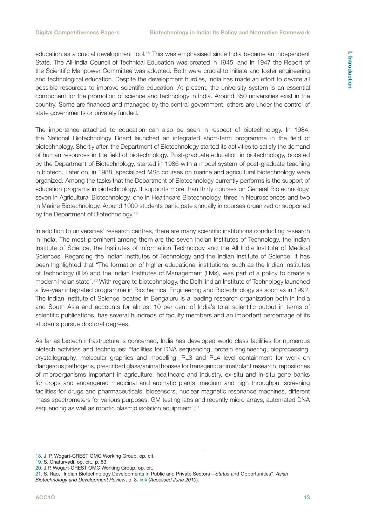education as a crucial development tool.18 This was emphasised since India became an independent State. The All-India Council of Technical Education was created in 1945, and in 1947 the Report of the Scientific Manpower Committee was adopted. Both were crucial to initiate and foster engineering and technological education. Despite the development hurdles, India has made an effort to devote all possible resources to improve scientific education. At present, the university system is an essential component for the promotion of science and technology in India. Around 350 universities exist in the country. Some are financed and managed by the central government, others are under the control of state governments or privately funded.

The importance attached to education can also be seen in respect of biotechnology. In 1984, the National Biotechnology Board launched an integrated short-term programme in the field of biotechnology. Shortly after, the Department of Biotechnology started its activities to satisfy the demand of human resources in the field of biotechnology. Post-graduate education in biotechnology, boosted by the Department of Biotechnology, started in 1986 with a model system of post-graduate teaching in biotech. Later on, in 1988, specialized MSc courses on marine and agricultural biotechnology were organized. Among the tasks that the Department of Biotechnology currently performs is the support of education programs in biotechnology. It supports more than thirty courses on General Biotechnology, seven in Agricultural Biotechnology, one in Healthcare Biotechnology, three in Neurosciences and two in Marine Biotechnology. Around 1000 students participate annually in courses organized or supported by the Department of Biotechnology.<sup>19</sup>

In addition to universities' research centres, there are many scientific institutions conducting research in India. The most prominent among them are the seven Indian Institutes of Technology, the Indian Institute of Science, the Institutes of Information Technology and the All India Institute of Medical Sciences. Regarding the Indian Institutes of Technology and the Indian Institute of Science, it has been highlighted that "The formation of higher educational institutions, such as the Indian Institutes of Technology (IITs) and the Indian Institutes of Management (IIMs), was part of a policy to create a modern Indian state".20 With regard to biotechnology, the Delhi Indian Institute of Technology launched a five-year integrated programme in Biochemical Engineering and Biotechnology as soon as in 1992. The Indian Institute of Science located in Bengaluru is a leading research organization both in India and South Asia and accounts for almost 10 per cent of India's total scientific output in terms of scientific publications, has several hundreds of faculty members and an important percentage of its students pursue doctoral degrees.

As far as biotech infrastructure is concerned, India has developed world class facilities for numerous biotech activities and techniques: "facilities for DNA sequencing, protein engineering, bioprocessing, crystallography, molecular graphics and modelling, PL3 and PL4 level containment for work on dangerous pathogens, prescribed glass/animal houses for transgenic animal/plant research, repositories of microorganisms important in agriculture, healthcare and industry, ex-situ and in-situ gene banks for crops and endangered medicinal and aromatic plants, medium and high throughput screening facilities for drugs and pharmaceuticals, biosensors, nuclear magnetic resonance machines, different mass spectrometers for various purposes, GM testing labs and recently micro arrays, automated DNA sequencing as well as robotic plasmid isolation equipment".<sup>21</sup>

**I. Introduction**

<sup>18.</sup> J. P. Wogart-CREST OMC Working Group, op. cit.

<sup>19.</sup> S. Chaturvedi, op. cit., p. 83.

<sup>20.</sup> J.P. Wogart-CREST OMC Working Group, op. cit.

<sup>21.</sup> S. Rao, "Indian Biotechnology Developments in Public and Private Sectors – *Status* and Opportunities", *Asian Biotechnology and Development Review*, p. 3. [link](http://www.ris.org.in/abdr_nov1.pdf) (*Accessed June 2010*).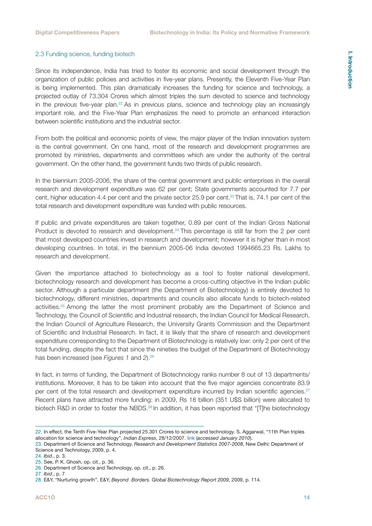#### 2.3 Funding science, funding biotech

Since its independence, India has tried to foster its economic and social development through the organization of public policies and activities in five-year plans. Presently, the Eleventh Five-Year Plan is being implemented. This plan dramatically increases the funding for science and technology, a projected outlay of 73.304 Crores which almost triples the sum devoted to science and technology in the previous five-year plan.<sup>22</sup> As in previous plans, science and technology play an increasingly important role, and the Five-Year Plan emphasizes the need to promote an enhanced interaction between scientific institutions and the industrial sector.

From both the political and economic points of view, the major player of the Indian innovation system is the central government. On one hand, most of the research and development programmes are promoted by ministries, departments and committees which are under the authority of the central government. On the other hand, the government funds two thirds of public research.

In the biennium 2005-2006, the share of the central government and public enterprises in the overall research and development expenditure was 62 per cent; State governments accounted for 7.7 per cent, higher education 4.4 per cent and the private sector 25.9 per cent.<sup>23</sup> That is, 74.1 per cent of the total research and development expenditure was funded with public resources.

If public and private expenditures are taken together, 0.89 per cent of the Indian Gross National Product is devoted to research and development.24 This percentage is still far from the 2 per cent that most developed countries invest in research and development; however it is higher than in most developing countries. In total, in the biennium 2005-06 India devoted 1994665.23 Rs. Lakhs to research and development.

Given the importance attached to biotechnology as a tool to foster national development, biotechnology research and development has become a cross-cutting objective in the Indian public sector. Although a particular department (the Department of Biotechnology) is entirely devoted to biotechnology, different ministries, departments and councils also allocate funds to biotech-related activities.<sup>25</sup> Among the latter the most prominent probably are the Department of Science and Technology, the Council of Scientific and Industrial research, the Indian Council for Medical Research, the Indian Council of Agriculture Research, the University Grants Commission and the Department of Scientific and Industrial Research. In fact, it is likely that the share of research and development expenditure corresponding to the Department of Biotechnology is relatively low: only 2 per cent of the total funding, despite the fact that since the nineties the budget of the Department of Biotechnology has been increased (see *Figures 1* and *2*).26

In fact, in terms of funding, the Department of Biotechnology ranks number 8 out of 13 departments/ institutions. Moreover, it has to be taken into account that the five major agencies concentrate 83.9 per cent of the total research and development expenditure incurred by Indian scientific agencies.<sup>27</sup> Recent plans have attracted more funding: in 2009, Rs 18 billion (351 U\$S billion) were allocated to biotech R&D in order to foster the NBDS.<sup>28</sup> In addition, it has been reported that "[T]he biotechnology

<sup>22.</sup> In effect, the Tenth Five-Year Plan projected 25.301 Crores to science and technology. S. Aggarwal, "11th Plan triples allocation for science and technology", *Indian Express*, 28/12/2007. [link](http://www.indianexpress.com/news/11th-plan-triples-allocation-for-science-and-technology/255433) (*accessed January 2010*).

<sup>23.</sup> Department of Science and Technology, *Research and Development Statistics 2007-2008*, New Delhi: Department of Science and Technology, 2009, p. 4.

<sup>24.</sup> *Ibid*., p. 3.

<sup>25.</sup> See, P. K. Ghosh, op. cit., p. 36.

<sup>26.</sup> Department of Science and Technology, op. cit., p. 26.

<sup>27.</sup> *Ibid*., p. 7

<sup>28.</sup> E&Y, "Nurturing growth", E&Y, *Beyond Borders. Global Biotechnology Report 2009*, 2009, p. 114.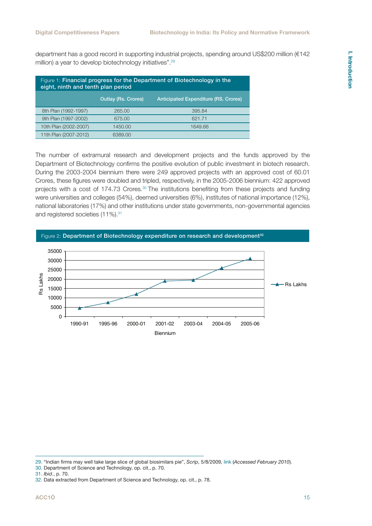I. Introduction **I. Introduction**

department has a good record in supporting industrial projects, spending around US\$200 million (€142 million) a year to develop biotechnology initiatives".<sup>29</sup>

| Figure 1: Financial progress for the Department of Biotechnology in the<br>eight, ninth and tenth plan period |                            |                                             |  |  |
|---------------------------------------------------------------------------------------------------------------|----------------------------|---------------------------------------------|--|--|
|                                                                                                               | <b>Outlay (Rs. Crores)</b> | <b>Anticipated Expenditure (RS. Crores)</b> |  |  |
| 8th Plan (1992-1997)                                                                                          | 265.00                     | 395.84                                      |  |  |
| 9th Plan (1997-2002)                                                                                          | 675.00                     | 621.71                                      |  |  |
| 10th Plan (2002-2007)                                                                                         | 1450.00                    | 1649.66                                     |  |  |
| 11th Plan (2007-2012)                                                                                         | 6389.00                    |                                             |  |  |

The number of extramural research and development projects and the funds approved by the Department of Biotechnology confirms the positive evolution of public investment in biotech research. During the 2003-2004 biennium there were 249 approved projects with an approved cost of 60.01 Crores, these figures were doubled and tripled, respectively, in the 2005-2006 biennium: 422 approved projects with a cost of 174.73 Crores.30 The institutions benefiting from these projects and funding were universities and colleges (54%), deemed universities (6%), institutes of national importance (12%), national laboratories (17%) and other institutions under state governments, non-governmental agencies and registered societies (11%).<sup>31</sup>



- 30. Department of Science and Technology, op. cit., p. 70.
- 31. *Ibid*., p. 70.

<sup>29. &</sup>quot;Indian firms may well take large slice of global biosimilars pie", *Scrip*, 5/8/2009, [link](http://www.gabionline.net/Biosimilars/News/Indian-firms-may-well-take-large-slice-of-global-biosimilars-pie) (*Accessed February 2010*).

<sup>32.</sup> Data extracted from Department of Science and Technology, op. cit., p. 78.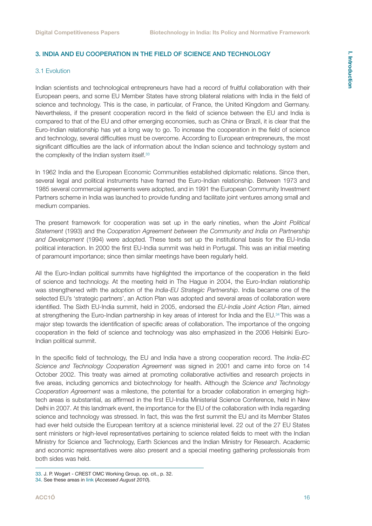## I. Introduction **I. Introduction**

#### <span id="page-15-0"></span>3. INDIA AND EU COOPERATION IN THE FIELD OF SCIENCE AND TECHNOLOGY

#### 3.1 Evolution

Indian scientists and technological entrepreneurs have had a record of fruitful collaboration with their European peers, and some EU Member States have strong bilateral relations with India in the field of science and technology. This is the case, in particular, of France, the United Kingdom and Germany. Nevertheless, if the present cooperation record in the field of science between the EU and India is compared to that of the EU and other emerging economies, such as China or Brazil, it is clear that the Euro-Indian relationship has yet a long way to go. To increase the cooperation in the field of science and technology, several difficulties must be overcome. According to European entrepreneurs, the most significant difficulties are the lack of information about the Indian science and technology system and the complexity of the Indian system itself.<sup>33</sup>

In 1962 India and the European Economic Communities established diplomatic relations. Since then, several legal and political instruments have framed the Euro-Indian relationship. Between 1973 and 1985 several commercial agreements were adopted, and in 1991 the European Community Investment Partners scheme in India was launched to provide funding and facilitate joint ventures among small and medium companies.

The present framework for cooperation was set up in the early nineties, when the *Joint Political Statement* (1993) and the *Cooperation Agreement between the Community and India on Partnership and Development* (1994) were adopted. These texts set up the institutional basis for the EU-India political interaction. In 2000 the first EU-India summit was held in Portugal. This was an initial meeting of paramount importance; since then similar meetings have been regularly held.

All the Euro-Indian political summits have highlighted the importance of the cooperation in the field of science and technology. At the meeting held in The Hague in 2004, the Euro-Indian relationship was strengthened with the adoption of the *India-EU Strategic Partnership*. India became one of the selected EU's 'strategic partners', an Action Plan was adopted and several areas of collaboration were identified. The Sixth EU-India summit, held in 2005, endorsed the *EU-India Joint Action Plan*, aimed at strengthening the Euro-Indian partnership in key areas of interest for India and the EU.34 This was a major step towards the identification of specific areas of collaboration. The importance of the ongoing cooperation in the field of science and technology was also emphasized in the 2006 Helsinki Euro-Indian political summit.

In the specific field of technology, the EU and India have a strong cooperation record. The *India-EC Science and Technology Cooperation Agreement* was signed in 2001 and came into force on 14 October 2002. This treaty was aimed at promoting collaborative activities and research projects in five areas, including genomics and biotechnology for health. Although the *Science and Technology Cooperation Agreement* was a milestone, the potential for a broader collaboration in emerging hightech areas is substantial, as affirmed in the first EU-India Ministerial Science Conference, held in New Delhi in 2007. At this landmark event, the importance for the EU of the collaboration with India regarding science and technology was stressed. In fact, this was the first summit the EU and its Member States had ever held outside the European territory at a science ministerial level. 22 out of the 27 EU States sent ministers or high-level representatives pertaining to science related fields to meet with the Indian Ministry for Science and Technology, Earth Sciences and the Indian Ministry for Research. Academic and economic representatives were also present and a special meeting gathering professionals from both sides was held.

<sup>33.</sup> J. P. Wogart - CREST OMC Working Group, op. cit., p. 32.

<sup>34.</sup> See these areas in [link](http://ec.europa.eu/comm/external_relations/india/sum09_05/05_jap_ 060905.pdf) (*Accessed August 2010*).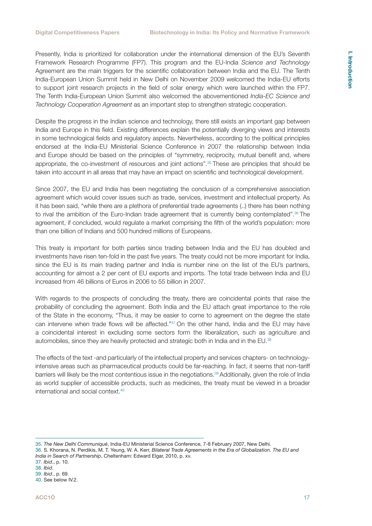Presently, India is prioritized for collaboration under the international dimension of the EU's Seventh Framework Research Programme (FP7). This program and the EU-India *Science and Technology* Agreement are the main triggers for the scientific collaboration between India and the EU. The Tenth India-European Union Summit held in New Delhi on November 2009 welcomed the India-EU efforts to support joint research projects in the field of solar energy which were launched within the FP7. The Tenth India-European Union Summit also welcomed the abovementioned *India-EC Science and Technology Cooperation Agreement* as an important step to strengthen strategic cooperation.

Despite the progress in the Indian science and technology, there still exists an important gap between India and Europe in this field. Existing differences explain the potentially diverging views and interests in some technological fields and regulatory aspects. Nevertheless, according to the political principles endorsed at the India-EU Ministerial Science Conference in 2007 the relationship between India and Europe should be based on the principles of "symmetry, reciprocity, mutual benefit and, where appropriate, the co-investment of resources and joint actions".35 These are principles that should be taken into account in all areas that may have an impact on scientific and technological development.

Since 2007, the EU and India has been negotiating the conclusion of a comprehensive association agreement which would cover issues such as trade, services, investment and intellectual property. As it has been said, "while there are a plethora of preferential trade agreements (..) there has been nothing to rival the ambition of the Euro-Indian trade agreement that is currently being contemplated".<sup>36</sup> The agreement, if concluded, would regulate a market comprising the fifth of the world's population: more than one billion of Indians and 500 hundred millions of Europeans.

This treaty is important for both parties since trading between India and the EU has doubled and investments have risen ten-fold in the past five years. The treaty could not be more important for India, since the EU is its main trading partner and India is number nine on the list of the EU's partners, accounting for almost a 2 per cent of EU exports and imports. The total trade between India and EU increased from 46 billions of Euros in 2006 to 55 billion in 2007.

With regards to the prospects of concluding the treaty, there are coincidental points that raise the probability of concluding the agreement. Both India and the EU attach great importance to the role of the State in the economy, "Thus, it may be easier to come to agreement on the degree the state can intervene when trade flows will be affected."37 On the other hand, India and the EU may have a coincidental interest in excluding some sectors form the liberalization, such as agriculture and automobiles, since they are heavily protected and strategic both in India and in the EU.38

The effects of the text -and particularly of the intellectual property and services chapters- on technologyintensive areas such as pharmaceutical products could be far-reaching. In fact, it seems that non-tariff barriers will likely be the most contentious issue in the negotiations.39 Additionally, given the role of India as world supplier of accessible products, such as medicines, the treaty must be viewed in a broader international and social context.40

<sup>35.</sup> *The New Delhi Communiqué*, India-EU Ministerial Science Conference, 7-8 February 2007, New Delhi.

<sup>36.</sup> S. Khorana, N. Perdikis, M. T. Yeung, W. A. Kerr, *Bilateral Trade Agreements in the Era of Globalization. The EU and India in Search of Partnership*, Cheltenham: Edward Elgar, 2010, p. xv.

<sup>37.</sup> *Ibid*., p. 10.

<sup>38.</sup> *Ibid*.

<sup>39.</sup> *Ibid*., p. 69. 40. See below IV.2.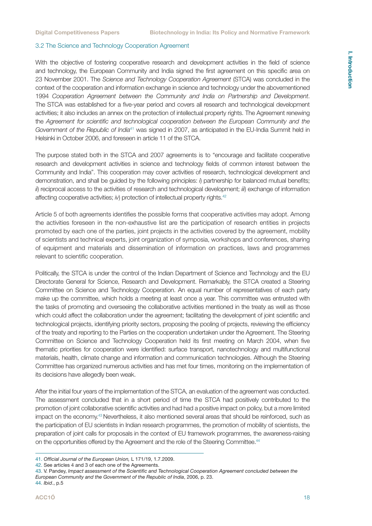#### <span id="page-17-0"></span>3.2 The Science and Technology Cooperation Agreement

With the objective of fostering cooperative research and development activities in the field of science and technology, the European Community and India signed the first agreement on this specific area on 23 November 2001. The *Science and Technology Cooperation Agreement* (STCA) was concluded in the context of the cooperation and information exchange in science and technology under the abovementioned 1994 *Cooperation Agreement between the Community and India on Partnership and Development*. The STCA was established for a five-year period and covers all research and technological development activities; it also includes an annex on the protection of intellectual property rights. The Agreement renewing the *Agreement for scientific and technological cooperation between the European Community and the Government of the Republic of India*41 was signed in 2007, as anticipated in the EU-India Summit held in Helsinki in October 2006, and foreseen in article 11 of the STCA.

The purpose stated both in the STCA and 2007 agreements is to "encourage and facilitate cooperative research and development activities in science and technology fields of common interest between the Community and India". This cooperation may cover activities of research, technological development and demonstration, and shall be guided by the following principles: *i*) partnership for balanced mutual benefits; *ii*) reciprocal access to the activities of research and technological development; *iii*) exchange of information affecting cooperative activities; *iv*) protection of intellectual property rights.<sup>42</sup>

Article 5 of both agreements identifies the possible forms that cooperative activities may adopt. Among the activities foreseen in the non-exhaustive list are the participation of research entities in projects promoted by each one of the parties, joint projects in the activities covered by the agreement, mobility of scientists and technical experts, joint organization of symposia, workshops and conferences, sharing of equipment and materials and dissemination of information on practices, laws and programmes relevant to scientific cooperation.

Politically, the STCA is under the control of the Indian Department of Science and Technology and the EU Directorate General for Science, Research and Development. Remarkably, the STCA created a Steering Committee on Science and Technology Cooperation. An equal number of representatives of each party make up the committee, which holds a meeting at least once a year. This committee was entrusted with the tasks of promoting and overseeing the collaborative activities mentioned in the treaty as well as those which could affect the collaboration under the agreement; facilitating the development of joint scientific and technological projects, identifying priority sectors, proposing the pooling of projects, reviewing the efficiency of the treaty and reporting to the Parties on the cooperation undertaken under the Agreement. The Steering Committee on Science and Technology Cooperation held its first meeting on March 2004, when five thematic priorities for cooperation were identified: surface transport, nanotechnology and multifunctional materials, health, climate change and information and communication technologies. Although the Steering Committee has organized numerous activities and has met four times, monitoring on the implementation of its decisions have allegedly been weak.

After the initial four years of the implementation of the STCA, an evaluation of the agreement was conducted. The assessment concluded that in a short period of time the STCA had positively contributed to the promotion of joint collaborative scientific activities and had had a positive impact on policy, but a more limited impact on the economy.43 Nevertheless, it also mentioned several areas that should be reinforced, such as the participation of EU scientists in Indian research programmes, the promotion of mobility of scientists, the preparation of joint calls for proposals in the context of EU framework programmes, the awareness-raising on the opportunities offered by the Agreement and the role of the Steering Committee.<sup>44</sup>

43. V. Pandey, *Impact assessment of the Scientific and Technological Cooperation Agreement concluded between the European Community and the Government of the Republic of India*, 2006, p. 23.

<sup>41.</sup> *Official Journal of the European Union,* L 171/19, 1.7.2009.

<sup>42.</sup> See articles 4 and 3 of each one of the Agreements.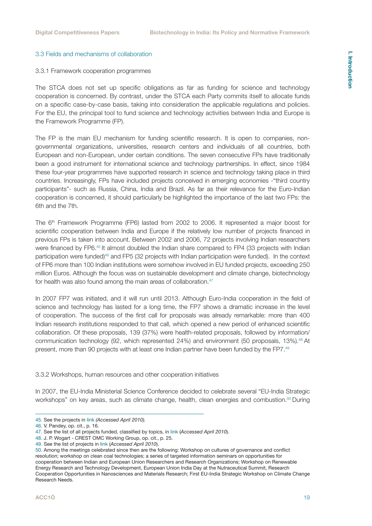## I. Introduction **I. Introduction**

#### <span id="page-18-0"></span>3.3 Fields and mechanisms of collaboration

#### 3.3.1 Framework cooperation programmes

The STCA does not set up specific obligations as far as funding for science and technology cooperation is concerned. By contrast, under the STCA each Party commits itself to allocate funds on a specific case-by-case basis, taking into consideration the applicable regulations and policies. For the EU, the principal tool to fund science and technology activities between India and Europe is the Framework Programme (FP).

The FP is the main EU mechanism for funding scientific research. It is open to companies, nongovernmental organizations, universities, research centers and individuals of all countries, both European and non-European, under certain conditions. The seven consecutive FPs have traditionally been a good instrument for international science and technology partnerships. In effect, since 1984 these four-year programmes have supported research in science and technology taking place in third countries. Increasingly, FPs have included projects conceived in emerging economies -"third country participants"- such as Russia, China, India and Brazil. As far as their relevance for the Euro-Indian cooperation is concerned, it should particularly be highlighted the importance of the last two FPs: the 6th and the 7th.

The 6th Framework Programme (FP6) lasted from 2002 to 2006. It represented a major boost for scientific cooperation between India and Europe if the relatively low number of projects financed in previous FPs is taken into account. Between 2002 and 2006, 72 projects involving Indian researchers were financed by FP6.<sup>45</sup> It almost doubled the Indian share compared to FP4 (33 projects with Indian participation were funded)46 and FP5 (32 projects with Indian participation were funded). In the context of FP6 more than 100 Indian institutions were somehow involved in EU funded projects, exceeding 250 million Euros. Although the focus was on sustainable development and climate change, biotechnology for health was also found among the main areas of collaboration.<sup>47</sup>

In 2007 FP7 was initiated, and it will run until 2013. Although Euro-India cooperation in the field of science and technology has lasted for a long time, the FP7 shows a dramatic increase in the level of cooperation. The success of the first call for proposals was already remarkable: more than 400 Indian research institutions responded to that call, which opened a new period of enhanced scientific collaboration. Of these proposals, 139 (37%) were health-related proposals, followed by information/ communication technology (92, which represented 24%) and environment (50 proposals, 13%).<sup>48</sup> At present, more than 90 projects with at least one Indian partner have been funded by the FP7.49

3.3.2 Workshops, human resources and other cooperation initiatives

In 2007, the EU-India Ministerial Science Conference decided to celebrate several "EU-India Strategic workshops" on key areas, such as climate change, health, clean energies and combustion.<sup>50</sup> During

<sup>45.</sup> See the projects in [link](http://euroindiaresearch.org/fp7_india_indiaFP6.htm) *(Accessed April 2010).*

<sup>46.</sup> V. Pandey, op. cit., p. 16.

<sup>47.</sup> See the list of all projects funded, classified by topics, in [link](http://euroindiaresearch.org/fp7_india_indiaFP6.htm) (*Accessed April 2010*).

<sup>48.</sup> J. P. Wogart - CREST OMC Working Group, op. cit., p. 25.

<sup>49.</sup> See the list of projects in [link](http://euroindiaresearch.org/fp7_india_indiaFP7.htm) (*Accessed April 2010*).

<sup>50.</sup> Among the meetings celebrated since then are the following: Workshop on cultures of governance and conflict resolution; workshop on clean coal technologies; a series of targeted information seminars on opportunities for cooperation between Indian and European Union Researchers and Research Organizations; Workshop on Renewable Energy Research and Technology Development, European Union India Day at the Nutraceutical Summit, Research Cooperation Opportunities in Nanosciences and Materials Research; First EU-India Strategic Workshop on Climate Change Research Needs.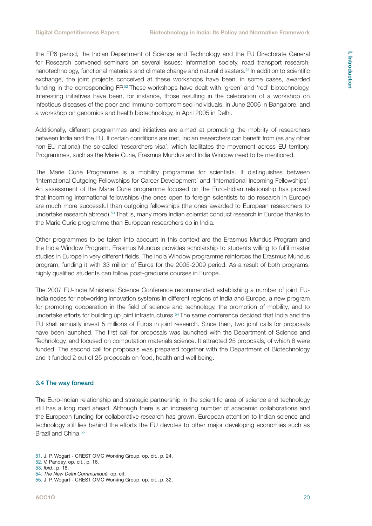<span id="page-19-0"></span>the FP6 period, the Indian Department of Science and Technology and the EU Directorate General for Research convened seminars on several issues: information society, road transport research, nanotechnology, functional materials and climate change and natural disasters.<sup>51</sup> In addition to scientific exchange, the joint projects conceived at these workshops have been, in some cases, awarded funding in the corresponding FP.<sup>52</sup> These workshops have dealt with 'green' and 'red' biotechnology. Interesting initiatives have been, for instance, those resulting in the celebration of a workshop on infectious diseases of the poor and immuno-compromised individuals, in June 2006 in Bangalore, and a workshop on genomics and health biotechnology, in April 2005 in Delhi.

Additionally, different programmes and initiatives are aimed at promoting the mobility of researchers between India and the EU. If certain conditions are met, Indian researchers can benefit from (as any other non-EU national) the so-called 'researchers visa', which facilitates the movement across EU territory. Programmes, such as the Marie Curie, Erasmus Mundus and India Window need to be mentioned.

The Marie Curie Programme is a mobility programme for scientists. It distinguishes between 'International Outgoing Fellowships for Career Development' and 'International Incoming Fellowships'. An assessment of the Marie Curie programme focused on the Euro-Indian relationship has proved that incoming international fellowships (the ones open to foreign scientists to do research in Europe) are much more successful than outgoing fellowships (the ones awarded to European researchers to undertake research abroad).<sup>53</sup> That is, many more Indian scientist conduct research in Europe thanks to the Marie Curie programme than European researchers do in India.

Other programmes to be taken into account in this context are the Erasmus Mundus Program and the India Window Program. Erasmus Mundus provides scholarship to students willing to fulfil master studies in Europe in very different fields. The India Window programme reinforces the Erasmus Mundus program, funding it with 33 million of Euros for the 2005-2009 period. As a result of both programs, highly qualified students can follow post-graduate courses in Europe.

The 2007 EU-India Ministerial Science Conference recommended establishing a number of joint EU-India nodes for networking innovation systems in different regions of India and Europe, a new program for promoting cooperation in the field of science and technology, the promotion of mobility, and to undertake efforts for building up joint infrastructures.54 The same conference decided that India and the EU shall annually invest 5 millions of Euros in joint research. Since then, two joint calls for proposals have been launched. The first call for proposals was launched with the Department of Science and Technology, and focused on computation materials science. It attracted 25 proposals, of which 6 were funded. The second call for proposals was prepared together with the Department of Biotechnology and it funded 2 out of 25 proposals on food, health and well being.

#### 3.4 The way forward

The Euro-Indian relationship and strategic partnership in the scientific area of science and technology still has a long road ahead. Although there is an increasing number of academic collaborations and the European funding for collaborative research has grown, European attention to Indian science and technology still lies behind the efforts the EU devotes to other major developing economies such as Brazil and China.<sup>55</sup>

54. *The New Delhi Communiqué,* op. cit.

<sup>51.</sup> J. P. Wogart - CREST OMC Working Group, op. cit., p. 24.

<sup>52.</sup> V. Pandey, op. cit., p. 16.

<sup>53.</sup> *Ibid*., p. 18.

<sup>55.</sup> J. P. Wogart - CREST OMC Working Group, op. cit., p. 32.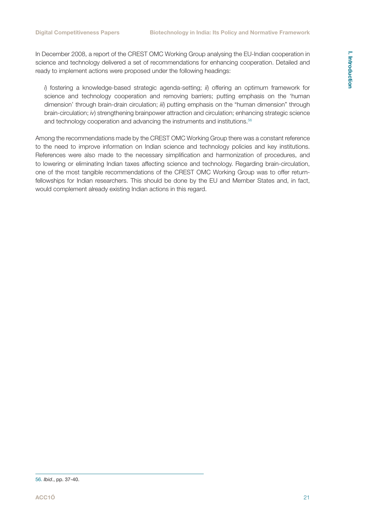In December 2008, a report of the CREST OMC Working Group analysing the EU-Indian cooperation in science and technology delivered a set of recommendations for enhancing cooperation. Detailed and ready to implement actions were proposed under the following headings:

*i*) fostering a knowledge-based strategic agenda-setting; *ii*) offering an optimum framework for science and technology cooperation and removing barriers; putting emphasis on the 'human dimension' through brain-drain circulation; *iii*) putting emphasis on the "human dimension" through brain-circulation; *iv*) strengthening brainpower attraction and circulation; enhancing strategic science and technology cooperation and advancing the instruments and institutions.<sup>56</sup>

Among the recommendations made by the CREST OMC Working Group there was a constant reference to the need to improve information on Indian science and technology policies and key institutions. References were also made to the necessary simplification and harmonization of procedures, and to lowering or eliminating Indian taxes affecting science and technology. Regarding brain-circulation, one of the most tangible recommendations of the CREST OMC Working Group was to offer returnfellowships for Indian researchers. This should be done by the EU and Member States and, in fact, would complement already existing Indian actions in this regard.

<sup>56.</sup> *Ibid*., pp. 37-40.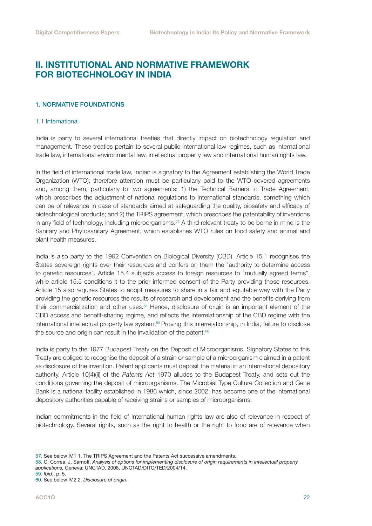### <span id="page-21-0"></span>II. INSTITUTIONAL AND NORMATIVE FRAMEWORK FOR BIOTECHNOLOGY IN INDIA

#### 1. NORMATIVE FOUNDATIONS

#### 1.1 International

India is party to several international treaties that directly impact on biotechnology regulation and management. These treaties pertain to several public international law regimes, such as international trade law, international environmental law, intellectual property law and international human rights law.

In the field of international trade law, Indian is signatory to the Agreement establishing the World Trade Organization (WTO); therefore attention must be particularly paid to the WTO covered agreements and, among them, particularly to two agreements: 1) the Technical Barriers to Trade Agreement, which prescribes the adjustment of national regulations to international standards, something which can be of relevance in case of standards aimed at safeguarding the quality, biosafety and efficacy of biotechnological products; and 2) the TRIPS agreement, which prescribes the patentability of inventions in any field of technology, including microorganisms.<sup>57</sup> A third relevant treaty to be borne in mind is the Sanitary and Phytosanitary Agreement, which establishes WTO rules on food safety and animal and plant health measures.

India is also party to the 1992 Convention on Biological Diversity (CBD). Article 15.1 recognises the States sovereign rights over their resources and confers on them the "authority to determine access to genetic resources". Article 15.4 subjects access to foreign resources to "mutually agreed terms", while article 15.5 conditions it to the prior informed consent of the Party providing those resources. Article 15 also requires States to adopt measures to share in a fair and equitable way with the Party providing the genetic resources the results of research and development and the benefits deriving from their commercialization and other uses.<sup>58</sup> Hence, disclosure of origin is an important element of the CBD access and benefit-sharing regime, and reflects the interrelationship of the CBD regime with the international intellectual property law system.59 Proving this interrelationship, in India, failure to disclose the source and origin can result in the invalidation of the patent.<sup>60</sup>

India is party to the 1977 Budapest Treaty on the Deposit of Microorganisms. Signatory States to this Treaty are obliged to recognise the deposit of a strain or sample of a microorganism claimed in a patent as disclosure of the invention. Patent applicants must deposit the material in an international depository authority. Article 10(4)(ii) of the *Patents Act* 1970 alludes to the Budapest Treaty, and sets out the conditions governing the deposit of microorganisms. The Microbial Type Culture Collection and Gene Bank is a national facility established in 1986 which, since 2002, has become one of the international depository authorities capable of receiving strains or samples of microorganisms.

Indian commitments in the field of International human rights law are also of relevance in respect of biotechnology. Several rights, such as the right to health or the right to food are of relevance when

<sup>57.</sup> See below IV.1 1. The TRIPS Agreement and the Patents Act successive amendments.

<sup>58.</sup> C. Correa, J. Sarnoff, *Analysis of options for implementing disclosure of origin requirements in intellectual property applications,* Geneva: UNCTAD, 2006, UNCTAD/DITC/TED/2004/14.

<sup>59.</sup> *Ibid*., p. 5.

<sup>60.</sup> See below IV.2.2. *Disclosure of origin*.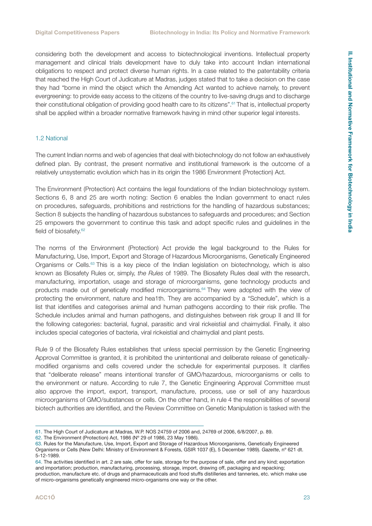<span id="page-22-0"></span>considering both the development and access to biotechnological inventions. Intellectual property management and clinical trials development have to duly take into account Indian international obligations to respect and protect diverse human rights. In a case related to the patentability criteria that reached the High Court of Judicature at Madras, judges stated that to take a decision on the case they had "borne in mind the object which the Amending Act wanted to achieve namely, to prevent evergreening: to provide easy access to the citizens of the country to live-saving drugs and to discharge their constitutional obligation of providing good health care to its citizens".61 That is, intellectual property shall be applied within a broader normative framework having in mind other superior legal interests.

#### 1.2 National

The current Indian norms and web of agencies that deal with biotechnology do not follow an exhaustively defined plan. By contrast, the present normative and institutional framework is the outcome of a relatively unsystematic evolution which has in its origin the 1986 Environment (Protection) Act.

The Environment (Protection) Act contains the legal foundations of the Indian biotechnology system. Sections 6, 8 and 25 are worth noting: Section 6 enables the Indian government to enact rules on procedures, safeguards, prohibitions and restrictions for the handling of hazardous substances; Section 8 subjects the handling of hazardous substances to safeguards and procedures; and Section 25 empowers the government to continue this task and adopt specific rules and guidelines in the field of biosafety.<sup>62</sup>

The norms of the Environment (Protection) Act provide the legal background to the Rules for Manufacturing, Use, Import, Export and Storage of Hazardous Microorganisms, Genetically Engineered Organisms or Cells.63 This is a key piece of the Indian legislation on biotechnology, which is also known as Biosafety Rules or, simply, *the Rules* of 1989. The Biosafety Rules deal with the research, manufacturing, importation, usage and storage of microorganisms, gene technology products and products made out of genetically modified microorganisms.<sup>64</sup> They were adopted with the view of protecting the environment, nature and hea1th. They are accompanied by a "Schedule", which is a list that identifies and categorises animal and human pathogens according to their risk profile. The Schedule includes animal and human pathogens, and distinguishes between risk group II and III for the following categories: bacterial, fugnal, parasitic and viral rickeistial and chaimydial. Finally, it also includes special categories of bacteria, viral rickeistial and chaimydial and plant pests.

Rule 9 of the Biosafety Rules establishes that unless special permission by the Genetic Engineering Approval Committee is granted, it is prohibited the unintentional and deliberate release of geneticallymodified organisms and cells covered under the schedule for experimental purposes. It clarifies that "deliberate release" means intentional transfer of GMO/hazardous, microorganisms or cells to the environment or nature. According to rule 7, the Genetic Engineering Approval Committee must also approve the import, export, transport, manufacture, process, use or sell of any hazardous microorganisms of GMO/substances or cells. On the other hand, in rule 4 the responsibilities of several biotech authorities are identified, and the Review Committee on Genetic Manipulation is tasked with the

<sup>61.</sup> The High Court of Judicature at Madras, W.P. NOS 24759 of 2006 and, 24769 of 2006, 6/8/2007, p. 89.

<sup>62.</sup> The Environment (Protection) Act, 1986 (Nº 29 of 1986, 23 May 1986).

<sup>63.</sup> Rules for the Manufacture, Use, Import, Export and Storage of Hazardous Microorganisms, Genetically Engineered Organisms or Cells (New Delhi: Ministry of Environment & Forests, GSIR 1037 (E), 5 December 1989). *Gazette*, nº 621 dt. 5-12-1989.

<sup>64.</sup> The activities identified in art. 2 are sale, offer for sale, storage for the purpose of sale, offer and any kind; exportation and importation; production, manufacturing, processing, storage, import, drawing off, packaging and repacking; production, manufacture etc. of drugs and pharmaceuticals and food stuffs distilleries and tanneries, etc. which make use of micro-organisms genetically engineered micro-organisms one way or the other.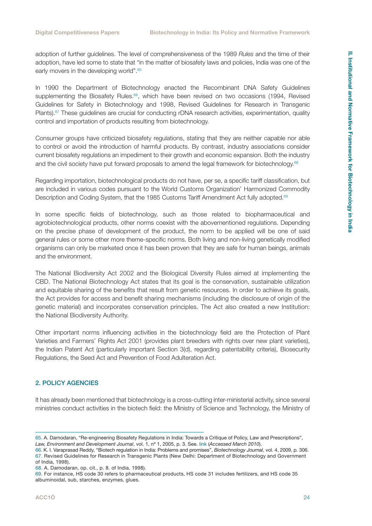<span id="page-23-0"></span>adoption of further guidelines. The level of comprehensiveness of the 1989 *Rules* and the time of their adoption, have led some to state that "in the matter of biosafety laws and policies, India was one of the early movers in the developing world".<sup>65</sup>

In 1990 the Department of Biotechnology enacted the Recombinant DNA Safety Guidelines supplementing the Biosafety Rules.<sup>66</sup>, which have been revised on two occasions (1994, Revised Guidelines for Safety in Biotechnology and 1998, Revised Guidelines for Research in Transgenic Plants).<sup>67</sup> These guidelines are crucial for conducting rDNA research activities, experimentation, quality control and importation of products resulting from biotechnology.

Consumer groups have criticized biosafety regulations, stating that they are neither capable nor able to control or avoid the introduction of harmful products. By contrast, industry associations consider current biosafety regulations an impediment to their growth and economic expansion. Both the industry and the civil society have put forward proposals to amend the legal framework for biotechnology.<sup>68</sup>

Regarding importation, biotechnological products do not have, per se, a specific tariff classification, but are included in various codes pursuant to the World Customs Organization' Harmonized Commodity Description and Coding System, that the 1985 Customs Tariff Amendment Act fully adopted.<sup>69</sup>

In some specific fields of biotechnology, such as those related to biopharmaceutical and agrobiotechnological products, other norms coexist with the abovementioned regulations. Depending on the precise phase of development of the product, the norm to be applied will be one of said general rules or some other more theme-specific norms. Both living and non-living genetically modified organisms can only be marketed once it has been proven that they are safe for human beings, animals and the environment.

The National Biodiversity Act 2002 and the Biological Diversity Rules aimed at implementing the CBD. The National Biotechnology Act states that its goal is the conservation, sustainable utilization and equitable sharing of the benefits that result from genetic resources. In order to achieve its goals, the Act provides for access and benefit sharing mechanisms (including the disclosure of origin of the genetic material) and incorporates conservation principles. The Act also created a new Institution: the National Biodiversity Authority.

Other important norms influencing activities in the biotechnology field are the Protection of Plant Varieties and Farmers' Rights Act 2001 (provides plant breeders with rights over new plant varieties), the Indian Patent Act (particularly important Section 3(d), regarding patentability criteria), Biosecurity Regulations, the Seed Act and Prevention of Food Adulteration Act.

#### 2. POLICY AGENCIES

It has already been mentioned that biotechnology is a cross-cutting inter-ministerial activity, since several ministries conduct activities in the biotech field: the Ministry of Science and Technology, the Ministry of

<sup>65.</sup> A. Damodaran, "Re-engineering Biosafety Regulations in India: Towards a Critique of Policy, Law and Prescriptions", *Law, Environment and Development Journal*, vol. 1, nº 1, 2005, p. 3. See. [link](http://www.lead-journal.org/content/05001.pdf) (*Accessed March 2010*).

<sup>66.</sup> K. I. Varaprasad Reddy, "Biotech regulation in India: Problems and promises", *Biotechnology Journal*, vol. 4, 2009, p. 306. 67. Revised Guidelines for Research in Transgenic Plants (New Delhi: Department of Biotechnology and Government of India, 1998).

<sup>68.</sup> A. Damodaran, op. cit., p. 8. of India, 1998).

<sup>69.</sup> For instance, HS code 30 refers to pharmaceutical products, HS code 31 includes fertilizers, and HS code 35 albuminoidal, sub, starches, enzymes, glues.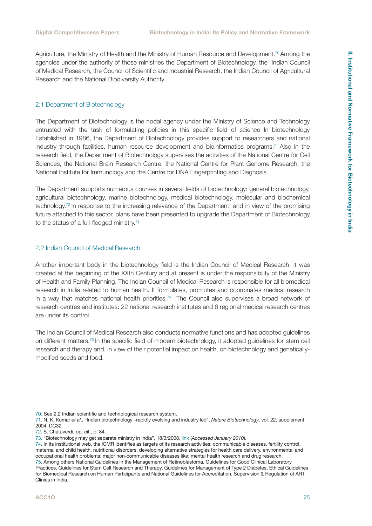<span id="page-24-0"></span>Agriculture, the Ministry of Health and the Ministry of Human Resource and Development.<sup>70</sup> Among the agencies under the authority of those ministries the Department of Biotechnology, the Indian Council of Medical Research, the Council of Scientific and Industrial Research, the Indian Council of Agricultural Research and the National Biodiversity Authority.

#### 2.1 Department of Biotechnology

The Department of Biotechnology is the nodal agency under the Ministry of Science and Technology entrusted with the task of formulating policies in this specific field of science In biotechnology Established in 1986, the Department of Biotechnology provides support to researchers and national industry through facilities, human resource development and bioinformatics programs.<sup>71</sup> Also in the research field, the Department of Biotechnology supervises the activities of the National Centre for Cell Sciences, the National Brain Research Centre, the National Centre for Plant Genome Research, the National Institute for Immunology and the Centre for DNA Fingerprinting and Diagnosis.

The Department supports numerous courses in several fields of biotechnology: general biotechnology, agricultural biotechnology, marine biotechnology, medical biotechnology, molecular and biochemical technology.72 In response to the increasing relevance of the Department, and in view of the promising future attached to this sector, plans have been presented to upgrade the Department of Biotechnology to the status of a full-fledged ministry.<sup>73</sup>

#### 2.2 Indian Council of Medical Research

Another important body in the biotechnology field is the Indian Council of Medical Research. It was created at the beginning of the XXth Century and at present is under the responsibility of the Ministry of Health and Family Planning. The Indian Council of Medical Research is responsible for all biomedical research in India related to human health. It formulates, promotes and coordinates medical research in a way that matches national health priorities.<sup>74</sup> The Council also supervises a broad network of research centres and institutes: 22 national research institutes and 6 regional medical research centres are under its control.

The Indian Council of Medical Research also conducts normative functions and has adopted guidelines on different matters.75 In the specific field of modern biotechnology, it adopted guidelines for stem cell research and therapy and, in view of their potential impact on health, on biotechnology and geneticallymodified seeds and food.

<sup>70.</sup> See 2.2 Indian scientific and technological research system.

<sup>71.</sup> N. K. Kumar *et al*., "Indian biotechnology –rapidly evolving and industry led", *Nature Biotechnology*, vol. 22, supplement, 2004, DC32.

<sup>72.</sup> S. Chatuverdi, op. cit., p. 84.

<sup>73. &</sup>quot;Biotechnology may get separate ministry in India", 18/3/2008, [link](http://bioenergy.checkbiotech.org/news/biotechnology_may_get_separate_ministry_india) (*Accessed January 2010*).

<sup>74.</sup> In its institutional web, the ICMR identifies as targets of its research activities: communicable diseases, fertility control, maternal and child health, nutritional disorders, developing alternative strategies for health care delivery, environmental and occupational health problems; major non-communicable diseases like; mental health research and drug research. 75. Among others National Guidelines in the Management of Retinoblastoma, Guidelines for Good Clinical Laboratory

Practices, Guidelines for Stem Cell Research and Therapy, Guidelines for Management of Type 2 Diabetes, Ethical Guidelines for Biomedical Research on Human Participants and National Guidelines for Accreditation, Supervision & Regulation of ART Clinics in India.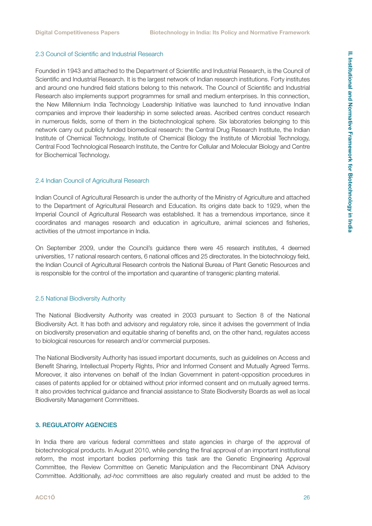#### <span id="page-25-0"></span>2.3 Council of Scientific and Industrial Research

Founded in 1943 and attached to the Department of Scientific and Industrial Research, is the Council of Scientific and Industrial Research. It is the largest network of Indian research institutions. Forty institutes and around one hundred field stations belong to this network. The Council of Scientific and Industrial Research also implements support programmes for small and medium enterprises. In this connection, the New Millennium India Technology Leadership Initiative was launched to fund innovative Indian companies and improve their leadership in some selected areas. Ascribed centres conduct research in numerous fields, some of them in the biotechnological sphere. Six laboratories belonging to this network carry out publicly funded biomedical research: the Central Drug Research Institute, the Indian Institute of Chemical Technology, Institute of Chemical Biology the Institute of Microbial Technology, Central Food Technological Research Institute, the Centre for Cellular and Molecular Biology and Centre for Biochemical Technology.

#### 2.4 Indian Council of Agricultural Research

Indian Council of Agricultural Research is under the authority of the Ministry of Agriculture and attached to the Department of Agricultural Research and Education. Its origins date back to 1929, when the Imperial Council of Agricultural Research was established. It has a tremendous importance, since it coordinates and manages research and education in agriculture, animal sciences and fisheries, activities of the utmost importance in India.

On September 2009, under the Council's guidance there were 45 research institutes, 4 deemed universities, 17 national research centers, 6 national offices and 25 directorates. In the biotechnology field, the Indian Council of Agricultural Research controls the National Bureau of Plant Genetic Resources and is responsible for the control of the importation and quarantine of transgenic planting material.

#### 2.5 National Biodiversity Authority

The National Biodiversity Authority was created in 2003 pursuant to Section 8 of the National Biodiversity Act. It has both and advisory and regulatory role, since it advises the government of India on biodiversity preservation and equitable sharing of benefits and, on the other hand, regulates access to biological resources for research and/or commercial purposes.

The National Biodiversity Authority has issued important documents, such as guidelines on Access and Benefit Sharing, Intellectual Property Rights, Prior and Informed Consent and Mutually Agreed Terms. Moreover, it also intervenes on behalf of the Indian Government in patent-opposition procedures in cases of patents applied for or obtained without prior informed consent and on mutually agreed terms. It also provides technical guidance and financial assistance to State Biodiversity Boards as well as local Biodiversity Management Committees.

#### 3. REGULATORY AGENCIES

In India there are various federal committees and state agencies in charge of the approval of biotechnological products. In August 2010, while pending the final approval of an important institutional reform, the most important bodies performing this task are the Genetic Engineering Approval Committee, the Review Committee on Genetic Manipulation and the Recombinant DNA Advisory Committee. Additionally, *ad-hoc* committees are also regularly created and must be added to the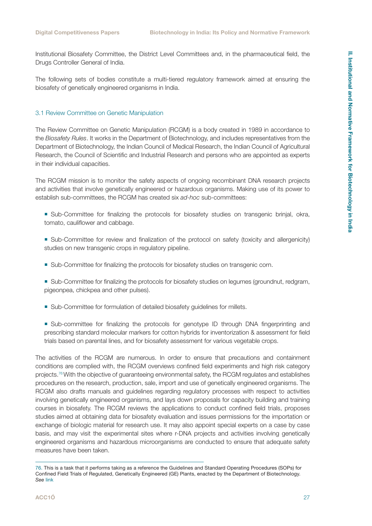<span id="page-26-0"></span>Institutional Biosafety Committee, the District Level Committees and, in the pharmaceutical field, the Drugs Controller General of India.

The following sets of bodies constitute a multi-tiered regulatory framework aimed at ensuring the biosafety of genetically engineered organisms in India.

#### 3.1 Review Committee on Genetic Manipulation

The Review Committee on Genetic Manipulation (RCGM) is a body created in 1989 in accordance to the *Biosafety Rules*. It works in the Department of Biotechnology, and includes representatives from the Department of Biotechnology, the Indian Council of Medical Research, the Indian Council of Agricultural Research, the Council of Scientific and Industrial Research and persons who are appointed as experts in their individual capacities.

The RCGM mission is to monitor the safety aspects of ongoing recombinant DNA research projects and activities that involve genetically engineered or hazardous organisms. Making use of its power to establish sub-committees, the RCGM has created six *ad-hoc* sub-committees:

- Sub-Committee for finalizing the protocols for biosafety studies on transgenic brinjal, okra, tomato, cauliflower and cabbage.
- Sub-Committee for review and finalization of the protocol on safety (toxicity and allergenicity) studies on new transgenic crops in regulatory pipeline.
- Sub-Committee for finalizing the protocols for biosafety studies on transgenic corn.
- Sub-Committee for finalizing the protocols for biosafety studies on legumes (groundnut, redgram, pigeonpea, chickpea and other pulses).
- Sub-Committee for formulation of detailed biosafety quidelines for millets.
- Sub-committee for finalizing the protocols for genotype ID through DNA fingerprinting and prescribing standard molecular markers for cotton hybrids for inventorization & assessment for field trials based on parental lines, and for biosafety assessment for various vegetable crops.

The activities of the RCGM are numerous. In order to ensure that precautions and containment conditions are complied with, the RCGM overviews confined field experiments and high risk category projects.76 With the objective of guaranteeing environmental safety, the RCGM regulates and establishes procedures on the research, production, sale, import and use of genetically engineered organisms. The RCGM also drafts manuals and guidelines regarding regulatory processes with respect to activities involving genetically engineered organisms, and lays down proposals for capacity building and training courses in biosafety. The RCGM reviews the applications to conduct confined field trials, proposes studies aimed at obtaining data for biosafety evaluation and issues permissions for the importation or exchange of biologic material for research use. It may also appoint special experts on a case by case basis, and may visit the experimental sites where r-DNA projects and activities involving genetically engineered organisms and hazardous microorganisms are conducted to ensure that adequate safety measures have been taken.

<sup>76.</sup> This is a task that it performs taking as a reference the Guidelines and Standard Operating Procedures (SOPs) for Confined Field Trials of Regulated, Genetically Engineered (GE) Plants, enacted by the Department of Biotechnology. *See* [link](http://igmoris.nic.in/Guideline_index.htm)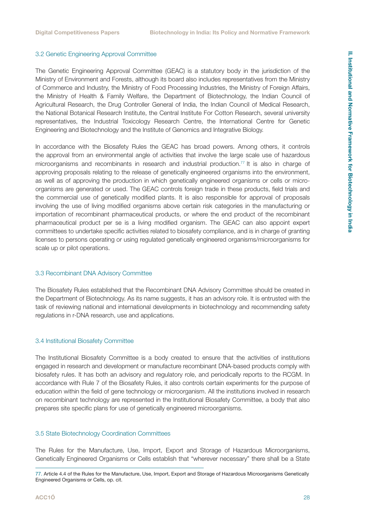#### <span id="page-27-0"></span>3.2 Genetic Engineering Approval Committee

The Genetic Engineering Approval Committee (GEAC) is a statutory body in the jurisdiction of the Ministry of Environment and Forests, although its board also includes representatives from the Ministry of Commerce and Industry, the Ministry of Food Processing Industries, the Ministry of Foreign Affairs, the Ministry of Health & Family Welfare, the Department of Biotechnology, the Indian Council of Agricultural Research, the Drug Controller General of India, the Indian Council of Medical Research, the National Botanical Research Institute, the Central Institute For Cotton Research, several university representatives, the Industrial Toxicology Research Centre, the International Centre for Genetic Engineering and Biotechnology and the Institute of Genomics and Integrative Biology.

In accordance with the Biosafety Rules the GEAC has broad powers. Among others, it controls the approval from an environmental angle of activities that involve the large scale use of hazardous microorganisms and recombinants in research and industrial production.<sup>77</sup> It is also in charge of approving proposals relating to the release of genetically engineered organisms into the environment, as well as of approving the production in which genetically engineered organisms or cells or microorganisms are generated or used. The GEAC controls foreign trade in these products, field trials and the commercial use of genetically modified plants. It is also responsible for approval of proposals involving the use of living modified organisms above certain risk categories in the manufacturing or importation of recombinant pharmaceutical products, or where the end product of the recombinant pharmaceutical product per se is a living modified organism. The GEAC can also appoint expert committees to undertake specific activities related to biosafety compliance, and is in charge of granting licenses to persons operating or using regulated genetically engineered organisms/microorganisms for scale up or pilot operations.

#### 3.3 Recombinant DNA Advisory Committee

The Biosafety Rules established that the Recombinant DNA Advisory Committee should be created in the Department of Biotechnology. As its name suggests, it has an advisory role. It is entrusted with the task of reviewing national and international developments in biotechnology and recommending safety regulations in r-DNA research, use and applications.

#### 3.4 Institutional Biosafety Committee

The Institutional Biosafety Committee is a body created to ensure that the activities of institutions engaged in research and development or manufacture recombinant DNA-based products comply with biosafety rules. It has both an advisory and regulatory role, and periodically reports to the RCGM. In accordance with Rule 7 of the Biosafety Rules, it also controls certain experiments for the purpose of education within the field of gene technology or microorganism. All the institutions involved in research on recombinant technology are represented in the Institutional Biosafety Committee, a body that also prepares site specific plans for use of genetically engineered microorganisms.

#### 3.5 State Biotechnology Coordination Committees

The Rules for the Manufacture, Use, Import, Export and Storage of Hazardous Microorganisms, Genetically Engineered Organisms or Cells establish that "wherever necessary" there shall be a State

<sup>77.</sup> Article 4.4 of the Rules for the Manufacture, Use, Import, Export and Storage of Hazardous Microorganisms Genetically Engineered Organisms or Cells, op. cit.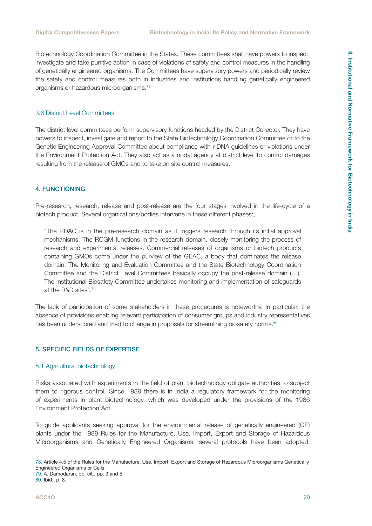<span id="page-28-0"></span>Biotechnology Coordination Committee in the States. These committees shall have powers to inspect, investigate and take punitive action in case of violations of safety and control measures in the handling of genetically engineered organisms. The Committees have supervisory powers and periodically review the safety and control measures both in industries and institutions handling genetically engineered organisms or hazardous microorganisms.78

#### 3.6 District Level Committees

The district level committees perform supervisory functions headed by the District Collector. They have powers to inspect, investigate and report to the State Biotechnology Coordination Committee or to the Genetic Engineering Approval Committee about compliance with r-DNA guidelines or violations under the Environment Protection Act. They also act as a nodal agency at district level to control damages resulting from the release of GMOs and to take on site control measures.

#### 4. FUNCTIONING

Pre-research, research, release and post-release are the four stages involved in the life-cycle of a biotech product. Several organizations/bodies intervene in these different phases:,

"The RDAC is in the pre-research domain as it triggers research through its initial approval mechanisms. The RCGM functions in the research domain, closely monitoring the process of research and experimental releases. Commercial releases of organisms or biotech products containing GMOs come under the purview of the GEAC, a body that dominates the release domain. The Monitoring and Evaluation Committee and the State Biotechnology Coordination Committee and the District Level Committees basically occupy the post-release domain (…). The Institutional Biosafety Committee undertakes monitoring and implementation of safeguards at the R&D sites".79

The lack of participation of some stakeholders in these procedures is noteworthy. In particular, the absence of provisions enabling relevant participation of consumer groups and industry representatives has been underscored and tried to change in proposals for streamlining biosafety norms.<sup>80</sup>

#### 5. SPECIFIC FIELDS OF EXPERTISE

#### 5.1 Agricultural biotechnology

Risks associated with experiments in the field of plant biotechnology obligate authorities to subject them to rigorous control. Since 1989 there is in India a regulatory framework for the monitoring of experiments in plant biotechnology, which was developed under the provisions of the 1986 Environment Protection Act.

To guide applicants seeking approval for the environmental release of genetically engineered (GE) plants under the 1989 Rules for the Manufacture, Use, Import, Export and Storage of Hazardous Microorganisms and Genetically Engineered Organisms, several protocols have been adopted.

<sup>78.</sup> Article 4.5 of the Rules for the Manufacture, Use, Import, Export and Storage of Hazardous Microorganisms Genetically Engineered Organisms or Cells.

<sup>79.</sup> A. Damodaran, op. cit., pp. 3 and 5.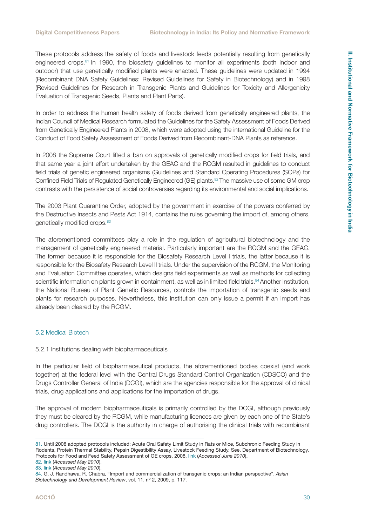<span id="page-29-0"></span>These protocols address the safety of foods and livestock feeds potentially resulting from genetically engineered crops.<sup>81</sup> In 1990, the biosafety guidelines to monitor all experiments (both indoor and outdoor) that use genetically modified plants were enacted. These guidelines were updated in 1994 (Recombinant DNA Safety Guidelines; Revised Guidelines for Safety in Biotechnology) and in 1998 (Revised Guidelines for Research in Transgenic Plants and Guidelines for Toxicity and Allergenicity Evaluation of Transgenic Seeds, Plants and Plant Parts).

In order to address the human health safety of foods derived from genetically engineered plants, the Indian Council of Medical Research formulated the Guidelines for the Safety Assessment of Foods Derived from Genetically Engineered Plants in 2008, which were adopted using the international Guideline for the Conduct of Food Safety Assessment of Foods Derived from Recombinant-DNA Plants as reference.

In 2008 the Supreme Court lifted a ban on approvals of genetically modified crops for field trials, and that same year a joint effort undertaken by the GEAC and the RCGM resulted in guidelines to conduct field trials of genetic engineered organisms (Guidelines and Standard Operating Procedures (SOPs) for Confined Field Trials of Regulated Genetically Engineered (GE) plants.82 The massive use of some GM crop contrasts with the persistence of social controversies regarding its environmental and social implications.

The 2003 Plant Quarantine Order, adopted by the government in exercise of the powers conferred by the Destructive Insects and Pests Act 1914, contains the rules governing the import of, among others, genetically modified crops.<sup>83</sup>

The aforementioned committees play a role in the regulation of agricultural biotechnology and the management of genetically engineered material. Particularly important are the RCGM and the GEAC. The former because it is responsible for the Biosafety Research Level I trials, the latter because it is responsible for the Biosafety Research Level II trials. Under the supervision of the RCGM, the Monitoring and Evaluation Committee operates, which designs field experiments as well as methods for collecting scientific information on plants grown in containment, as well as in limited field trials.<sup>84</sup> Another institution, the National Bureau of Plant Genetic Resources, controls the importation of transgenic seeds and plants for research purposes. Nevertheless, this institution can only issue a permit if an import has already been cleared by the RCGM.

#### 5.2 Medical Biotech

#### 5.2.1 Institutions dealing with biopharmaceuticals

In the particular field of biopharmaceutical products, the aforementioned bodies coexist (and work together) at the federal level with the Central Drugs Standard Control Organization (CDSCO) and the Drugs Controller General of India (DCGI), which are the agencies responsible for the approval of clinical trials, drug applications and applications for the importation of drugs.

The approval of modern biopharmaceuticals is primarily controlled by the DCGI, although previously they must be cleared by the RCGM, while manufacturing licences are given by each one of the State's drug controllers. The DCGI is the authority in charge of authorising the clinical trials with recombinant

<sup>81.</sup> Until 2008 adopted protocols included: Acute Oral Safety Limit Study in Rats or Mice, Subchronic Feeding Study in Rodents, Protein Thermal Stability, Pepsin Digestibility Assay, Livestock Feeding Study. See. Department of Biotechnology, Protocols for Food and Feed Safety Assessment of GE crops, 2008, [link](http://www.igmoris.nic.in/files/Coverpage1.pdf) (*Accessed June 2010*).

<sup>82.</sup> [link](http://www.igmoris.nic.in/Guideline_index.htm) (*Accessed May 2010*).

<sup>83.</sup> [link](http://www.plantquarantineindia.org/pdffiles/Consolidated_Version_PQ_Order_2003-upto_4th_amendment_2008.pdf) (*Accessed May 2010*).

<sup>84.</sup> G. J. Randhawa, R. Chabra, "Import and commercialization of transgenic crops: an Indian perspective", *Asian Biotechnology and Development Review*, vol. 11, nº 2, 2009, p. 117.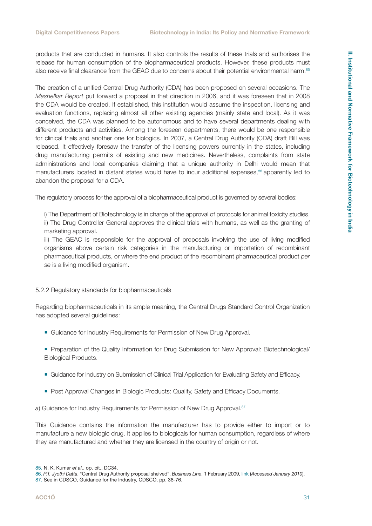<span id="page-30-0"></span>products that are conducted in humans. It also controls the results of these trials and authorises the release for human consumption of the biopharmaceutical products. However, these products must also receive final clearance from the GEAC due to concerns about their potential environmental harm.<sup>85</sup>

The creation of a unified Central Drug Authority (CDA) has been proposed on several occasions. The *Mashelkar Report* put forward a proposal in that direction in 2006, and it was foreseen that in 2008 the CDA would be created. If established, this institution would assume the inspection, licensing and evaluation functions, replacing almost all other existing agencies (mainly state and local). As it was conceived, the CDA was planned to be autonomous and to have several departments dealing with different products and activities. Among the foreseen departments, there would be one responsible for clinical trials and another one for biologics. In 2007, a Central Drug Authority (CDA) draft Bill was released. It effectively foresaw the transfer of the licensing powers currently in the states, including drug manufacturing permits of existing and new medicines. Nevertheless, complaints from state administrations and local companies claiming that a unique authority in Delhi would mean that manufacturers located in distant states would have to incur additional expenses,<sup>86</sup> apparently led to abandon the proposal for a CDA.

The regulatory process for the approval of a biopharmaceutical product is governed by several bodies:

i) The Department of Biotechnology is in charge of the approval of protocols for animal toxicity studies. ii) The Drug Controller General approves the clinical trials with humans, as well as the granting of marketing approval.

iii) The GEAC is responsible for the approval of proposals involving the use of living modified organisms above certain risk categories in the manufacturing or importation of recombinant pharmaceutical products, or where the end product of the recombinant pharmaceutical product *per se* is a living modified organism.

#### 5.2.2 Regulatory standards for biopharmaceuticals

Regarding biopharmaceuticals in its ample meaning, the Central Drugs Standard Control Organization has adopted several quidelines:

- Guidance for Industry Requirements for Permission of New Drug Approval.
- Preparation of the Quality Information for Drug Submission for New Approval: Biotechnological/ Biological Products.
- Guidance for Industry on Submission of Clinical Trial Application for Evaluating Safety and Efficacy.
- **Post Approval Changes in Biologic Products: Quality, Safety and Efficacy Documents.**

a) Guidance for Industry Requirements for Permission of New Drug Approval.<sup>87</sup>

This Guidance contains the information the manufacturer has to provide either to import or to manufacture a new biologic drug. It applies to biologicals for human consumption, regardless of where they are manufactured and whether they are licensed in the country of origin or not.

<sup>85.</sup> N. K. Kumar *et al*., op. cit., DC34.

<sup>86.</sup> *P.T. Jyothi Datta*, "Central Drug Authority proposal shelved", *Business Line*, 1 February 2009, [link](http://www.thehindubusinessline.com/2009/02/02/stories/2009020251370100.htm) (*Accessed January 2010*).

<sup>87.</sup> See in CDSCO, Guidance for the Industry, CDSCO, pp. 38-76.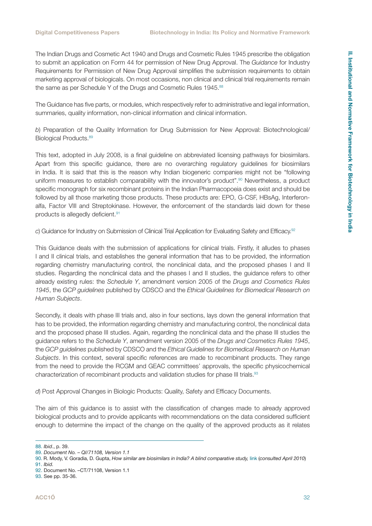The Indian Drugs and Cosmetic Act 1940 and Drugs and Cosmetic Rules 1945 prescribe the obligation to submit an application on Form 44 for permission of New Drug Approval. The *Guidance* for Industry Requirements for Permission of New Drug Approval simplifies the submission requirements to obtain marketing approval of biologicals. On most occasions, non clinical and clinical trial requirements remain the same as per Schedule Y of the Drugs and Cosmetic Rules 1945.<sup>88</sup>

The Guidance has five parts, or modules, which respectively refer to administrative and legal information, summaries, quality information, non-clinical information and clinical information.

*b*) Preparation of the Quality Information for Drug Submission for New Approval: Biotechnological/ Biological Products.<sup>89</sup>

This text, adopted in July 2008, is a final guideline on abbreviated licensing pathways for biosimilars. Apart from this specific guidance, there are no overarching regulatory guidelines for biosimilars in India. It is said that this is the reason why Indian biogeneric companies might not be "following uniform measures to establish comparability with the innovator's product".<sup>90</sup> Nevertheless, a product specific monograph for six recombinant proteins in the Indian Pharmacopoeia does exist and should be followed by all those marketing those products. These products are: EPO, G-CSF, HBsAg, Interferonalfa, Factor VIII and Streptokinase. However, the enforcement of the standards laid down for these products is allegedly deficient.91

*c*) Guidance for Industry on Submission of Clinical Trial Application for Evaluating Safety and Efficacy.92

This Guidance deals with the submission of applications for clinical trials. Firstly, it alludes to phases I and II clinical trials, and establishes the general information that has to be provided, the information regarding chemistry manufacturing control, the nonclinical data, and the proposed phases I and II studies. Regarding the nonclinical data and the phases I and II studies, the guidance refers to other already existing rules: the *Schedule Y*, amendment version 2005 of the *Drugs and Cosmetics Rules 1945*, the *GCP guidelines* published by CDSCO and the *Ethical Guidelines for Biomedical Research on Human Subjects*.

Secondly, it deals with phase III trials and, also in four sections, lays down the general information that has to be provided, the information regarding chemistry and manufacturing control, the nonclinical data and the proposed phase III studies. Again, regarding the nonclinical data and the phase III studies the guidance refers to the *Schedule Y*, amendment version 2005 of the *Drugs and Cosmetics Rules 1945*, the *GCP guidelines* published by CDSCO and the *Ethical Guidelines for Biomedical Research on Human Subjects*. In this context, several specific references are made to recombinant products. They range from the need to provide the RCGM and GEAC committees' approvals, the specific physicochemical characterization of recombinant products and validation studies for phase III trials.<sup>93</sup>

*d*) Post Approval Changes in Biologic Products: Quality, Safety and Efficacy Documents.

The aim of this guidance is to assist with the classification of changes made to already approved biological products and to provide applicants with recommendations on the data considered sufficient enough to determine the impact of the change on the quality of the approved products as it relates

<sup>88.</sup> *Ibid*., p. 39.

<sup>89.</sup> *Document No. – QI/71108, Version 1.1*

<sup>90.</sup> R. Mody, V. Goradia, D. Gupta, *How similar are biosimilars in India? A blind comparative study,* [link](http://www.pharmafocusasia.com/research_development/blind-comparative-study.html) (*consulted April 2010*) 91. *Ibid.*

<sup>92.</sup> Document No. –CT/71108, Version 1.1

<sup>93.</sup> See pp. 35-36.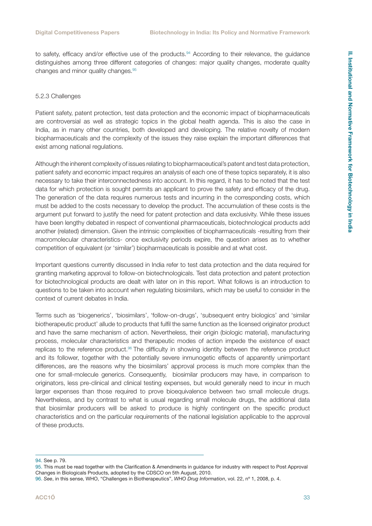<span id="page-32-0"></span>to safety, efficacy and/or effective use of the products.<sup>94</sup> According to their relevance, the quidance distinguishes among three different categories of changes: major quality changes, moderate quality changes and minor quality changes.95

#### 5.2.3 Challenges

Patient safety, patent protection, test data protection and the economic impact of biopharmaceuticals are controversial as well as strategic topics in the global health agenda. This is also the case in India, as in many other countries, both developed and developing. The relative novelty of modern biopharmaceuticals and the complexity of the issues they raise explain the important differences that exist among national regulations.

Although the inherent complexity of issues relating to biopharmaceutical's patent and test data protection, patient safety and economic impact requires an analysis of each one of these topics separately, it is also necessary to take their interconnectedness into account. In this regard, it has to be noted that the test data for which protection is sought permits an applicant to prove the safety and efficacy of the drug. The generation of the data requires numerous tests and incurring in the corresponding costs, which must be added to the costs necessary to develop the product. The accumulation of these costs is the argument put forward to justify the need for patent protection and data exclusivity. While these issues have been lengthy debated in respect of conventional pharmaceuticals, biotechnological products add another (related) dimension. Given the intrinsic complexities of biopharmaceuticals -resulting from their macromolecular characteristics- once exclusivity periods expire, the question arises as to whether competition of equivalent (or 'similar') biopharmaceuticals is possible and at what cost.

Important questions currently discussed in India refer to test data protection and the data required for granting marketing approval to follow-on biotechnologicals. Test data protection and patent protection for biotechnological products are dealt with later on in this report. What follows is an introduction to questions to be taken into account when regulating biosimilars, which may be useful to consider in the context of current debates in India.

Terms such as 'biogenerics', 'biosimilars', 'follow-on-drugs', 'subsequent entry biologics' and 'similar biotherapeutic product' allude to products that fulfil the same function as the licensed originator product and have the same mechanism of action. Nevertheless, their origin (biologic material), manufacturing process, molecular characteristics and therapeutic modes of action impede the existence of exact replicas to the reference product.<sup>96</sup> The difficulty in showing identity between the reference product and its follower, together with the potentially severe inmunogetic effects of apparently unimportant differences, are the reasons why the biosimilars' approval process is much more complex than the one for small-molecule generics. Consequently, biosimilar producers may have, in comparison to originators, less pre-clinical and clinical testing expenses, but would generally need to incur in much larger expenses than those required to prove bioequivalence between two small molecule drugs. Nevertheless, and by contrast to what is usual regarding small molecule drugs, the additional data that biosimilar producers will be asked to produce is highly contingent on the specific product characteristics and on the particular requirements of the national legislation applicable to the approval of these products.

<sup>94.</sup> See p. 79.

<sup>95.</sup> This must be read together with the Clarification & Amendments in guidance for industry with respect to Post Approval Changes in Biologicals Products, adopted by the CDSCO on 5th August, 2010.

<sup>96.</sup> *See*, in this sense, WHO, "Challenges in Biotherapeutics", *WHO Drug Information*, vol. 22, nº 1, 2008, p. 4.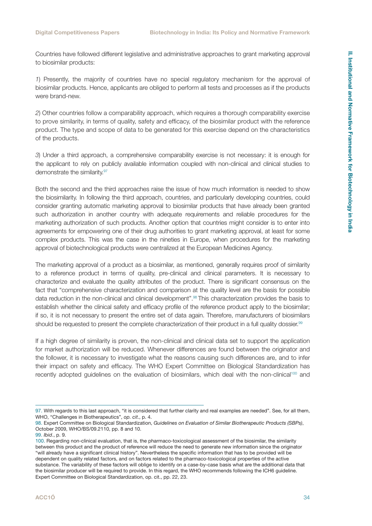Countries have followed different legislative and administrative approaches to grant marketing approval to biosimilar products:

*1*) Presently, the majority of countries have no special regulatory mechanism for the approval of biosimilar products. Hence, applicants are obliged to perform all tests and processes as if the products were brand-new.

*2*) Other countries follow a comparability approach, which requires a thorough comparability exercise to prove similarity, in terms of quality, safety and efficacy, of the biosimilar product with the reference product. The type and scope of data to be generated for this exercise depend on the characteristics of the products.

*3*) Under a third approach, a comprehensive comparability exercise is not necessary: it is enough for the applicant to rely on publicly available information coupled with non-clinical and clinical studies to demonstrate the similarity.<sup>97</sup>

Both the second and the third approaches raise the issue of how much information is needed to show the biosimilarity. In following the third approach, countries, and particularly developing countries, could consider granting automatic marketing approval to biosimilar products that have already been granted such authorization in another country with adequate requirements and reliable procedures for the marketing authorization of such products. Another option that countries might consider is to enter into agreements for empowering one of their drug authorities to grant marketing approval, at least for some complex products. This was the case in the nineties in Europe, when procedures for the marketing approval of biotechnological products were centralized at the European Medicines Agency.

The marketing approval of a product as a biosimilar, as mentioned, generally requires proof of similarity to a reference product in terms of quality, pre-clinical and clinical parameters. It is necessary to characterize and evaluate the quality attributes of the product. There is significant consensus on the fact that "comprehensive characterization and comparison at the quality level are the basis for possible data reduction in the non-clinical and clinical development".98 This characterization provides the basis to establish whether the clinical safety and efficacy profile of the reference product apply to the biosimilar; if so, it is not necessary to present the entire set of data again. Therefore, manufacturers of biosimilars should be requested to present the complete characterization of their product in a full quality dossier.<sup>99</sup>

If a high degree of similarity is proven, the non-clinical and clinical data set to support the application for market authorization will be reduced. Whenever differences are found between the originator and the follower, it is necessary to investigate what the reasons causing such differences are, and to infer their impact on safety and efficacy. The WHO Expert Committee on Biological Standardization has recently adopted quidelines on the evaluation of biosimilars, which deal with the non-clinical<sup>100</sup> and

<sup>97.</sup> With regards to this last approach, "it is considered that further clarity and real examples are needed". See, for all them, WHO, "Challenges in Biotherapeutics", *op. cit*., p. 4.

<sup>98.</sup> Expert Committee on Biological Standardization, *Guidelines on Evaluation of Similar Biotherapeutic Products (SBPs)*, October 2009, WHO/BS/09.2110, pp. 8 and 10.

<sup>99.</sup> *Ibid*., p. 9.

<sup>100.</sup> Regarding non-clinical evaluation, that is, the pharmaco-toxicological assessment of the biosimilar, the similarity between this product and the product of reference will reduce the need to generate new information since the originator "will already have a significant clinical history". Nevertheless the specific information that has to be provided will be dependent on quality related factors, and on factors related to the pharmaco-toxicological properties of the active substance. The variability of these factors will oblige to identify on a case-by-case basis what are the additional data that the biosimilar producer will be required to provide. In this regard, the WHO recommends following the ICH6 guideline. Expert Committee on Biological Standardization, op. cit., pp. 22, 23.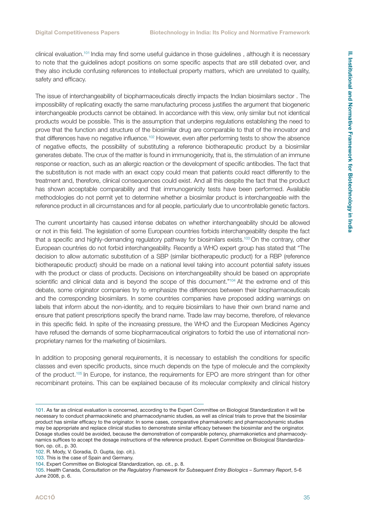clinical evaluation.101 India may find some useful guidance in those guidelines , although it is necessary to note that the guidelines adopt positions on some specific aspects that are still debated over, and they also include confusing references to intellectual property matters, which are unrelated to quality, safety and efficacy.

The issue of interchangeability of biopharmaceuticals directly impacts the Indian biosimilars sector . The impossibility of replicating exactly the same manufacturing process justifies the argument that biogeneric interchangeable products cannot be obtained. In accordance with this view, only similar but not identical products would be possible. This is the assumption that underpins regulations establishing the need to prove that the function and structure of the biosimilar drug are comparable to that of the innovator and that differences have no negative influence.102 However, even after performing tests to show the absence of negative effects, the possibility of substituting a reference biotherapeutic product by a biosimilar generates debate. The crux of the matter is found in immunogenicity, that is, the stimulation of an immune response or reaction, such as an allergic reaction or the development of specific antibodies. The fact that the substitution is not made with an exact copy could mean that patients could react differently to the treatment and, therefore, clinical consequences could exist. And all this despite the fact that the product has shown acceptable comparability and that immunogenicity tests have been performed. Available methodologies do not permit yet to determine whether a biosimilar product is interchangeable with the reference product in all circumstances and for all people, particularly due to uncontrollable genetic factors.

The current uncertainty has caused intense debates on whether interchangeability should be allowed or not in this field. The legislation of some European countries forbids interchangeability despite the fact that a specific and highly-demanding regulatory pathway for biosimilars exists.<sup>103</sup> On the contrary, other European countries do not forbid interchangeability. Recently a WHO expert group has stated that "The decision to allow automatic substitution of a SBP (similar biotherapeutic product) for a RBP (reference biotherapeutic product) should be made on a national level taking into account potential safety issues with the product or class of products. Decisions on interchangeability should be based on appropriate scientific and clinical data and is beyond the scope of this document."<sup>104</sup> At the extreme end of this debate, some originator companies try to emphasize the differences between their biopharmaceuticals and the corresponding biosimilars. In some countries companies have proposed adding warnings on labels that inform about the non-identity, and to require biosimilars to have their own brand name and ensure that patient prescriptions specify the brand name. Trade law may become, therefore, of relevance in this specific field. In spite of the increasing pressure, the WHO and the European Medicines Agency have refused the demands of some biopharmaceutical originators to forbid the use of international nonproprietary names for the marketing of biosimilars.

In addition to proposing general requirements, it is necessary to establish the conditions for specific classes and even specific products, since much depends on the type of molecule and the complexity of the product.105 In Europe, for instance, the requirements for EPO are more stringent than for other recombinant proteins. This can be explained because of its molecular complexity and clinical history

<sup>101.</sup> As far as clinical evaluation is concerned, according to the Expert Committee on Biological Standardization it will be necessary to conduct pharmacokinetic and pharmacodynamic studies, as well as clinical trials to prove that the biosimilar product has similar efficacy to the originator. In some cases, comparative pharmakonetic and pharmacodynamic studies may be appropriate and replace clinical studies to demonstrate similar efficacy between the biosimilar and the originator. Dosage studies could be avoided, because the demonstration of comparable potency, pharmakonietics and pharmacodynamics suffices to accept the dosage instructions of the reference product. Expert Committee on Biological Standardization, op. cit., p. 30.

<sup>102.</sup> R. Mody, V. Goradia, D. Gupta, (op. cit.).

<sup>103.</sup> This is the case of Spain and Germany.

<sup>104.</sup> Expert Committee on Biological Standardization, op. cit., p. 8.

<sup>105.</sup> Health Canada, *Consultation on the Regulatory Framework for Subsequent Entry Biologics – Summary Report*, 5-6 June 2008, p. 6.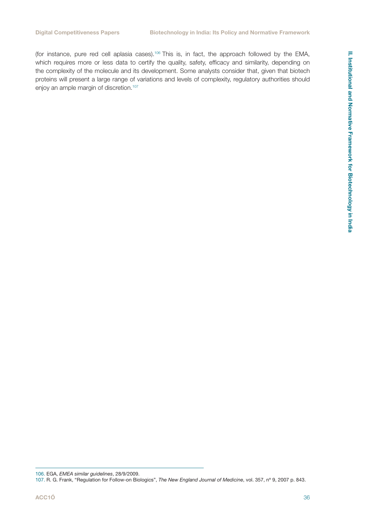(for instance, pure red cell aplasia cases).<sup>106</sup> This is, in fact, the approach followed by the EMA, which requires more or less data to certify the quality, safety, efficacy and similarity, depending on the complexity of the molecule and its development. Some analysts consider that, given that biotech proteins will present a large range of variations and levels of complexity, regulatory authorities should enjoy an ample margin of discretion.<sup>107</sup>

106. EGA, *EMEA similar guidelines*, 28/9/2009.

<sup>107.</sup> R. G. Frank, "Regulation for Follow-on Biologics", *The New England Journal of Medicine*, vol. 357, nº 9, 2007 p. 843.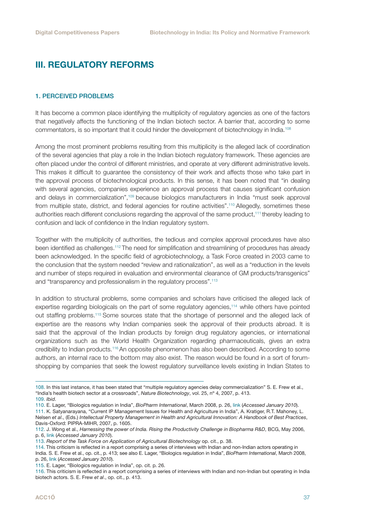## <span id="page-36-0"></span>III. REGULATORY REFORMS

#### 1. PERCEIVED PROBLEMS

It has become a common place identifying the multiplicity of regulatory agencies as one of the factors that negatively affects the functioning of the Indian biotech sector. A barrier that, according to some commentators, is so important that it could hinder the development of biotechnology in India.108

Among the most prominent problems resulting from this multiplicity is the alleged lack of coordination of the several agencies that play a role in the Indian biotech regulatory framework. These agencies are often placed under the control of different ministries, and operate at very different administrative levels. This makes it difficult to guarantee the consistency of their work and affects those who take part in the approval process of biotechnological products. In this sense, it has been noted that "in dealing with several agencies, companies experience an approval process that causes significant confusion and delays in commercialization",109 because biologics manufacturers in India "must seek approval from multiple state, district, and federal agencies for routine activities".<sup>110</sup> Allegedly, sometimes these authorities reach different conclusions regarding the approval of the same product,<sup>111</sup> thereby leading to confusion and lack of confidence in the Indian regulatory system.

Together with the multiplicity of authorities, the tedious and complex approval procedures have also been identified as challenges.112 The need for simplification and streamlining of procedures has already been acknowledged. In the specific field of agrobiotechnology, a Task Force created in 2003 came to the conclusion that the system needed "review and rationalization", as well as a "reduction in the levels and number of steps required in evaluation and environmental clearance of GM products/transgenics" and "transparency and professionalism in the regulatory process".<sup>113</sup>

In addition to structural problems, some companies and scholars have criticised the alleged lack of expertise regarding biologicals on the part of some regulatory agencies,114 while others have pointed out staffing problems.115 Some sources state that the shortage of personnel and the alleged lack of expertise are the reasons why Indian companies seek the approval of their products abroad. It is said that the approval of the Indian products by foreign drug regulatory agencies, or international organizations such as the World Health Organization regarding pharmaceuticals, gives an extra credibility to Indian products.116 An opposite phenomenon has also been described. According to some authors, an internal race to the bottom may also exist. The reason would be found in a sort of forumshopping by companies that seek the lowest regulatory surveillance levels existing in Indian States to

111. K. Satyanarayana, "Current IP Management Issues for Health and Agriculture in India", A. Kratiger, R.T. Mahoney, L. Nelsen *et al*., (Eds.) *Intellectual Property Management in Health and Agricultural Innovation: A Handbook of Best Practices*, Davis-Oxford: PIPRA-MIHR, 2007, p. 1605.

<sup>108.</sup> In this last instance, it has been stated that "multiple regulatory agencies delay commercialization" S. E. Frew et al., "India's health biotech sector at a crossroads", *Nature Biotechnology*, vol. 25, nº 4, 2007, p. 413. 109. *Ibid*.

<sup>110.</sup> E. Lager, "Biologics regulation in India", *BioPharm International*, March 2008, p. 26, [link](http://www.bioplanassociates.com/publications/articles/BPI_3_Regulations_India_2-8-08.pdf) (*Accessed January 2010*).

<sup>112.</sup> J. Wong et al., *Harnessing the power of India. Rising the Productivity Challenge in Biopharma R&D*, BCG, May 2006, p. 6, [link](http://209.83.147.85/impact_expertise/publications/files/Rising_to_the_Productivity_Challenge_in_Biopharma_RD_May06.pdf) (*Accessed January 2010*).

<sup>113.</sup> *Report of the Task Force on Application of Agricultural Biotechnology* op. cit., p. 38.

<sup>114.</sup> This criticism is reflected in a report comprising a series of interviews with Indian and non-Indian actors operating in India. S. E. Frew et al., op. cit., p. 413; see also E. Lager, "Biologics regulation in India", *BioPharm International*, March 2008, p. 26, [link](http://www.bioplanassociates.com/publications/articles/BPI_3_Regulations_India_2-8-08.pdf) (*Accessed January 2010*).

<sup>115.</sup> E. Lager, "Biologics regulation in India", op. cit. p. 26.

<sup>116.</sup> This criticism is reflected in a report comprising a series of interviews with Indian and non-Indian but operating in India biotech actors. S. E. Frew *et al*., op. cit., p. 413.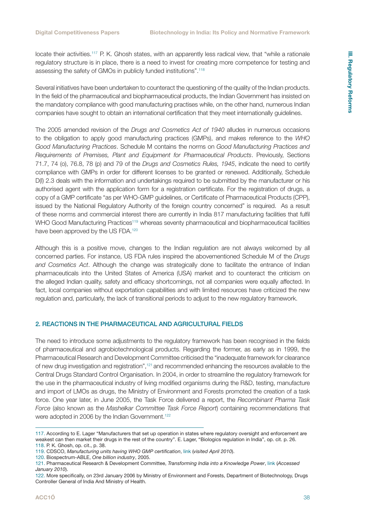<span id="page-37-0"></span>locate their activities.117 P. K. Ghosh states, with an apparently less radical view, that "while a rationale regulatory structure is in place, there is a need to invest for creating more competence for testing and assessing the safety of GMOs in publicly funded institutions".118

Several initiatives have been undertaken to counteract the questioning of the quality of the Indian products. In the field of the pharmaceutical and biopharmaceutical products, the Indian Government has insisted on the mandatory compliance with good manufacturing practises while, on the other hand, numerous Indian companies have sought to obtain an international certification that they meet internationally guidelines.

The 2005 amended revision of the *Drugs and Cosmetics Act of 1940* alludes in numerous occasions to the obligation to apply good manufacturing practices (GMPs), and makes reference to the *WHO Good Manufacturing Practices*. Schedule M contains the norms on *Good Manufacturing Practices and Requirements of Premises, Plant and Equipment for Pharmaceutical Products*. Previously, Sections 71.7, 74 (o), 76.8, 78 (p) and 79 of the *Drugs and Cosmetics Rules, 1945*, indicate the need to certify compliance with GMPs in order for different licenses to be granted or renewed. Additionally, Schedule D(I) 2.3 deals with the information and undertakings required to be submitted by the manufacturer or his authorised agent with the application form for a registration certificate. For the registration of drugs, a copy of a GMP certificate "as per WHO-GMP guidelines, or Certificate of Pharmaceutical Products (CPP), issued by the National Regulatory Authority of the foreign country concerned" is required. As a result of these norms and commercial interest there are currently in India 817 manufacturing facilities that fulfil WHO Good Manufacturing Practices<sup>119</sup> whereas seventy pharmaceutical and biopharmaceutical facilities have been approved by the US FDA.<sup>120</sup>

Although this is a positive move, changes to the Indian regulation are not always welcomed by all concerned parties. For instance, US FDA rules inspired the abovementioned Schedule M of the *Drugs and Cosmetics Act*. Although the change was strategically done to facilitate the entrance of Indian pharmaceuticals into the United States of America (USA) market and to counteract the criticism on the alleged Indian quality, safety and efficacy shortcomings, not all companies were equally affected. In fact, local companies without exportation capabilities and with limited resources have criticized the new regulation and, particularly, the lack of transitional periods to adjust to the new regulatory framework.

#### 2. REACTIONS IN THE PHARMACEUTICAL AND AGRICULTURAL FIELDS

The need to introduce some adjustments to the regulatory framework has been recognised in the fields of pharmaceutical and agrobiotechnological products. Regarding the former, as early as in 1999, the Pharmaceutical Research and Development Committee criticised the "inadequate framework for clearance of new drug investigation and registration",121 and recommended enhancing the resources available to the Central Drugs Standard Control Organisation. In 2004, in order to streamline the regulatory framework for the use in the pharmaceutical industry of living modified organisms during the R&D, testing, manufacture and import of LMOs as drugs, the Ministry of Environment and Forests promoted the creation of a task force. One year later, in June 2005, the Task Force delivered a report, the *Recombinant Pharma Task Force* (also known as the *Mashelkar Committee Task Force Report*) containing recommendations that were adopted in 2006 by the Indian Government.<sup>122</sup>

<sup>117.</sup> According to E. Lager "Manufacturers that set up operation in states where regulatory oversight and enforcement are weakest can then market their drugs in the rest of the country". E. Lager, "Biologics regulation in India", op. cit. p. 26. 118. P. K. Ghosh, op. cit., p. 38.

<sup>119.</sup> CDSCO, *Manufacturing units having WHO GMP certification*, [link](http://www.cdsco.nic.in/MANUFACTURING%20UNITS%20HAVING%20WHO%20GMP%20CERTIFICATION.htm) (*visited April 2010*).

<sup>120.</sup> Biospectrum-ABLE, *One billion industry*, 2005.

<sup>121.</sup> Pharmaceutical Research & Development Committee, *Transforming India into a Knowledge Power*, [link](http://chemicals.nic.in/pharma10.htm#top) (*Accessed January 2010*).

<sup>122.</sup> More specifically, on 23rd January 2006 by Ministry of Environment and Forests, Department of Biotechnology, Drugs Controller General of India And Ministry of Health.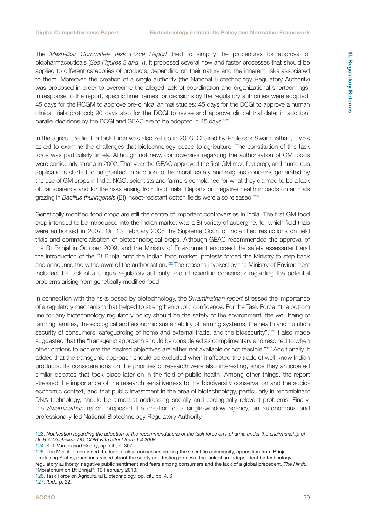The *Mashelkar Committee Task Force Report* tried to simplify the procedures for approval of biopharmaceuticals (*See Figures 3 and 4*). It proposed several new and faster processes that should be applied to different categories of products, depending on their nature and the inherent risks associated to them. Moreover, the creation of a single authority (the National Biotechnology Regulatory Authority) was proposed in order to overcome the alleged lack of coordination and organizational shortcomings. In response to the report, specific time frames for decisions by the regulatory authorities were adopted: 45 days for the RCGM to approve pre-clinical animal studies; 45 days for the DCGI to approve a human clinical trials protocol; 90 days also for the DCGI to revise and approve clinical trial data; in addition, parallel decisions by the DCGI and GEAC are to be adopted in 45 days.<sup>123</sup>

In the agriculture field, a task force was also set up in 2003. Chaired by Professor Swaminathan, it was asked to examine the challenges that biotechnology posed to agriculture. The constitution of this task force was particularly timely. Although not new, controversies regarding the authorisation of GM foods were particularly strong in 2002. That year the GEAC approved the first GM modified crop, and numerous applications started to be granted. In addition to the moral, safety and religious concerns generated by the use of GM crops in India, NGO, scientists and farmers complained for what they claimed to be a lack of transparency and for the risks arising from field trials. Reports on negative health impacts on animals grazing in *Bacillus thuringensis* (Bt) insect-resistant cotton fields were also released.124

Genetically modified food crops are still the centre of important controversies in India. The first GM food crop intended to be introduced into the Indian market was a Bt variety of aubergine, for which field trials were authorised in 2007. On 13 February 2008 the Supreme Court of India lifted restrictions on field trials and commercialisation of biotechnological crops. Although GEAC recommended the approval of the Bt Brinjal in October 2009, and the Ministry of Environment endorsed the safety assessment and the introduction of the Bt Brinjal onto the Indian food market, protests forced the Ministry to step back and announce the withdrawal of the authorisation.125 The reasons invoked by the Ministry of Environment included the lack of a unique regulatory authority and of scientific consensus regarding the potential problems arising from genetically modified food.

In connection with the risks posed by biotechnology, the *Swaminathan report* stressed the importance of a regulatory mechanism that helped to strengthen public confidence. For the Task Force, "the bottom line for any biotechnology regulatory policy should be the safety of the environment, the well being of farming families, the ecological and economic sustainability of farming systems, the health and nutrition security of consumers, safeguarding of home and external trade, and the biosecurity".<sup>126</sup> It also made suggested that the "transgenic approach should be considered as complimentary and resorted to when other options to achieve the desired objectives are either not available or not feasible."127 Additionally, it added that the transgenic approach should be excluded when it affected the trade of well-know Indian products. Its considerations on the priorities of research were also interesting, since they anticipated similar debates that took place later on in the field of public health. Among other things, the report stressed the importance of the research sensitiveness to the biodiversity conservation and the socioeconomic context, and that public investment in the area of biotechnology, particularly in recombinant DNA technology, should be aimed at addressing socially and ecologically relevant problems. Finally, the *Swaminathan* report proposed the creation of a single-window agency, an autonomous and professionally-led National Biotechnology Regulatory Authority.

<sup>123.</sup> *Notification regarding the adoption of the recommendations of the task force on r-pharma under the chairmanship of Dr. R A Mashelkar, DG-CDIR with effect from 1.4.2006*

<sup>124.</sup> K. I. Varaprasad Reddy, op. cit., p. 307.

<sup>125.</sup> The Minister mentioned the lack of clear consensus among the scientific community, opposition from Brinjalproducing States, questions raised about the safety and testing process, the lack of an independent biotechnology regulatory authority, negative public sentiment and fears among consumers and the lack of a global precedent. *The Hindu*, "Moratorium on Bt Brinjal", 10 February 2010.

<sup>126.</sup> Task Force on Agricultural Biotechnology, op. cit., pp. 4, 6.

<sup>127.</sup> *Ibid*., p. 22.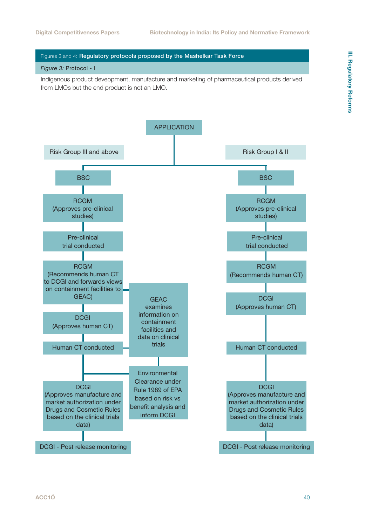#### Figures 3 and 4: Regulatory protocols proposed by the Mashelkar Task Force

#### *Figure 3:* Protocol - I

Indigenous product deveopment, manufacture and marketing of pharmaceutical products derived from LMOs but the end product is not an LMO.

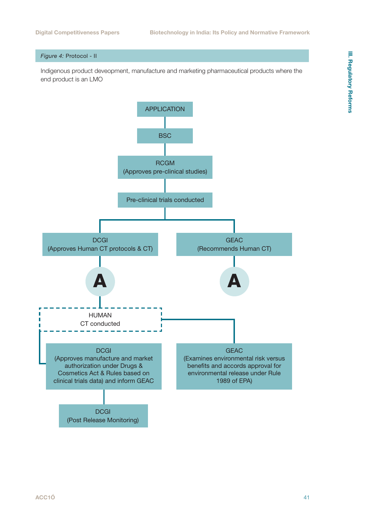#### *Figure 4:* Protocol - II

Indigenous product deveopment, manufacture and marketing pharmaceutical products where the end product is an LMO

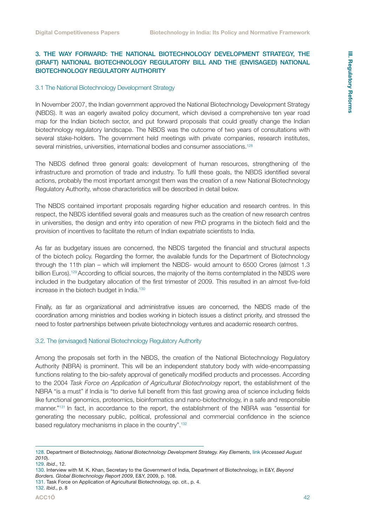#### <span id="page-41-0"></span>3. THE WAY FORWARD: THE NATIONAL BIOTECHNOLOGY DEVELOPMENT STRATEGY, THE (DRAFT) NATIONAL BIOTECHNOLOGY REGULATORY BILL AND THE (ENVISAGED) NATIONAL BIOTECHNOLOGY REGULATORY AUTHORITY

#### 3.1 The National Biotechnology Development Strategy

In November 2007, the Indian government approved the National Biotechnology Development Strategy (NBDS). It was an eagerly awaited policy document, which devised a comprehensive ten year road map for the Indian biotech sector, and put forward proposals that could greatly change the Indian biotechnology regulatory landscape. The NBDS was the outcome of two years of consultations with several stake-holders. The government held meetings with private companies, research institutes, several ministries, universities, international bodies and consumer associations.<sup>128</sup>

The NBDS defined three general goals: development of human resources, strengthening of the infrastructure and promotion of trade and industry. To fulfil these goals, the NBDS identified several actions, probably the most important amongst them was the creation of a new National Biotechnology Regulatory Authority, whose characteristics will be described in detail below.

The NBDS contained important proposals regarding higher education and research centres. In this respect, the NBDS identified several goals and measures such as the creation of new research centres in universities, the design and entry into operation of new PhD programs in the biotech field and the provision of incentives to facilitate the return of Indian expatriate scientists to India.

As far as budgetary issues are concerned, the NBDS targeted the financial and structural aspects of the biotech policy. Regarding the former, the available funds for the Department of Biotechnology through the 11th plan – which will implement the NBDS- would amount to 6500 Crores (almost 1.3 billion Euros).<sup>129</sup> According to official sources, the majority of the items contemplated in the NBDS were included in the budgetary allocation of the first trimester of 2009. This resulted in an almost five-fold increase in the biotech budget in India.<sup>130</sup>

Finally, as far as organizational and administrative issues are concerned, the NBDS made of the coordination among ministries and bodies working in biotech issues a distinct priority, and stressed the need to foster partnerships between private biotechnology ventures and academic research centres.

#### 3.2. The (envisaged) National Biotechnology Regulatory Authority

Among the proposals set forth in the NBDS, the creation of the National Biotechnology Regulatory Authority (NBRA) is prominent. This will be an independent statutory body with wide-encompassing functions relating to the bio-safety approval of genetically modified products and processes. According to the 2004 *Task Force on Application of Agricultural Biotechnology* report, the establishment of the NBRA "is a must" if India is "to derive full benefit from this fast growing area of science including fields like functional genomics, proteomics, bioinformatics and nano-biotechnology, in a safe and responsible manner."131 In fact, in accordance to the report, the establishment of the NBRA was "essential for generating the necessary public, political, professional and commercial confidence in the science based regulatory mechanisms in place in the country".132

<sup>128.</sup> Department of Biotechnology, *National Biotechnology Development Strategy. Key Elements*, [link](http://www.dbtindia.nic.in/biotechstrategy/National%20Biotechnology%20Development%20Strategy.pdf) (*Accessed August 2010*).

<sup>129.</sup> *Ibid*., 12.

<sup>130.</sup> Interview with M. K. Khan, Secretary to the Government of India, Department of Biotechnology, in E&Y, *Beyond Borders. Global Biotechnology Report 2009*, E&Y, 2009, p. 108.

<sup>131.</sup> Task Force on Application of Agricultural Biotechnology, op. cit., p. 4. 132. *Ibid*., p. 8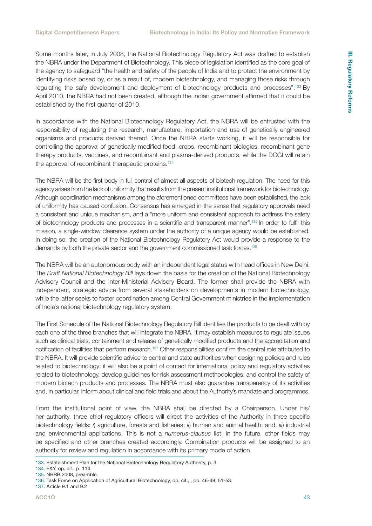Some months later, in July 2008, the National Biotechnology Regulatory Act was drafted to establish the NBRA under the Department of Biotechnology. This piece of legislation identified as the core goal of the agency to safeguard "the health and safety of the people of India and to protect the environment by identifying risks posed by, or as a result of, modern biotechnology, and managing those risks through regulating the safe development and deployment of biotechnology products and processes".133 By April 2010, the NBRA had not been created, although the Indian government affirmed that it could be established by the first quarter of 2010.

In accordance with the National Biotechnology Regulatory Act, the NBRA will be entrusted with the responsibility of regulating the research, manufacture, importation and use of genetically engineered organisms and products derived thereof. Once the NBRA starts working, it will be responsible for controlling the approval of genetically modified food, crops, recombinant biologics, recombinant gene therapy products, vaccines, and recombinant and plasma-derived products, while the DCGI will retain the approval of recombinant therapeutic proteins.<sup>134</sup>

The NBRA will be the first body in full control of almost all aspects of biotech regulation. The need for this agency arises from the lack of uniformity that results from the present institutional framework for biotechnology. Although coordination mechanisms among the aforementioned committees have been established, the lack of uniformity has caused confusion. Consensus has emerged in the sense that regulatory approvals need a consistent and unique mechanism, and a "more uniform and consistent approach to address the safety of biotechnology products and processes in a scientific and transparent manner".135 In order to fulfil this mission, a single-window clearance system under the authority of a unique agency would be established. In doing so, the creation of the National Biotechnology Regulatory Act would provide a response to the demands by both the private sector and the government commissioned task forces.136

The NBRA will be an autonomous body with an independent legal status with head offices in New Delhi. The *Draft National Biotechnology Bill* lays down the basis for the creation of the National Biotechnology Advisory Council and the Inter-Ministerial Advisory Board. The former shall provide the NBRA with independent, strategic advice from several stakeholders on developments in modern biotechnology, while the latter seeks to foster coordination among Central Government ministries in the implementation of India's national biotechnology regulatory system.

The First Schedule of the National Biotechnology Regulatory Bill identifies the products to be dealt with by each one of the three branches that will integrate the NBRA. It may establish measures to regulate issues such as clinical trials, containment and release of genetically modified products and the accreditation and notification of facilities that perform research.137 Other responsibilities confirm the central role attributed to the NBRA. It will provide scientific advice to central and state authorities when designing policies and rules related to biotechnology; it will also be a point of contact for international policy and regulatory activities related to biotechnology, develop guidelines for risk assessment methodologies, and control the safety of modern biotech products and processes. The NBRA must also guarantee transparency of its activities and, in particular, inform about clinical and field trials and about the Authority's mandate and programmes.

From the institutional point of view, the NBRA shall be directed by a Chairperson. Under his/ her authority, three chief regulatory officers will direct the activities of the Authority in three specific biotechnology fields: *i*) agriculture, forests and fisheries; *ii*) human and animal health; and, *iii*) industrial and environmental applications. This is not a *numerus-clausus* list: in the future, other fields may be specified and other branches created accordingly. Combination products will be assigned to an authority for review and regulation in accordance with its primary mode of action.

137. Article 9.1 and 9.2

<sup>133.</sup> Establishment Plan for the National Biotechnology Regulatory Authority, p. 3.

<sup>134.</sup> E&Y, op. cit., p. 114.

<sup>135.</sup> NBRB 2008, preamble.

<sup>136.</sup> Task Force on Application of Agricultural Biotechnology, op, cit., , pp. 46-48, 51-53.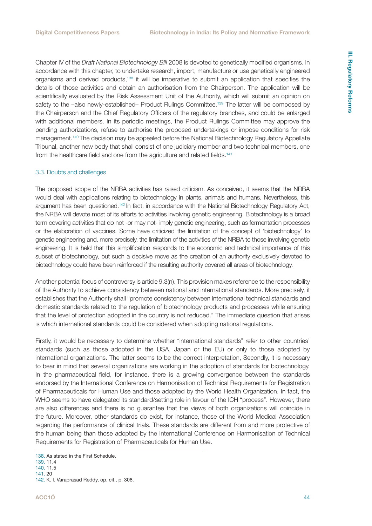<span id="page-43-0"></span>Chapter IV of the *Draft National Biotechnology Bill* 2008 is devoted to genetically modified organisms. In accordance with this chapter, to undertake research, import, manufacture or use genetically engineered organisms and derived products,138 it will be imperative to submit an application that specifies the details of those activities and obtain an authorisation from the Chairperson. The application will be scientifically evaluated by the Risk Assessment Unit of the Authority, which will submit an opinion on safety to the -also newly-established- Product Rulings Committee.<sup>139</sup> The latter will be composed by the Chairperson and the Chief Regulatory Officers of the regulatory branches, and could be enlarged with additional members. In its periodic meetings, the Product Rulings Committee may approve the pending authorizations, refuse to authorise the proposed undertakings or impose conditions for risk management.140 The decision may be appealed before the National Biotechnology Regulatory Appellate Tribunal, another new body that shall consist of one judiciary member and two technical members, one from the healthcare field and one from the agriculture and related fields.<sup>141</sup>

#### 3.3. Doubts and challenges

The proposed scope of the NRBA activities has raised criticism. As conceived, it seems that the NRBA would deal with applications relating to biotechnology in plants, animals and humans. Nevertheless, this argument has been questioned.142 In fact, in accordance with the National Biotechnology Regulatory Act, the NRBA will devote most of its efforts to activities involving genetic engineering. Biotechnology is a broad term covering activities that do not -or may not- imply genetic engineering, such as fermentation processes or the elaboration of vaccines. Some have criticized the limitation of the concept of 'biotechnology' to genetic engineering and, more precisely, the limitation of the activities of the NRBA to those involving genetic engineering. It is held that this simplification responds to the economic and technical importance of this subset of biotechnology, but such a decisive move as the creation of an authority exclusively devoted to biotechnology could have been reinforced if the resulting authority covered all areas of biotechnology.

Another potential focus of controversy is article 9.3(n). This provision makes reference to the responsibility of the Authority to achieve consistency between national and international standards. More precisely, it establishes that the Authority shall "promote consistency between international technical standards and domestic standards related to the regulation of biotechnology products and processes while ensuring that the level of protection adopted in the country is not reduced." The immediate question that arises is which international standards could be considered when adopting national regulations.

Firstly, it would be necessary to determine whether "international standards" refer to other countries' standards (such as those adopted in the USA, Japan or the EU) or only to those adopted by international organizations. The latter seems to be the correct interpretation, Secondly, it is necessary to bear in mind that several organizations are working in the adoption of standards for biotechnology. In the pharmaceutical field, for instance, there is a growing convergence between the standards endorsed by the International Conference on Harmonisation of Technical Requirements for Registration of Pharmaceuticals for Human Use and those adopted by the World Health Organization. In fact, the WHO seems to have delegated its standard/setting role in favour of the ICH "process". However, there are also differences and there is no guarantee that the views of both organizations will coincide in the future. Moreover, other standards do exist, for instance, those of the World Medical Association regarding the performance of clinical trials. These standards are different from and more protective of the human being than those adopted by the International Conference on Harmonisation of Technical Requirements for Registration of Pharmaceuticals for Human Use.

139. 11.4

<sup>138.</sup> As stated in the First Schedule.

<sup>140. 11.5</sup> 141. 20

<sup>142.</sup> K. I. Varaprasad Reddy, op. cit., p. 308.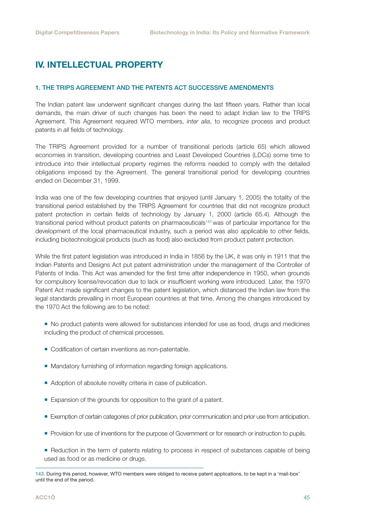## <span id="page-44-0"></span>IV. INTELLECTUAL PROPERTY

#### 1. THE TRIPS AGREEMENT AND THE PATENTS ACT SUCCESSIVE AMENDMENTS

The Indian patent law underwent significant changes during the last fifteen years. Rather than local demands, the main driver of such changes has been the need to adapt Indian law to the TRIPS Agreement. This Agreement required WTO members, *inter alia*, to recognize process and product patents in *all* fields of technology.

The TRIPS Agreement provided for a number of transitional periods (article 65) which allowed economies in transition, developing countries and Least Developed Countries (LDCs) some time to introduce into their intellectual property regimes the reforms needed to comply with the detailed obligations imposed by the Agreement. The general transitional period for developing countries ended on December 31, 1999.

India was one of the few developing countries that enjoyed (until January 1, 2005) the totality of the transitional period established by the TRIPS Agreement for countries that did not recognize product patent protection in certain fields of technology by January 1, 2000 (article 65.4). Although the transitional period without product patents on pharmaceuticals143 was of particular importance for the development of the local pharmaceutical industry, such a period was also applicable to other fields, including biotechnological products (such as food) also excluded from product patent protection.

While the first patent legislation was introduced in India in 1856 by the UK, it was only in 1911 that the Indian Patents and Designs Act put patent administration under the management of the Controller of Patents of India. This Act was amended for the first time after independence in 1950, when grounds for compulsory license/revocation due to lack or insufficient working were introduced. Later, the 1970 Patent Act made significant changes to the patent legislation, which distanced the Indian law from the legal standards prevailing in most European countries at that time. Among the changes introduced by the 1970 Act the following are to be noted:

- $\blacksquare$  No product patents were allowed for substances intended for use as food, drugs and medicines including the product of chemical processes.
- Codification of certain inventions as non-patentable.
- **Mandatory furnishing of information regarding foreign applications.**
- Adoption of absolute novelty criteria in case of publication.
- Expansion of the grounds for opposition to the grant of a patent.
- Exemption of certain categories of prior publication, prior communication and prior use from anticipation.
- **Provision for use of inventions for the purpose of Government or for research or instruction to pupils.**
- **Reduction in the term of patents relating to process in respect of substances capable of being** used as food or as medicine or drugs.

<sup>143.</sup> During this period, however, WTO members were obliged to receive patent applications, to be kept in a 'mail-box' until the end of the period.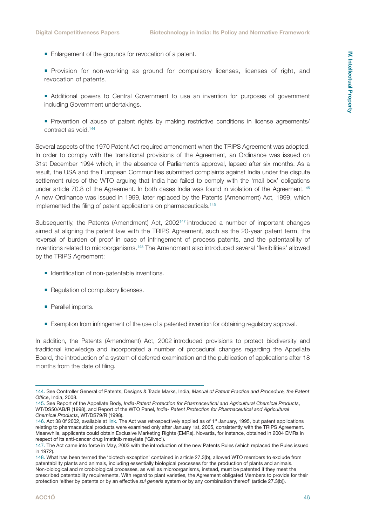- Enlargement of the grounds for revocation of a patent.
- **Provision for non-working as ground for compulsory licenses, licenses of right, and** revocation of patents.
- Additional powers to Central Government to use an invention for purposes of government including Government undertakings.
- Prevention of abuse of patent rights by making restrictive conditions in license agreements/ contract as void.144

Several aspects of the 1970 Patent Act required amendment when the TRIPS Agreement was adopted. In order to comply with the transitional provisions of the Agreement, an Ordinance was issued on 31st December 1994 which, in the absence of Parliament's approval, lapsed after six months. As a result, the USA and the European Communities submitted complaints against India under the dispute settlement rules of the WTO arguing that India had failed to comply with the 'mail box' obligations under article 70.8 of the Agreement. In both cases India was found in violation of the Agreement.145 A new Ordinance was issued in 1999, later replaced by the Patents (Amendment) Act, 1999, which implemented the filing of patent applications on pharmaceuticals.<sup>146</sup>

Subsequently, the Patents (Amendment) Act, 2002<sup>147</sup> introduced a number of important changes aimed at aligning the patent law with the TRIPS Agreement, such as the 20-year patent term, the reversal of burden of proof in case of infringement of process patents, and the patentability of inventions related to microorganisms.148 The Amendment also introduced several 'flexibilities' allowed by the TRIPS Agreement:

- I Identification of non-patentable inventions.
- Regulation of compulsory licenses.
- Parallel imports.
- **Exemption from infringement of the use of a patented invention for obtaining regulatory approval.**

In addition, the Patents (Amendment) Act, 2002 introduced provisions to protect biodiversity and traditional knowledge and incorporated a number of procedural changes regarding the Appellate Board, the introduction of a system of deferred examination and the publication of applications after 18 months from the date of filing.

<sup>144.</sup> See Controller General of Patents, Designs & Trade Marks, India, *Manual of Patent Practice and Procedure, the Patent Office*, India, 2008.

<sup>145.</sup> See Report of the Appellate Body, *India-Patent Protection for Pharmaceutical and Agricultural Chemical Products*, WT/DS50/AB/R (1998), and Report of the WTO Panel, *India- Patent Protection for Pharmaceutical and Agricultural Chemical Products*, WT/DS79/R (1998).

<sup>146.</sup> Act 38 0f 2002, available at [link.](http://www.managingip.com/Article/2282163/The-conservative-path-to-biotech-protection.html) The Act was retrospectively applied as of 1<sup>st</sup> January, 1995, but patent applications relating to pharmaceutical products were examined only after January 1st, 2005, consistently with the TRIPS Agreement. Meanwhile, applicants could obtain Exclusive Marketing Rights (EMRs). Novartis, for instance, obtained in 2004 EMRs in respect of its anti-cancer drug Imatinib mesylate ('Glivec').

<sup>147.</sup> The Act came into force in May, 2003 with the introduction of the new Patents Rules (which replaced the Rules issued in 1972).

<sup>148.</sup> What has been termed the 'biotech exception' contained in article 27.3(b), allowed WTO members to exclude from patentability plants and animals, including essentially biological processes for the production of plants and animals. Non-biological and microbiological processes, as well as microorganisms, instead, must be patented if they meet the prescribed patentability requirements. With regard to plant varieties, the Agreement obligated Members to provide for their protection 'either by patents or by an effective *sui generis* system or by any combination thereof' (article 27.3(b)).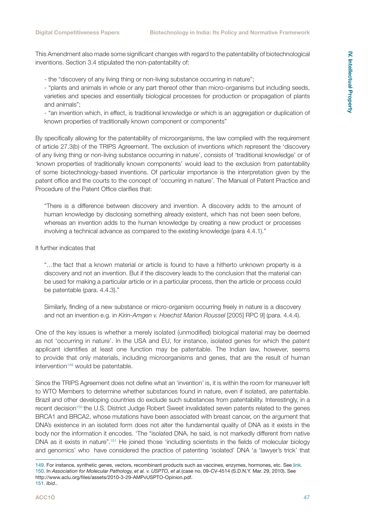This Amendment also made some significant changes with regard to the patentability of biotechnological inventions. Section 3.4 stipulated the non-patentability of:

- the "discovery of any living thing or non-living substance occurring in nature";

- "plants and animals in whole or any part thereof other than micro-organisms but including seeds, varieties and species and essentially biological processes for production or propagation of plants and animals";

- "an invention which, in effect, is traditional knowledge or which is an aggregation or duplication of known properties of traditionally known component or components"

By specifically allowing for the patentability of microorganisms, the law complied with the requirement of article 27.3(b) of the TRIPS Agreement. The exclusion of inventions which represent the 'discovery of any living thing or non-living substance occurring in nature', consists of 'traditional knowledge' or of 'known properties of traditionally known components' would lead to the exclusion from patentability of some biotechnology-based inventions. Of particular importance is the interpretation given by the patent office and the courts to the concept of 'occurring in nature'. The Manual of Patent Practice and Procedure of the Patent Office clarifies that:

"There is a difference between discovery and invention. A discovery adds to the amount of human knowledge by disclosing something already existent, which has not been seen before, whereas an invention adds to the human knowledge by creating a new product or processes involving a technical advance as compared to the existing knowledge (para 4.4.1)."

It further indicates that

"…the fact that a known material or article is found to have a hitherto unknown property is a discovery and not an invention. But if the discovery leads to the conclusion that the material can be used for making a particular article or in a particular process, then the article or process could be patentable (para. 4.4.3)."

Similarly, finding of a new substance or micro-organism occurring freely in nature is a discovery and not an invention e.g. in *Kirin-Amgen v. Hoechst Marion Roussel* [2005] RPC 9] (para. 4.4.4).

One of the key issues is whether a merely isolated (unmodified) biological material may be deemed as not 'occurring in nature'. In the USA and EU, for instance, isolated genes for which the patent applicant identifies at least one function may be patentable. The Indian law, however, seems to provide that only materials, including microorganisms and genes, that are the result of human intervention<sup>149</sup> would be patentable.

Since the TRIPS Agreement does not define what an 'invention' is, it is within the room for maneuver left to WTO Members to determine whether substances found in nature, even if isolated, are patentable. Brazil and other developing countries do exclude such substances from patentability. Interestingly, in a recent decision<sup>150</sup> the U.S. District Judge Robert Sweet invalidated seven patents related to the genes BRCA1 and BRCA2, whose mutations have been associated with breast cancer, on the argument that DNA's existence in an isolated form does not alter the fundamental quality of DNA as it exists in the body nor the information it encodes. 'The "isolated DNA, he said, is not markedly different from native DNA as it exists in nature".151 He joined those 'including scientists in the fields of molecular biology and genomics' who have considered the practice of patenting 'isolated' DNA 'a 'lawyer's trick' that

<sup>149.</sup> For instance, synthetic genes, vectors, recombinant products such as vaccines, enzymes, hormones, etc. See [link.](http://biospectrumindia.ciol.com/content/newsAnalysis/10504112.asp) 150. In *Association for Molecular Pathology, et al. v. USPTO, et al.*(case no. 09-CV-4514 (S.D.N.Y. Mar. 29, 2010). See http://www.aclu.org/files/assets/2010-3-29-AMPvUSPTO-Opinion.pdf. 151. *Ibid*..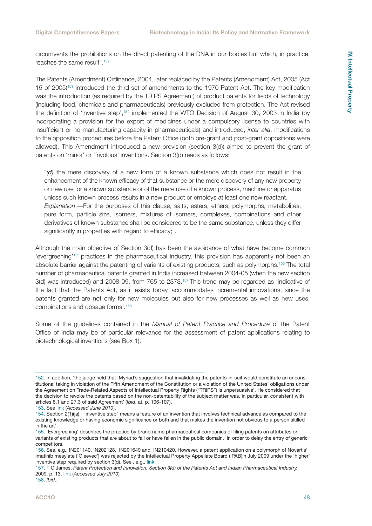circumvents the prohibitions on the direct patenting of the DNA in our bodies but which, in practice, reaches the same result".152

The Patents (Amendment) Ordinance, 2004, later replaced by the Patents (Amendment) Act, 2005 (Act 15 of 2005)153 introduced the third set of amendments to the 1970 Patent Act. The key modification was the introduction (as required by the TRIPS Agreement) of product patents for fields of technology (including food, chemicals and pharmaceuticals) previously excluded from protection. The Act revised the definition of 'inventive step',154 implemented the WTO Decision of August 30, 2003 in India (by incorporating a provision for the export of medicines under a compulsory license to countries with insufficient or no manufacturing capacity in pharmaceuticals) and introduced, *inter alia*, modifications to the opposition procedures before the Patent Office (both pre-grant and post-grant oppositions were allowed). This Amendment introduced a new provision (section 3(d)) aimed to prevent the grant of patents on 'minor' or 'frivolous' inventions. Section 3(d) reads as follows:

"*(d)* the mere discovery of a new form of a known substance which does not result in the enhancement of the known efficacy of that substance or the mere discovery of any new property or new use for a known substance or of the mere use of a known process, machine or apparatus unless such known process results in a new product or employs at least one new reactant. *Explanation*.—For the purposes of this clause, salts, esters, ethers, polymorphs, metabolites, pure form, particle size, isomers, mixtures of isomers, complexes, combinations and other derivatives of known substance shall be considered to be the same substance, unless they differ significantly in properties with regard to efficacy;".

Although the main objective of Section 3(d) has been the avoidance of what have become common 'evergreening'155 practices in the pharmaceutical industry, this provision has apparently not been an absolute barrier against the patenting of variants of existing products, such as polymorphs.156 The total number of pharmaceutical patents granted in India increased between 2004-05 (when the new section 3(d) was introduced) and 2008-09, from 765 to 2373.<sup>157</sup> This trend may be regarded as 'indicative of the fact that the Patents Act, as it exists today, accommodates incremental innovations, since the patents granted are not only for new molecules but also for new processes as well as new uses, combinations and dosage forms'.158

Some of the guidelines contained in the *Manual of Patent Practice and Procedure* of the Patent Office of India may be of particular relevance for the assessment of patent applications relating to biotechnological inventions (see Box 1).

<sup>152.</sup> In addition, 'the judge held that 'Myriad's suggestion that invalidating the patents-in-suit would constitute an unconstitutional taking in violation of the Fifth Amendment of the Constitution or a violation of the United States' obligations under the Agreement on Trade-Related Aspects of Intellectual Property Rights ("TRIPS") is unpersuasive'. He considered that the decision to revoke the patents based on the non-patentability of the subject matter was, in particular, consistent with articles 8.1 and 27.3 of said Agreement' (*Ibid*, at. p. 106-107).

<sup>153.</sup> See [link](http://www.patentoffice.nic.in/ipr/patent/patent_2005.pdf) (*Accessed June 2010*).

<sup>154.</sup> Section 2(1)(ja): "inventive step" means a feature of an invention that involves technical advance as compared to the existing knowledge or having economic significance or both and that makes the invention not obvious to a person skilled in the art'.

<sup>155. &#</sup>x27;Evergreening' describes the practice by brand name pharmaceutical companies of filing patents on attributes or variants of existing products that are about to fall or have fallen in the public domain, in order to delay the entry of generic competitors.

<sup>156.</sup> See, e.g., IN201140, IN202128, IN201649 and IN210420. However, a patent application on a polymorph of Novartis' Imatinib mesylate ('Gleevec') was rejected by the Intellectual Property Appellate Board (IPAB)in July 2009 under the 'higher' inventive step required by section 3(d). See , e.g., [link](http://prospect.rsc.org/blogs/cw/?p=391).

<sup>157.</sup> T C James, *Patent Protection and Innovation. Section 3(d) of the Patents Act and Indian Pharmaceutical Industry,* 2009, p. 13. [link](http://www.nipoonline.org/Section-report.doc) (*Accessed July 2010*) 158. *Ibid*..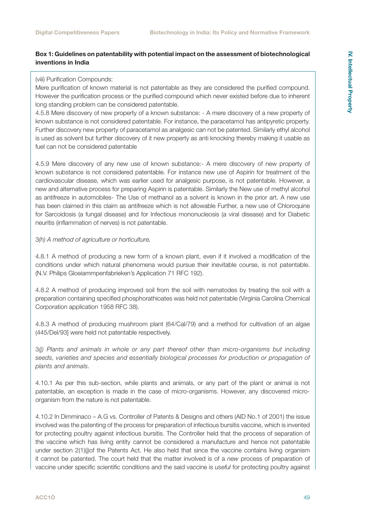#### **Box 1: Guidelines on patentability with potential impact on the assessment of biotechnological inventions in India**

#### (viii) Purification Compounds:

Mere purification of known material is not patentable as they are considered the purified compound. However the purification process or the purified compound which never existed before due to inherent long standing problem can be considered patentable.

4.5.8 Mere discovery of new property of a known substance: - A mere discovery of a new property of known substance is not considered patentable. For instance, the paracetamol has antipyretic property. Further discovery new property of paracetamol as analgesic can not be patented. Similarly ethyl alcohol is used as solvent but further discovery of it new property as anti knocking thereby making it usable as fuel can not be considered patentable

4.5.9 Mere discovery of any new use of known substance:- A mere discovery of new property of known substance is not considered patentable. For instance new use of Aspirin for treatment of the cardiovascular disease, which was earlier used for analgesic purpose, is not patentable. However, a new and alternative process for preparing Aspirin is patentable. Similarly the New use of methyl alcohol as antifreeze in automobiles- The Use of methanol as a solvent is known in the prior art. A new use has been claimed in this claim as antifreeze which is not allowable Further, a new use of Chloroquine for Sarcoidosis (a fungal disease) and for Infectious mononucleosis (a viral disease) and for Diabetic neuritis (inflammation of nerves) is not patentable.

#### 3*(h) A method of agriculture or horticulture.*

4.8.1 A method of producing a new form of a known plant, even if it involved a modification of the conditions under which natural phenomena would pursue their inevitable course, is not patentable. (N.V. Philips Gloeiammpenfabrieken's Application 71 RFC 192).

4.8.2 A method of producing improved soil from the soil with nematodes by treating the soil with a preparation containing specified phosphorathioates was held not patentable (Virginia Carolina Chemical Corporation application 1958 RFC 38).

4.8.3 A method of producing mushroom plant (64/Cal/79) and a method for cultivation of an algae (445/Del/93] were held not patentable respectively.

3*(j) Plants and animals in whole or any part thereof other than micro-organisms but including*  seeds, varieties and species and essentially biological processes for production or propagation of *plants and animals.*

4.10.1 As per this sub-section, while plants and animals, or any part of the plant or animal is not patentable, an exception is made in the case of micro-organisms. However, any discovered microorganism from the nature is not patentable.

4.10.2 In Dimminaco – A.G vs. Controller of Patents & Designs and others (AID No.1 of 2001) the issue involved was the patenting of the process for preparation of infectious bursitis vaccine, which is invented for protecting poultry against infectious bursitis. The Controller held that the process of separation of the vaccine which has living entity cannot be considered a manufacture and hence not patentable under section 2(1)(i)of the Patents Act. He also held that since the vaccine contains living organism it cannot be patented. The court held that the matter involved is of a *new* process of preparation of vaccine under specific scientific conditions and the said vaccine is *useful* for protecting poultry against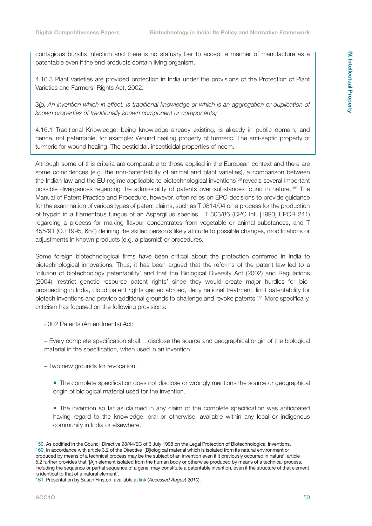contagious bursitis infection and there is no statuary bar to accept a manner of manufacture as a patentable even if the end products contain living organism.

4.10.3 Plant varieties are provided protection in India under the provisions of the Protection of Plant Varieties and Farmers' Rights Act, 2002.

3*(p) An invention which in effect, is traditional knowledge or which is an aggregation or duplication of known properties of traditionally known component or components;*

4.16.1 Traditional Knowledge, being knowledge already existing, is already in public domain, and hence, not patentable, for example: Wound healing property of turmeric. The anti-septic property of turmeric for wound healing. The pesticidal, insecticidal properties of neem.

Although some of this criteria are comparable to those applied in the European context and there are some coincidences (e.g. the non-patentability of animal and plant varieties), a comparison between the Indian law and the EU regime applicable to biotechnological inventions<sup>159</sup> reveals several important possible divergences regarding the admissibility of patents over substances found in nature.160 The Manual of Patent Practice and Procedure, however, often relies on EPO decisions to provide guidance for the examination of various types of patent claims, such as T 0814/04 on a process for the production of trypsin in a filamentous fungus of an Aspergillus species, T 303/86 (CPC Int. [1993] EPOR 241) regarding a process for making flavour concentrates from vegetable or animal substances, and T 455/91 (OJ 1995, 684) defining the skilled person's likely attitude to possible changes, modifications or adjustments in known products (e.g. a plasmid) or procedures.

Some foreign biotechnological firms have been critical about the protection conferred in India to biotechnological innovations. Thus, it has been argued that the reforms of the patent law led to a 'dilution of biotechnology patentability' and that the Biological Diversity Act (2002) and Regulations (2004) 'restrict genetic resource patent rights' since they would create major hurdles for bioprospecting in India, cloud patent rights gained abroad, deny national treatment, limit patentability for biotech inventions and provide additional grounds to challenge and revoke patents.<sup>161</sup> More specifically, criticism has focused on the following provisions:

2002 Patents (Amendments) Act:

– Every complete specification shall… disclose the source and geographical origin of the biological material in the specification, when used in an invention.

– Two new grounds for revocation:

The complete specification does not disclose or wrongly mentions the source or geographical origin of biological material used for the invention.

 The invention so far as claimed in any claim of the complete specification was anticipated having regard to the knowledge, oral or otherwise, available within any local or indigenous community in India or elsewhere.

<sup>159.</sup> As codified in the Council Directive 98/44/EC of 6 July 1998 on the Legal Protection of Biotechnological Inventions. 160. In accordance with article 3.2 of the Directive '[B]iological material which is isolated from its natural environment or produced by means of a technical process may be the subject of an invention even if it previously occurred in nature'; article 5.2 further provides that '[A]n element isolated from the human body or otherwise produced by means of a technical process, including the sequence or partial sequence of a gene, may constitute a patentable invention, even if the structure of that element is identical to that of a natural element'.

<sup>161.</sup> Presentation by Susan Finston, available at [link](http://www.authorstream.com/Presentation/Marcell-66248-2005-09-15-APLF-India-Pharma-industry-Indian-Regulations-Insight-Key-Points-Bio-News-Reports-ppt-powerpoint) (*Accessed August 2010*).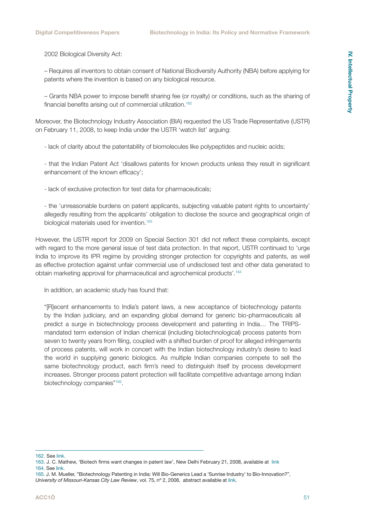2002 Biological Diversity Act:

– Requires all inventors to obtain consent of National Biodiversity Authority (NBA) before applying for patents where the invention is based on any biological resource.

– Grants NBA power to impose benefit sharing fee (or royalty) or conditions, such as the sharing of financial benefits arising out of commercial utilization.<sup>162</sup>

Moreover, the Biotechnology Industry Association (BIA) requested the US Trade Representative (USTR) on February 11, 2008, to keep India under the USTR 'watch list' arguing:

- lack of clarity about the patentability of biomolecules like polypeptides and nucleic acids;

- that the Indian Patent Act 'disallows patents for known products unless they result in significant enhancement of the known efficacy';

- lack of exclusive protection for test data for pharmaceuticals;

- the 'unreasonable burdens on patent applicants, subjecting valuable patent rights to uncertainty' allegedly resulting from the applicants' obligation to disclose the source and geographical origin of biological materials used for invention.<sup>163</sup>

However, the USTR report for 2009 on Special Section 301 did not reflect these complaints, except with regard to the more general issue of test data protection. In that report, USTR continued to 'urge India to improve its IPR regime by providing stronger protection for copyrights and patents, as well as effective protection against unfair commercial use of undisclosed test and other data generated to obtain marketing approval for pharmaceutical and agrochemical products'.164

In addition, an academic study has found that:

"[R]ecent enhancements to India's patent laws, a new acceptance of biotechnology patents by the Indian judiciary, and an expanding global demand for generic bio-pharmaceuticals all predict a surge in biotechnology process development and patenting in India… The TRIPSmandated term extension of Indian chemical (including biotechnological) process patents from seven to twenty years from filing, coupled with a shifted burden of proof for alleged infringements of process patents, will work in concert with the Indian biotechnology industry's desire to lead the world in supplying generic biologics. As multiple Indian companies compete to sell the same biotechnology product, each firm's need to distinguish itself by process development increases. Stronger process patent protection will facilitate competitive advantage among Indian biotechnology companies"<sup>165</sup>.

<sup>162.</sup> See [link.](http://www.abs-alliance.org/version02/files/ABIAMRC0507.pdf)

<sup>163.</sup> J. C. Mathew, 'Biotech firms want changes in patent law', New Delhi February 21, 2008, available at [link](http://www.business-standard.com/india/storypage.php?autono=314529) 164. See [link.](http://www.ustr.gov/sites/default/files/Priority%20Watch%20List.pdf)

<sup>165.</sup> J. M. Mueller, "Biotechnology Patenting in India: Will Bio-Generics Lead a 'Sunrise Industry' to Bio-Innovation?", *University of Missouri-Kansas City Law Review*, vol. 75, nº 2, 2008, abstract available at [link](http://papers.ssrn.com/sol3/papers.cfm?abstract_id=1087131).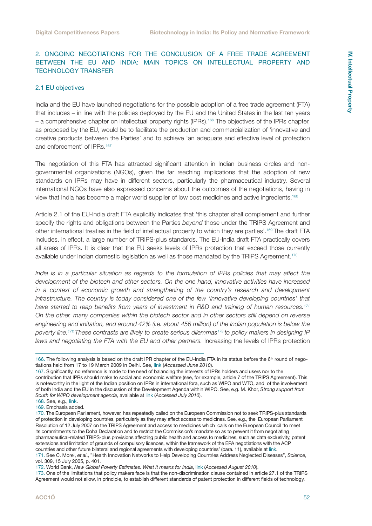#### <span id="page-51-0"></span>2. ONGOING NEGOTIATIONS FOR THE CONCLUSION OF A FREE TRADE AGREEMENT BETWEEN THE EU AND INDIA: MAIN TOPICS ON INTELLECTUAL PROPERTY AND TECHNOLOGY TRANSFER

#### 2.1 EU objectives

India and the EU have launched negotiations for the possible adoption of a free trade agreement (FTA) that includes – in line with the policies deployed by the EU and the United States in the last ten years – a comprehensive chapter on intellectual property rights (IPRs).166 The objectives of the IPRs chapter, as proposed by the EU, would be to facilitate the production and commercialization of 'innovative and creative products between the Parties' and to achieve 'an adequate and effective level of protection and enforcement' of IPRs.<sup>167</sup>

The negotiation of this FTA has attracted significant attention in Indian business circles and nongovernmental organizations (NGOs), given the far reaching implications that the adoption of new standards on IPRs may have in different sectors, particularly the pharmaceutical industry. Several international NGOs have also expressed concerns about the outcomes of the negotiations, having in view that India has become a major world supplier of low cost medicines and active ingredients.168

Article 2.1 of the EU-India draft FTA explicitly indicates that 'this chapter shall complement and further specify the rights and obligations between the Parties *beyond* those under the TRIPS Agreement and other international treaties in the field of intellectual property to which they are parties'.169 The draft FTA includes, in effect, a large number of TRIPS-plus standards. The EU-India draft FTA practically covers all areas of IPRs. It is clear that the EU seeks levels of IPRs protection that exceed those currently available under Indian domestic legislation as well as those mandated by the TRIPS Agreement.<sup>170</sup>

*India is in a particular situation as regards to the formulation of IPRs policies that may affect the development of the biotech and other sectors. On the one hand, innovative activities have increased in a context of economic growth and strengthening of the country's research and development infrastructure. The country is today considered one of the few 'innovative developing countries' that have started to reap benefits from years of investment in R&D and training of human resources.171 On the other, many companies within the biotech sector and in other sectors still depend on reverse engineering and imitation, and around 42% (i.e. about 456 million) of the Indian population is below the poverty line.172 These contrasts are likely to create serious dilemmas173 to policy makers in designing IP laws and negotiating the FTA with the EU and other partners.* Increasing the levels of IPRs protection

<sup>166.</sup> The following analysis is based on the draft IPR chapter of the EU-India FTA in its status before the 6<sup>th</sup> round of negotiations held from 17 to 19 March 2009 in Delhi. See, [link](http://bilaterals.org/article.php3?id_article=14864) (*Accessed June 2010*).

<sup>167.</sup> Significantly, no reference is made to the need of balancing the interests of IPRs holders and users nor to the contribution that IPRs should make to social and economic welfare (see, for example, article 7 of the TRIPS Agreement). This is noteworthy in the light of the Indian position on IPRs in international fora, such as WIPO and WTO, and of the involvement of both India and the EU in the discussion of the Development Agenda within WIPO. See, e.g. M. Khor, *Strong support from South for WIPO development agenda*, available at [link](http://www.twnside.org.sg/title2/twr171c.htm) (*Accessed July 2010*).

<sup>168.</sup> See, e.g., [link.](http://www.msfaccess.org/main/access-patents/free-trade-agreements) 169. Emphasis added.

<sup>170.</sup> The European Parliament, however, has repeatedly called on the European Commission not to seek TRIPS-plus standards of protection in developing countries, particularly as they may affect access to medicines. See, e.g., the European Parliament Resolution of 12 July 2007 on the TRIPS Agreement and access to medicines which calls on the European Council 'to meet its commitments to the Doha Declaration and to restrict the Commission's mandate so as to prevent it from negotiating pharmaceutical-related TRIPS-plus provisions affecting public health and access to medicines, such as data exclusivity, patent extensions and limitation of grounds of compulsory licences, within the framework of the EPA negotiations with the ACP countries and other future bilateral and regional agreements with developing countries' (para. 11), available at [link](http://www.europarl.europa.eu/sides/getDoc.do?pubRef=-//EP//TEXT+TA+P6-TA-2007-0353+0+DOC+XML+V0//EN).

<sup>171.</sup> See C. Morel, *et al*., "Health Innovation Networks to Help Developing Countries Address Neglected Diseases", *Science*, vol. 309, 15 July 2005, p. 401.

<sup>172.</sup> World Bank, *New Global Poverty Estimates. What it means for India*, [link](http://www.worldbank.org.in/WBSITE/EXTERNAL/COUNTRIES/SOUTHASIAEXT/INDIAEXTN/0,,contentMDK:21880725~pagePK:141137~piPK:141127~theSitePK:295584,00.html) (*Accessed August 2010*).

<sup>173.</sup> One of the limitations that policy makers face is that the non-discrimination clause contained in article 27.1 of the TRIPS Agreement would not allow, in principle, to establish different standards of patent protection in different fields of technology.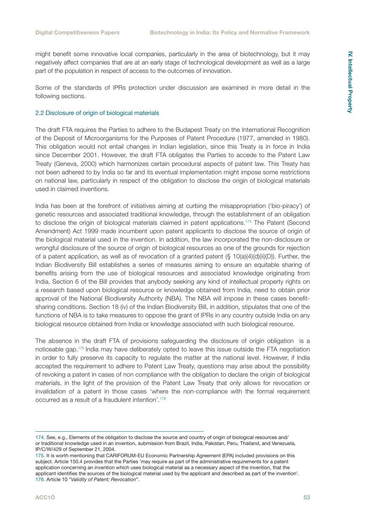<span id="page-52-0"></span>might benefit some innovative local companies, particularly in the area of biotechnology, but it may negatively affect companies that are at an early stage of technological development as well as a large part of the population in respect of access to the outcomes of innovation.

Some of the standards of IPRs protection under discussion are examined in more detail in the following sections.

#### 2.2 Disclosure of origin of biological materials

The draft FTA requires the Parties to adhere to the Budapest Treaty on the International Recognition of the Deposit of Microorganisms for the Purposes of Patent Procedure (1977, amended in 1980). This obligation would not entail changes in Indian legislation, since this Treaty is in force in India since December 2001. However, the draft FTA obligates the Parties to accede to the Patent Law Treaty (Geneva, 2000) which harmonizes certain procedural aspects of patent law. This Treaty has not been adhered to by India so far and its eventual implementation might impose some restrictions on national law, particularly in respect of the obligation to disclose the origin of biological materials used in claimed inventions.

India has been at the forefront of initiatives aiming at curbing the misappropriation ('bio-piracy') of genetic resources and associated traditional knowledge, through the establishment of an obligation to disclose the origin of biological materials claimed in patent applications.174 The Patent (Second Amendment) Act 1999 made incumbent upon patent applicants to disclose the source of origin of the biological material used in the invention. In addition, the law incorporated the non-disclosure or wrongful disclosure of the source of origin of biological resources as one of the grounds for rejection of a patent application, as well as of revocation of a granted patent  $(\S 10(a)(4)(d)(ii)(D))$ . Further, the Indian Biodiversity Bill establishes a series of measures aiming to ensure an equitable sharing of benefits arising from the use of biological resources and associated knowledge originating from India. Section 6 of the Bill provides that anybody seeking any kind of intellectual property rights on a research based upon biological resource or knowledge obtained from India, need to obtain prior approval of the National Biodiversity Authority (NBA). The NBA will impose in these cases benefitsharing conditions. Section 18 (iv) of the Indian Biodiversity Bill, in addition, stipulates that one of the functions of NBA is to take measures to oppose the grant of IPRs in any country outside India on any biological resource obtained from India or knowledge associated with such biological resource.

The absence in the draft FTA of provisions safeguarding the disclosure of origin obligation is a noticeable gap.175 India may have deliberately opted to leave this issue outside the FTA negotiation in order to fully preserve its capacity to regulate the matter at the national level. However, if India accepted the requirement to adhere to Patent Law Treaty, questions may arise about the possibility of revoking a patent in cases of non compliance with the obligation to declare the origin of biological materials, in the light of the provision of the Patent Law Treaty that only allows for revocation or invalidation of a patent in those cases 'where the non-compliance with the formal requirement occurred as a result of a fraudulent intention'.176

<sup>174.</sup> See, e.g., Elements of the obligation to disclose the source and country of origin of biological resources and/ or traditional knowledge used in an invention, submission from Brazil, India, Pakistan, Peru, Thailand, and Venezuela, IP/C/W/429 of September 21, 2004.

<sup>175.</sup> It is worth mentioning that CARIFORUM-EU Economic Partnership Agreement (EPA) included provisions on this subject. Article 150.4 provides that the Parties 'may require as part of the administrative requirements for a patent application concerning an invention which uses biological material as a necessary aspect of the invention, that the applicant identifies the sources of the biological material used by the applicant and described as part of the invention'. 176. Article 10 "*Validity of Patent; Revocation*".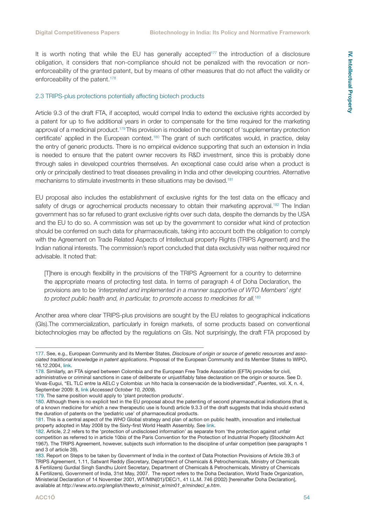<span id="page-53-0"></span>It is worth noting that while the EU has generally accepted<sup>177</sup> the introduction of a disclosure obligation, it considers that non-compliance should not be penalized with the revocation or nonenforceability of the granted patent, but by means of other measures that do not affect the validity or enforceability of the patent.<sup>178</sup>

#### 2.3 TRIPS-plus protections potentially affecting biotech products

Article 9.3 of the draft FTA, if accepted, would compel India to extend the exclusive rights accorded by a patent for up to five additional years in order to compensate for the time required for the marketing approval of a medicinal product.<sup>179</sup> This provision is modeled on the concept of 'supplementary protection certificate' applied in the European context.180 The grant of such certificates would, in practice, delay the entry of generic products. There is no empirical evidence supporting that such an extension in India is needed to ensure that the patent owner recovers its R&D investment, since this is probably done through sales in developed countries themselves. An exceptional case could arise when a product is only or principally destined to treat diseases prevailing in India and other developing countries. Alternative mechanisms to stimulate investments in these situations may be devised.<sup>181</sup>

EU proposal also includes the establishment of exclusive rights for the test data on the efficacy and safety of drugs or agrochemical products necessary to obtain their marketing approval.<sup>182</sup> The Indian government has so far refused to grant exclusive rights over such data, despite the demands by the USA and the EU to do so. A commission was set up by the government to consider what kind of protection should be conferred on such data for pharmaceuticals, taking into account both the obligation to comply with the Agreement on Trade Related Aspects of Intellectual property Rights (TRIPS Agreement) and the Indian national interests. The commission's report concluded that data exclusivity was neither required nor advisable. It noted that:

[T]here is enough flexibility in the provisions of the TRIPS Agreement for a country to determine the appropriate means of protecting test data. In terms of paragraph 4 of Doha Declaration, the provisions are to be *'interpreted and implemented in a manner supportive of WTO Members' right to protect public health and, in particular, to promote access to medicines for all.*<sup>183</sup>

Another area where clear TRIPS-plus provisions are sought by the EU relates to geographical indications (GIs).The commercialization, particularly in foreign markets, of some products based on conventional biotechnologies may be affected by the regulations on GIs. Not surprisingly, the draft FTA proposed by

178. Similarly, an FTA signed between Colombia and the European Free Trade Association (EFTA) provides for civil, administrative or criminal sanctions in case of deliberate or unjustifiably false declaration on the origin or source. See D. Vivas-Eugui, "EL TLC entre la AELC y Colombia: un hito hacia la conservación de la biodiversidad", *Puentes*, vol. X, n. 4, September 2009: 8, [link](http://ictsd.net/i/news/puentes/56167/) (*Accessed October 10, 2009*).

<sup>177.</sup> See, e.g., European Community and its Member States, *Disclosure of origin or source of genetic resources and associated traditional knowledge in patent applications*. Proposal of the European Community and its Member States to WIPO, 16.12.2004, [link](http://www.wipo.int/tk/en/genetic/proposals/european_community.pdf).

<sup>179.</sup> The same position would apply to 'plant protection products'.

<sup>180.</sup> Although there is no explicit text in the EU proposal about the patenting of second pharmaceutical indications (that is, of a known medicine for which a new therapeutic use is found) article 9.3.3 of the draft suggests that India should extend the duration of patents on the 'pediatric use' of pharmaceutical products.

<sup>181.</sup> This is a central aspect of the *WHO* Global strategy and plan of action on public health, innovation and intellectual property adopted in May 2008 by the Sixty-first World Health Assembly. See [link.](http://apps.who.int/gb/ebwha/pdf_files/A61/A61_R21-en.pdf)

<sup>182.</sup> Article, 2.2 refers to the 'protection of undisclosed information' as separate from 'the protection against unfair competition as referred to in article 10*bis* of the Paris Convention for the Protection of Industrial Property (Stockholm Act 1967). The TRIPS Agreement, however, subjects such information to the discipline of unfair competition (see paragraphs 1 and 3 of article 39).

<sup>183.</sup> Report on Steps to be taken by Government of India in the context of Data Protection Provisions of Article 39.3 of TRIPS Agreement, 1.11, Satwant Reddy (Secretary, Department of Chemicals & Petrochemicals, Ministry of Chemicals & Fertilizers) Gurdial Singh Sandhu (Joint Secretary, Department of Chemicals & Petrochemicals, Ministry of Chemicals & Fertilizers), Government of India, 31st May, 2007. The report refers to the Doha Declaration, World Trade Organization, Ministerial Declaration of 14 November 2001, WT/MIN(01)/DEC/1, 41 I.L.M. 746 (2002) [hereinafter Doha Declaration], available at *http://www.wto.org/english/thewto\_e/minist\_e/min01\_e/mindecl\_e.htm*.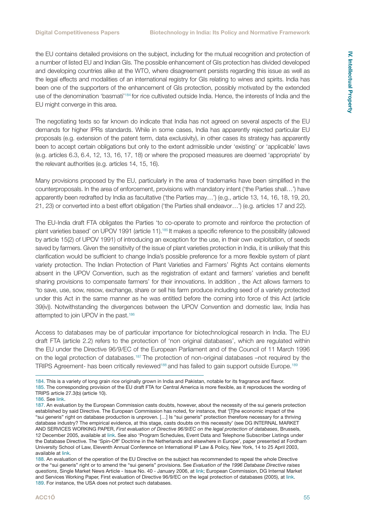the EU contains detailed provisions on the subject, including for the mutual recognition and protection of a number of listed EU and Indian GIs. The possible enhancement of GIs protection has divided developed and developing countries alike at the WTO, where disagreement persists regarding this issue as well as the legal effects and modalities of an international registry for GIs relating to wines and spirits. India has been one of the supporters of the enhancement of GIs protection, possibly motivated by the extended use of the denomination 'basmati'184 for rice cultivated outside India. Hence, the interests of India and the EU might converge in this area.

The negotiating texts so far known do indicate that India has not agreed on several aspects of the EU demands for higher IPRs standards. While in some cases, India has apparently rejected particular EU proposals (e.g. extension of the patent term, data exclusivity), in other cases its strategy has apparently been to accept certain obligations but only to the extent admissible under 'existing' or 'applicable' laws (e.g. articles 6.3, 6.4, 12, 13, 16, 17, 18) or where the proposed measures are deemed 'appropriate' by the relevant authorities (e.g. articles 14, 15, 16).

Many provisions proposed by the EU, particularly in the area of trademarks have been simplified in the counterproposals. In the area of enforcement, provisions with mandatory intent ('the Parties shall…') have apparently been redrafted by India as facultative ('the Parties may…') (e.g., article 13, 14, 16, 18, 19, 20, 21, 23) or converted into a best effort obligation ('the Parties shall endeavor…') (e.g. articles 17 and 22).

The EU-India draft FTA obligates the Parties 'to co-operate to promote and reinforce the protection of plant varieties based' on UPOV 1991 (article 11).185 It makes a specific reference to the possibility (allowed by article 15(2) of UPOV 1991) of introducing an exception for the use, in their own exploitation, of seeds saved by farmers. Given the sensitivity of the issue of plant varieties protection in India, it is unlikely that this clarification would be sufficient to change India's possible preference for a more flexible system of plant variety protection. The Indian Protection of Plant Varieties and Farmers' Rights Act contains elements absent in the UPOV Convention, such as the registration of extant and farmers' varieties and benefit sharing provisions to compensate farmers' for their innovations. In addition , the Act allows farmers to 'to save, use, sow, resow, exchange, share or sell his farm produce including seed of a variety protected under this Act in the same manner as he was entitled before the coming into force of this Act (article 39(iv)). Notwithstanding the divergences between the UPOV Convention and domestic law, India has attempted to join UPOV in the past.186

Access to databases may be of particular importance for biotechnological research in India. The EU draft FTA (article 2.2) refers to the protection of 'non original databases', which are regulated within the EU under the Directive 96/9/EC of the European Parliament and of the Council of 11 March 1996 on the legal protection of databases.187 The protection of non-original databases –not required by the TRIPS Agreement- has been critically reviewed<sup>188</sup> and has failed to gain support outside Europe.<sup>189</sup>

<sup>184.</sup> This is a variety of long grain rice originally grown in India and Pakistan, notable for its fragrance and flavor.

<sup>185.</sup> The corresponding provision of the EU draft FTA for Central America is more flexible, as it reproduces the wording of TRIPS article 27.3(b) (article 10).

<sup>186.</sup> See [link.](http://timesofindia.indiatimes.com/articleshow/12203841.cms)

<sup>187.</sup> An evaluation by the European Commission casts doubts, however, about the necessity of the sui generis protection established by said Directive. The European Commission has noted, for instance, that '[T]he economic impact of the "sui generis" right on database production is unproven. […] Is "sui generis" protection therefore necessary for a thriving database industry? The empirical evidence, at this stage, casts doubts on this necessity' (see DG INTERNAL MARKET AND SERVICES WORKING PAPER, *First evaluation of Directive 96/9/EC on the legal protection of databases*, Brussels, 12 December 2005, available at [link.](http://ec.europa.eu/internal_market/copyright/docs/databases/evaluation_report_en.pdf) See also 'Program Schedules, Event Data and Telephone Subscriber Listings under the Database Directive. The 'Spin-Off' Doctrine in the Netherlands and elsewhere in Europe', paper presented at Fordham University School of Law, Eleventh Annual Conference on International IP Law & Policy, New York, 14 to 25 April 2003, available at [link](http://www.ivir.nl/publications/hugenholtz/spinofffordham.html).

<sup>188.</sup> An evaluation of the operation of the EU Directive on the subject has recommended to repeal the whole Directive or the "sui generis" right or to amend the "sui generis" provisions. See *Evaluation of the 1996 Database Directive raises questions*, Single Market News Article - Issue No. 40 - January 2006, at [link;](http://ec.europa.eu/internal_market/smn/smn40/docs/database-dir_en.pdf) European Commission, DG Internal Market and Services Working Paper, First evaluation of Directive 96/9/EC on the legal protection of databases (2005), at [link](http://ec.europa.eu/internal_market/copyright/docs/databases/evaluation_report_en.pdf). 189. For instance, the USA does not protect such databases.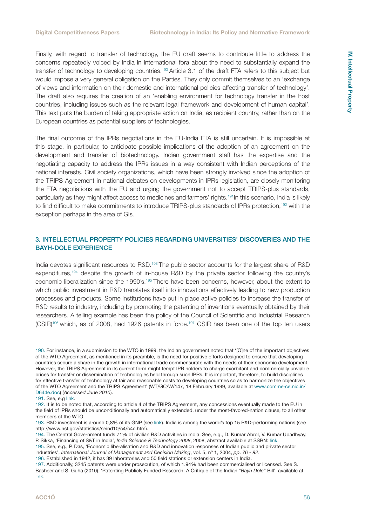<span id="page-55-0"></span>Finally, with regard to transfer of technology, the EU draft seems to contribute little to address the concerns repeatedly voiced by India in international fora about the need to substantially expand the transfer of technology to developing countries.190 Article 3.1 of the draft FTA refers to this subject but would impose a very general obligation on the Parties. They only commit themselves to an 'exchange of views and information on their domestic and international policies affecting transfer of technology'. The draft also requires the creation of an 'enabling environment for technology transfer in the host countries, including issues such as the relevant legal framework and development of human capital'. This text puts the burden of taking appropriate action on India, as recipient country, rather than on the European countries as potential suppliers of technologies.

The final outcome of the IPRs negotiations in the EU-India FTA is still uncertain. It is impossible at this stage, in particular, to anticipate possible implications of the adoption of an agreement on the development and transfer of biotechnology. Indian government staff has the expertise and the negotiating capacity to address the IPRs issues in a way consistent with Indian perceptions of the national interests. Civil society organizations, which have been strongly involved since the adoption of the TRIPS Agreement in national debates on developments in IPRs legislation, are closely monitoring the FTA negotiations with the EU and urging the government not to accept TRIPS-plus standards, particularly as they might affect access to medicines and farmers' rights.191In this scenario, India is likely to find difficult to make commitments to introduce TRIPS-plus standards of IPRs protection,<sup>192</sup> with the exception perhaps in the area of GIs.

#### 3. INTELLECTUAL PROPERTY POLICIES REGARDING UNIVERSITIES' DISCOVERIES AND THE BAYH-DOLE EXPERIENCE

India devotes significant resources to R&D.<sup>193</sup> The public sector accounts for the largest share of R&D expenditures,194 despite the growth of in-house R&D by the private sector following the country's economic liberalization since the 1990's.195 There have been concerns, however, about the extent to which public investment in R&D translates itself into innovations effectively leading to new production processes and products. Some institutions have put in place active policies to increase the transfer of R&D results to industry, including by promoting the patenting of inventions eventually obtained by their researchers. A telling example has been the policy of the Council of Scientific and Industrial Research (CSIR)196 which, as of 2008, had 1926 patents in force.197 CSIR has been one of the top ten users

<sup>190.</sup> For instance, in a submission to the WTO in 1999, the Indian government noted that '[O]ne of the important objectives of the WTO Agreement, as mentioned in its preamble, is the need for positive efforts designed to ensure that developing countries secure a share in the growth in international trade commensurate with the needs of their economic development. However, the TRIPS Agreement in its current form might tempt IPR holders to charge exorbitant and commercially unviable prices for transfer or dissemination of technologies held through such IPRs. It is important, therefore, to build disciplines for effective transfer of technology at fair and reasonable costs to developing countries so as to harmonize the objectives of the WTO Agreement and the TRIPS Agreement' (WT/GC/W/147, 18 February 1999, available at www.commerce.nic.in/ D644e.doc) (*Accessed June 2010*).

<sup>191.</sup> See, e.g [link](http://www.lawyerscollective.org/amtc/fta).

<sup>192.</sup> It is to be noted that, according to article 4 of the TRIPS Agreement, any concessions eventually made to the EU in the field of IPRs should be unconditionally and automatically extended, under the most-favored-nation clause, to all other members of the WTO.

<sup>193.</sup> R&D investment is around 0,8% of its GNP (see [link\)](http://www.uis.unesco.org/TEMPLATE/pdf/S&T/Workshops/SAsia/Delhi_10.pdf). India is among the world's top 15 R&D-performing nations (see http://www.nsf.gov/statistics/seind10/c4/c4c.htm).

<sup>194.</sup> The Central Government funds 71% of civilian R&D activities in India. See, e.g., D. Kumar Abrol, V. Kumar Upadhyay, P. Sikka, 'Financing of S&T in India', *India Science & Technology 2008*, 2008, abstract available at SSRN: [link.](http://ssrn.com/abstract=1477257)

<sup>195.</sup> See, e.g., P. Das, 'Economic liberalisation and R&D and innovation responses of Indian public and private sector industries', *International Journal of Management and Decision Making*, vol. 5, nº 1, 2004, *pp*. *76 - 92*.

<sup>196.</sup> Established in 1942, it has 39 laboratories and 50 field stations or extension centers in India.

<sup>197.</sup> Additionally, 3245 patents were under prosecution, of which 1.94% had been commercialised or licensed. See S. Basheer and S. Guha (2010), 'Patenting Publicly Funded Research: A Critique of the Indian "*Bayh Dole*" Bill', available at [link.](http://spicyipindia.blogspot.com/2010/01/indian-bayh-dole-bill-critique-and-some.html)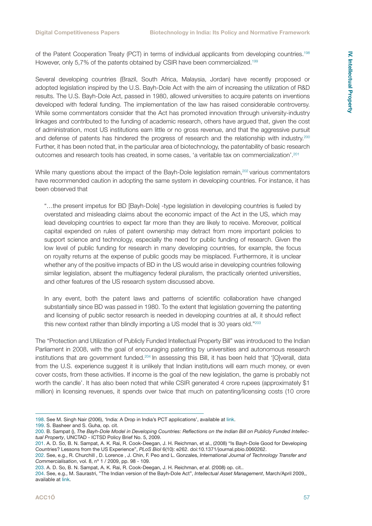of the Patent Cooperation Treaty (PCT) in terms of individual applicants from developing countries.198 However, only 5,7% of the patents obtained by CSIR have been commercialized.<sup>199</sup>

Several developing countries (Brazil, South Africa, Malaysia, Jordan) have recently proposed or adopted legislation inspired by the U.S. Bayh-Dole Act with the aim of increasing the utilization of R&D results. The U.S. Bayh-Dole Act, passed in 1980, allowed universities to acquire patents on inventions developed with federal funding. The implementation of the law has raised considerable controversy. While some commentators consider that the Act has promoted innovation through university-industry linkages and contributed to the funding of academic research, others have argued that, given the cost of administration, most US institutions earn little or no gross revenue, and that the aggressive pursuit and defense of patents has hindered the progress of research and the relationship with industry.<sup>200</sup> Further, it has been noted that, in the particular area of biotechnology, the patentability of basic research outcomes and research tools has created, in some cases, 'a veritable tax on commercialization'.201

While many questions about the impact of the Bayh-Dole legislation remain,<sup>202</sup> various commentators have recommended caution in adopting the same system in developing countries. For instance, it has been observed that

"…the present impetus for BD [Bayh-Dole] -type legislation in developing countries is fueled by overstated and misleading claims about the economic impact of the Act in the US, which may lead developing countries to expect far more than they are likely to receive. Moreover, political capital expended on rules of patent ownership may detract from more important policies to support science and technology, especially the need for public funding of research. Given the low level of public funding for research in many developing countries, for example, the focus on royalty returns at the expense of public goods may be misplaced. Furthermore, it is unclear whether any of the positive impacts of BD in the US would arise in developing countries following similar legislation, absent the multiagency federal pluralism, the practically oriented universities, and other features of the US research system discussed above.

In any event, both the patent laws and patterns of scientific collaboration have changed substantially since BD was passed in 1980. To the extent that legislation governing the patenting and licensing of public sector research is needed in developing countries at all, it should reflect this new context rather than blindly importing a US model that is 30 years old."<sup>203</sup>

The "Protection and Utilization of Publicly Funded Intellectual Property Bill" was introduced to the Indian Parliament in 2008, with the goal of encouraging patenting by universities and autonomous research institutions that are government funded.<sup>204</sup> In assessing this Bill, it has been held that '[O]verall, data from the U.S. experience suggest it is unlikely that Indian institutions will earn much money, or even cover costs, from these activities. If income is the goal of the new legislation, the game is probably not worth the candle'. It has also been noted that while CSIR generated 4 crore rupees (approximately \$1 million) in licensing revenues, it spends over twice that much on patenting/licensing costs (10 crore

<sup>198.</sup> See M. Singh Nair (2006), 'India: A Drop in India's PCT applications', available at [link.](http://www.mondaq.com/article.asp?articleid=37786)

<sup>199.</sup> S. Basheer and S. Guha, op. cit.

<sup>200.</sup> B. Sampat (), *The Bayh-Dole Model in Developing Countries: Reflections on the Indian Bill on Publicly Funded Intellectual Property*, UNCTAD - ICTSD Policy Brief No. 5, 2009.

<sup>201.</sup> A. D. So, B. N. Sampat, A. K. Rai, R. Cook-Deegan, J. H. Reichman, et al., (2008) "Is Bayh-Dole Good for Developing Countries? Lessons from the US Experience", *PLoS Biol* 6(10): e262. doi:10.1371/journal.pbio.0060262.

<sup>202.</sup> See, e.g., R. Churchill , D. Lorence , J. Chin, F. Peo and L. Gonzales, *International Journal of Technology Transfer and Commercialisation*, vol. 8, nº 1 / 2009, pp. 98 - 109.

<sup>203.</sup> A. D. So, B. N. Sampat, A. K. Rai, R. Cook-Deegan, J. H. Reichman, *et al*. (2008) op. cit..

<sup>204.</sup> See, e.g., M. Saurastri, "The Indian version of the Bayh-Dole Act", *Intellectual Asset Management*, March/April 2009,, available at [link](http://www.iam-magazine.com/issues/Article.ashx?g=af438a8b-2c4e-4771-b573-32171a1c4c65).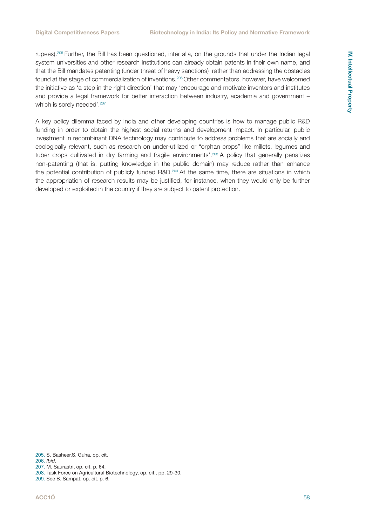rupees).<sup>205</sup> Further, the Bill has been questioned, inter alia, on the grounds that under the Indian legal system universities and other research institutions can already obtain patents in their own name, and that the Bill mandates patenting (under threat of heavy sanctions) rather than addressing the obstacles found at the stage of commercialization of inventions.206 Other commentators, however, have welcomed the initiative as 'a step in the right direction' that may 'encourage and motivate inventors and institutes and provide a legal framework for better interaction between industry, academia and government – which is sorely needed'.<sup>207</sup>

A key policy dilemma faced by India and other developing countries is how to manage public R&D funding in order to obtain the highest social returns and development impact. In particular, public investment in recombinant DNA technology may contribute to address problems that are socially and ecologically relevant, such as research on under-utilized or "orphan crops" like millets, legumes and tuber crops cultivated in dry farming and fragile environments'.<sup>208</sup> A policy that generally penalizes non-patenting (that is, putting knowledge in the public domain) may reduce rather than enhance the potential contribution of publicly funded R&D.<sup>209</sup> At the same time, there are situations in which the appropriation of research results may be justified, for instance, when they would only be further developed or exploited in the country if they are subject to patent protection.

<sup>205.</sup> S. Basheer,S. Guha, op. cit.

<sup>206.</sup> *Ibid*.

<sup>207.</sup> M. Saurastri, op. cit. p. 64.

<sup>208.</sup> Task Force on Agricultural Biotechnology, op. cit., pp. 29-30.

<sup>209.</sup> See B. Sampat, op. cit. p. 6.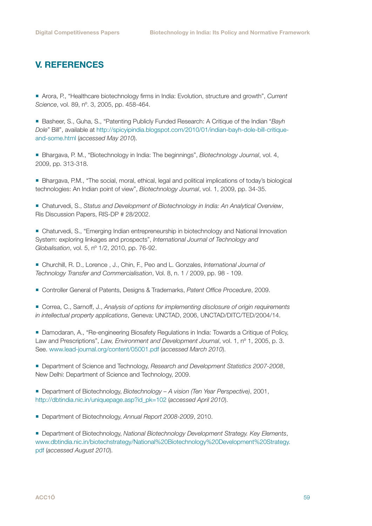### <span id="page-58-0"></span>V. REFERENCES

 Arora, P., "Healthcare biotechnology firms in India: Evolution, structure and growth", *Current Science*, vol. 89, nº. 3, 2005, pp. 458-464.

 Basheer, S., Guha, S., "Patenting Publicly Funded Research: A Critique of the Indian "*Bayh Dole*" Bill", available at [http://spicyipindia.blogspot.com/2010/01/indian-bayh-dole-bill-critique](http://spicyipindia.blogspot.com/2010/01/indian-bayh-dole-bill-critique-and-some.html)[and-some.html](http://spicyipindia.blogspot.com/2010/01/indian-bayh-dole-bill-critique-and-some.html) (*accessed May 2010*).

 Bhargava, P. M., "Biotechnology in India: The beginnings", *Biotechnology Journal*, vol. 4, 2009, pp. 313-318.

 Bhargava, P.M., "The social, moral, ethical, legal and political implications of today's biological technologies: An Indian point of view", *Biotechnology Journal*, vol. 1, 2009, pp. 34-35.

 Chaturvedi, S., *Status and Development of Biotechnology in India: An Analytical Overview*, Ris Discussion Papers, RIS-DP # 28/2002.

 Chaturvedi, S., "Emerging Indian entrepreneurship in biotechnology and National Innovation System: exploring linkages and prospects", *International Journal of Technology and Globalisation*, vol. 5, nº 1/2, 2010, pp. 76-92.

 Churchill, R. D., Lorence , J., Chin, F., Peo and L. Gonzales, *International Journal of Technology Transfer and Commercialisation*, Vol. 8, n. 1 / 2009, pp. 98 - 109.

Controller General of Patents, Designs & Trademarks, *Patent Office Procedure*, 2009.

 Correa, C., Sarnoff, J., *Analysis of options for implementing disclosure of origin requirements in intellectual property applications*, Geneva: UNCTAD, 2006, UNCTAD/DITC/TED/2004/14.

 Damodaran, A., "Re-engineering Biosafety Regulations in India: Towards a Critique of Policy, Law and Prescriptions", *Law, Environment and Development Journal*, vol. 1, nº 1, 2005, p. 3. See. [www.lead-journal.org/content/05001.pdf](http://www.lead-journal.org/content/05001.pdf) (*accessed March 2010*).

 Department of Science and Technology, *Research and Development Statistics 2007-2008*, New Delhi: Department of Science and Technology, 2009.

 Department of Biotechnology, *Biotechnology – A vision (Ten Year Perspective)*, 2001, [http://dbtindia.nic.in/uniquepage.asp?id\\_pk=102](http://dbtindia.nic.in/uniquepage.asp?id_pk=102) (*accessed April 2010*).

Department of Biotechnology, *Annual Report 2008-2009*, 2010.

 Department of Biotechnology, *National Biotechnology Development Strategy. Key Elements*, [www.dbtindia.nic.in/biotechstrategy/National%20Biotechnology%20Development%20Strategy.](www.dbtindia.nic.in/biotechstrategy/National%20Biotechnology%20Development%20Strategy.pdf) [pdf](www.dbtindia.nic.in/biotechstrategy/National%20Biotechnology%20Development%20Strategy.pdf) (*accessed August 2010*).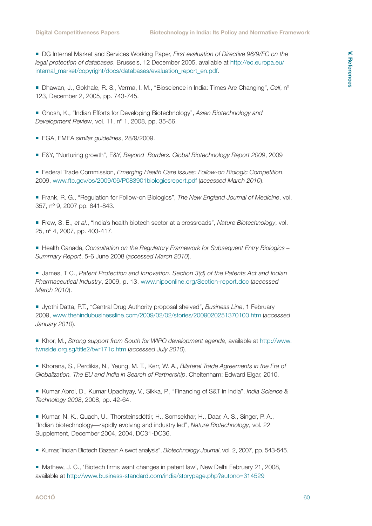DG Internal Market and Services Working Paper, *First evaluation of Directive 96/9/EC on the legal protection of databases*, Brussels, 12 December 2005, available at [http://ec.europa.eu/](http://ec.europa.eu/internal_market/copyright/docs/databases/evaluation_report_en.pdf) [internal\\_market/copyright/docs/databases/evaluation\\_report\\_en.pdf](http://ec.europa.eu/internal_market/copyright/docs/databases/evaluation_report_en.pdf).

 Dhawan, J., Gokhale, R. S., Verma, I. M., "Bioscience in India: Times Are Changing", *Cell*, nº 123, December 2, 2005, pp. 743-745.

 Ghosh, K., "Indian Efforts for Developing Biotechnology", *Asian Biotechnology and Development Review*, vol. 11, nº 1, 2008, pp. 35-56.

EGA, EMEA *similar guidelines*, 28/9/2009.

E&Y, "Nurturing growth", E&Y, *Beyond Borders. Global Biotechnology Report 2009*, 2009

 Federal Trade Commission, *Emerging Health Care Issues: Follow-on Biologic Competition*, 2009, [www.ftc.gov/os/2009/06/P083901biologicsreport.pdf](http://www.ftc.gov/os/2009/06/P083901biologicsreport.pdf) (*accessed March 2010*).

 Frank, R. G., "Regulation for Follow-on Biologics", *The New England Journal of Medicine*, vol. 357, nº 9, 2007 pp. 841-843.

 Frew, S. E., *et al*., "India's health biotech sector at a crossroads", *Nature Biotechnology*, vol. 25, nº 4, 2007, pp. 403-417.

■ Health Canada, *Consultation on the Regulatory Framework for Subsequent Entry Biologics* – *Summary Report*, 5-6 June 2008 (*accessed March 2010*).

■ James, T C., *Patent Protection and Innovation. Section 3(d) of the Patents Act and Indian Pharmaceutical Industry*, 2009, p. 13. [www.nipoonline.org/Section-report.doc](http://www.nipoonline.org/Section-report.doc) (*accessed March 2010*).

 Jyothi Datta, P.T., "Central Drug Authority proposal shelved", *Business Line*, 1 February 2009, [www.thehindubusinessline.com/2009/02/02/stories/2009020251370100.htm](http://www.thehindubusinessline.com/2009/02/02/stories/2009020251370100.htm) (*accessed January 2010*).

 Khor, M., *Strong support from South for WIPO development agenda*, available at [http://www.](http://www.twnside.org.sg/title2/twr171c.htm) [twnside.org.sg/title2/twr171c.htm](http://www.twnside.org.sg/title2/twr171c.htm) (*accessed July 2010*).

 Khorana, S., Perdikis, N., Yeung, M. T., Kerr, W. A., *Bilateral Trade Agreements in the Era of Globalization. The EU and India in Search of Partnership*, Cheltenham: Edward Elgar, 2010.

 Kumar Abrol, D., Kumar Upadhyay, V., Sikka, P., "Financing of S&T in India", *India Science & Technology 2008*, 2008, pp. 42-64.

Kumar, N. K., Quach, U., Thorsteinsdóttir, H., Somsekhar, H., Daar, A. S., Singer, P. A., "Indian biotechnology—rapidly evolving and industry led", *Nature Biotechnology*, vol. 22 Supplement, December 2004, 2004, DC31-DC36.

Kumar,"Indian Biotech Bazaar: A swot analysis", *Biotechnology Journal*, vol. 2, 2007, pp. 543-545.

Mathew, J. C., 'Biotech firms want changes in patent law', New Delhi February 21, 2008, available at<http://www.business-standard.com/india/storypage.php?autono=314529>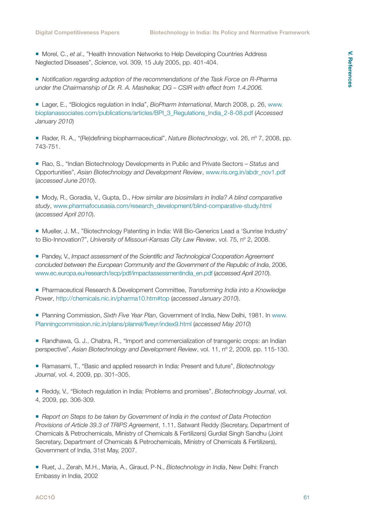■ Morel, C., *et al.*, "Health Innovation Networks to Help Developing Countries Address Neglected Diseases", *Science*, vol. 309, 15 July 2005, pp. 401-404.

 *Notification regarding adoption of the recommendations of the Task Force on R-Pharma under the Chairmanship of Dr. R. A. Mashelkar, DG – CSIR with effect from 1.4.2006.*

 Lager, E., "Biologics regulation in India", *BioPharm International*, March 2008, p. 26, [www.](http://www.bioplanassociates.com/publications/articles/BPI_3_Regulations_India_2-8-08.pdf) [bioplanassociates.com/publications/articles/BPI\\_3\\_Regulations\\_India\\_2-8-08.pdf](http://www.bioplanassociates.com/publications/articles/BPI_3_Regulations_India_2-8-08.pdf) (*Accessed January 2010*)

■ Rader, R. A., "(Re)defining biopharmaceutical", *Nature Biotechnology*, vol. 26, n° 7, 2008, pp. 743-751.

 Rao, S., "Indian Biotechnology Developments in Public and Private Sectors – *Status* and Opportunities", *Asian Biotechnology and Development Review*, www.ris.org.in/abdr\_nov1.pdf (*accessed June 2010*).

Mody, R., Goradia, V., Gupta, D., *How similar are biosimilars in India? A blind comparative study*, [www.pharmafocusasia.com/research\\_development/blind-comparative-study.html](http://www.pharmafocusasia.com/research_development/blind-comparative-study.html) (*accessed April 2010*).

 Mueller, J. M., "Biotechnology Patenting in India: Will Bio-Generics Lead a 'Sunrise Industry' to Bio-Innovation?", *University of Missouri-Kansas City Law Review*, vol. 75, nº 2, 2008.

■ Pandey, V., *Impact assessment of the Scientific and Technological Cooperation Agreement concluded between the European Community and the Government of the Republic of India*, 2006, [www.ec.europa.eu/research/iscp/pdf/impactassessmentindia\\_en.pdf](http://www.ec.europa.eu/research/iscp/pdf/impactassessmentindia_en.pdf) (*accessed April 2010*).

 Pharmaceutical Research & Development Committee, *Transforming India into a Knowledge Power*, <http://chemicals.nic.in/pharma10.htm#top> (*accessed January 2010*).

 Planning Commission, *Sixth Five Year Plan*, Government of India, New Delhi, 1981. In [www.](http://www. Planningcommission.nic.in/plans/planrel/fiveyr/index9.html)  [Planningcommission.nic.in/plans/planrel/fiveyr/index9.html](http://www. Planningcommission.nic.in/plans/planrel/fiveyr/index9.html) (*accessed May 2010*)

■ Randhawa, G. J., Chabra, R., "Import and commercialization of transgenic crops: an Indian perspective", *Asian Biotechnology and Development Review*, vol. 11, nº 2, 2009, pp. 115-130.

 Ramasami, T., "Basic and applied research in India: Present and future", *Biotechnology Journal*, vol. 4, 2009, pp. 301–305.

Reddy, V., "Biotech regulation in India: Problems and promises", *Biotechnology Journal*, vol. 4, 2009, pp. 306-309.

 *Report on Steps to be taken by Government of India in the context of Data Protection Provisions of Article 39.3 of TRIPS Agreement*, 1.11, Satwant Reddy (Secretary, Department of Chemicals & Petrochemicals, Ministry of Chemicals & Fertilizers) Gurdial Singh Sandhu (Joint Secretary, Department of Chemicals & Petrochemicals, Ministry of Chemicals & Fertilizers), Government of India, 31st May, 2007.

 Ruet, J., Zerah, M.H., Maria, A., Giraud, P-N., *Biotechnology in India*, New Delhi: Franch Embassy in India, 2002

#### **[ACC1Ó](http://www.acc10.cat)** 61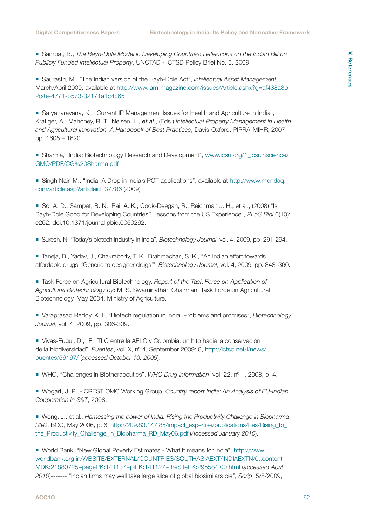Sampat, B., *The Bayh-Dole Model in Developing Countries: Reflections on the Indian Bill on Publicly Funded Intellectual Property*, UNCTAD - ICTSD Policy Brief No. 5, 2009.

 Saurastri, M., "The Indian version of the Bayh-Dole Act", *Intellectual Asset Management*, March/April 2009, available at [http://www.iam-magazine.com/issues/Article.ashx?g=af438a8b-](http://www.iam-magazine.com/issues/Article.ashx?g=af438a8b-2c4e-4771-b573-32171a1c4c65)[2c4e-4771-b573-32171a1c4c65](http://www.iam-magazine.com/issues/Article.ashx?g=af438a8b-2c4e-4771-b573-32171a1c4c65)

 Satyanarayana, K., "Current IP Management Issues for Health and Agriculture in India", Kratiger, A., Mahoney, R. T., Nelsen, L., *et al*., (Eds.) *Intellectual Property Management in Health and Agricultural Innovation: A Handbook of Best Practices*, Davis-Oxford: PIPRA-MIHR, 2007, pp. 1605 – 1620.

■ Sharma, "India: Biotechnology Research and Development", www.icsu.org/1 icsuinscience/ [GMO/PDF/CG%20Sharma.pdf](http://www.icsu.org/1_icsuinscience/GMO/PDF/CG%20Sharma.pdf)

 Singh Nair, M., "India: A Drop in India's PCT applications", available at [http://www.mondaq.](http://www.mondaq.com/article.asp?articleid=37786) [com/article.asp?articleid=37786](http://www.mondaq.com/article.asp?articleid=37786) (2009)

So, A. D., Sampat, B. N., Rai, A. K., Cook-Deegan, R., Reichman J. H., et al., (2008) "Is Bayh-Dole Good for Developing Countries? Lessons from the US Experience", *PLoS Biol* 6(10): e262. doi:10.1371/journal.pbio.0060262.

- Suresh, N. "Today's biotech industry in India", *Biotechnology Journal*, vol. 4, 2009, pp. 291-294.
- Taneja, B., Yadav, J., Chakraborty, T. K., Brahmachari, S. K., "An Indian effort towards affordable drugs: 'Generic to designer drugs'", *Biotechnology Journal*, vol. 4, 2009, pp. 348–360.
- Task Force on Agricultural Biotechnology, *Report of the Task Force on Application of Agricultural Biotechnology by*: M. S. Swaminathan Chairman, Task Force on Agricultural Biotechnology, May 2004, Ministry of Agriculture.

 Varaprasad Reddy, K. I., "Biotech regulation in India: Problems and promises", *Biotechnology Journal*, vol. 4, 2009, pp. 306-309.

 Vivas-Eugui, D., "EL TLC entre la AELC y Colombia: un hito hacia la conservación de la biodiversidad", *Puentes*, vol. X, nº 4, September 2009: 8, [http://ictsd.net/i/news/](http://ictsd.net/i/news/puentes/56167/) [puentes/56167/](http://ictsd.net/i/news/puentes/56167/) (*accessed October 10, 2009*).

■ WHO, "Challenges in Biotherapeutics", WHO Drug Information, vol. 22, n<sup>o</sup> 1, 2008, p. 4.

 Wogart, J. P., - CREST OMC Working Group, *Country report India: An Analysis of EU-Indian Cooperation in S&T*, 2008.

 Wong, J., et al., *Harnessing the power of India. Rising the Productivity Challenge in Biopharma R&D*, BCG, May 2006, p. 6, [http://209.83.147.85/impact\\_expertise/publications/files/Rising\\_to\\_](http://209.83.147.85/impact_expertise/publications/files/Rising_to_the_Productivity_Challenge_in_Biopharma_RD_May06.pdf) [the\\_Productivity\\_Challenge\\_in\\_Biopharma\\_RD\\_May06.pdf](http://209.83.147.85/impact_expertise/publications/files/Rising_to_the_Productivity_Challenge_in_Biopharma_RD_May06.pdf) (*Accessed January 2010*).

 World Bank, "New Global Poverty Estimates - What it means for India", [http://www.](http://www.worldbank.org.in/WBSITE/EXTERNAL/COUNTRIES/SOUTHASIAEXT/INDIAEXTN/0,,contentMDK:21880725~pagePK:141137~piPK:141127~theSitePK:295584,00.html) [worldbank.org.in/WBSITE/EXTERNAL/COUNTRIES/SOUTHASIAEXT/INDIAEXTN/0,,content](http://www.worldbank.org.in/WBSITE/EXTERNAL/COUNTRIES/SOUTHASIAEXT/INDIAEXTN/0,,contentMDK:21880725~pagePK:141137~piPK:141127~theSitePK:295584,00.html) [MDK:21880725~pagePK:141137~piPK:141127~theSitePK:295584,00.html](http://www.worldbank.org.in/WBSITE/EXTERNAL/COUNTRIES/SOUTHASIAEXT/INDIAEXTN/0,,contentMDK:21880725~pagePK:141137~piPK:141127~theSitePK:295584,00.html) (*accessed April 2010*)------- "Indian firms may well take large slice of global biosimilars pie", *Scrip*, 5/8/2009,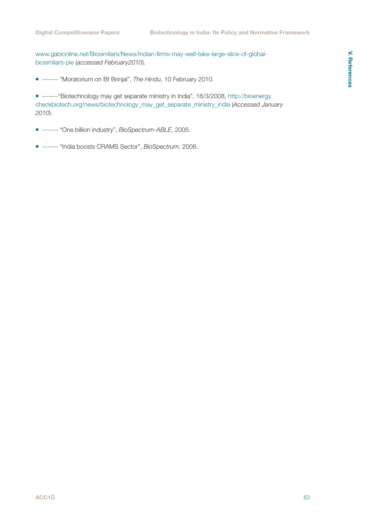[www.gabionline.net/Biosimilars/News/Indian-firms-may-well-take-large-slice-of-global](http://www.gabionline.net/Biosimilars/News/Indian-firms-may-well-take-large-slice-of-global-biosimilars-pie)[biosimilars-pie](http://www.gabionline.net/Biosimilars/News/Indian-firms-may-well-take-large-slice-of-global-biosimilars-pie) (*accessed February2010*).

------- "Moratorium on Bt Brinjal", *The Hindu*, 10 February 2010.

 -------"Biotechnology may get separate ministry in India", 18/3/2008, [http://bioenergy.](http://bioenergy.checkbiotech.org/news/biotechnology_may_get_separate_ministry_india) [checkbiotech.org/news/biotechnology\\_may\\_get\\_separate\\_ministry\\_india](http://bioenergy.checkbiotech.org/news/biotechnology_may_get_separate_ministry_india) (*Accessed January 2010*).

------- "One billion industry", *BioSpectrum-ABLE*, 2005.

------- "India boosts CRAMS Sector", *BioSpectrum*, 2008.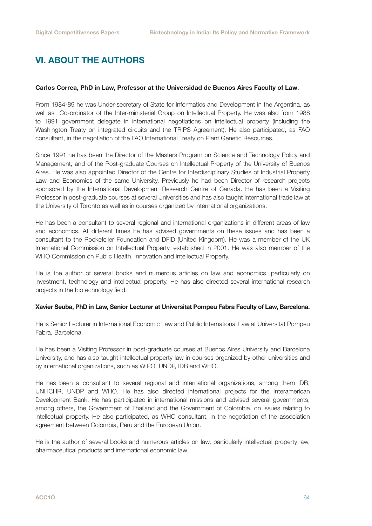## <span id="page-63-0"></span>VI. ABOUT THE AUTHORS

#### **Carlos Correa, PhD in Law, Professor at the Universidad de Buenos Aires Faculty of Law**.

From 1984-89 he was Under-secretary of State for Informatics and Development in the Argentina, as well as Co-ordinator of the Inter-ministerial Group on Intellectual Property. He was also from 1988 to 1991 government delegate in international negotiations on intellectual property (including the Washington Treaty on integrated circuits and the TRIPS Agreement). He also participated, as FAO consultant, in the negotiation of the FAO International Treaty on Plant Genetic Resources.

Since 1991 he has been the Director of the Masters Program on Science and Technology Policy and Management, and of the Post-graduate Courses on Intellectual Property of the University of Buenos Aires. He was also appointed Director of the Centre for Interdisciplinary Studies of Industrial Property Law and Economics of the same University. Previously he had been Director of research projects sponsored by the International Development Research Centre of Canada. He has been a Visiting Professor in post-graduate courses at several Universities and has also taught international trade law at the University of Toronto as well as in courses organized by international organizations.

He has been a consultant to several regional and international organizations in different areas of law and economics. At different times he has advised governments on these issues and has been a consultant to the Rockefeller Foundation and DFID (United Kingdom). He was a member of the UK International Commission on Intellectual Property, established in 2001. He was also member of the WHO Commission on Public Health, Innovation and Intellectual Property.

He is the author of several books and numerous articles on law and economics, particularly on investment, technology and intellectual property. He has also directed several international research projects in the biotechnology field.

#### **Xavier Seuba, PhD in Law, Senior Lecturer at Universitat Pompeu Fabra Faculty of Law, Barcelona.**

He is Senior Lecturer in International Economic Law and Public International Law at Universitat Pompeu Fabra, Barcelona.

He has been a Visiting Professor in post-graduate courses at Buenos Aires University and Barcelona University, and has also taught intellectual property law in courses organized by other universities and by international organizations, such as WIPO, UNDP, IDB and WHO.

He has been a consultant to several regional and international organizations, among them IDB, UNHCHR, UNDP and WHO. He has also directed international projects for the Interamerican Development Bank. He has participated in international missions and advised several governments, among others, the Government of Thailand and the Government of Colombia, on issues relating to intellectual property. He also participated, as WHO consultant, in the negotiation of the association agreement between Colombia, Peru and the European Union.

He is the author of several books and numerous articles on law, particularly intellectual property law, pharmaceutical products and international economic law.